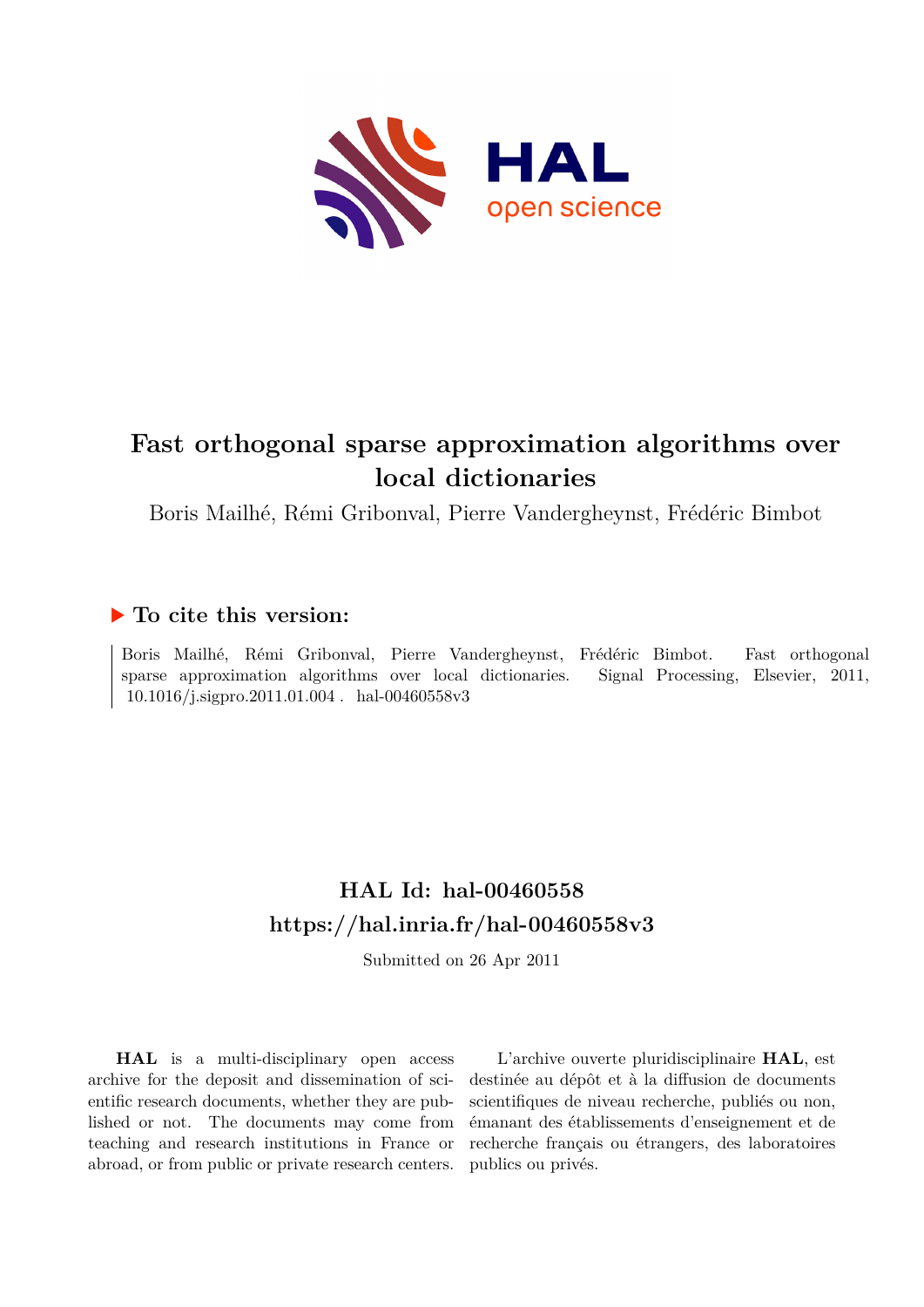

# **Fast orthogonal sparse approximation algorithms over local dictionaries**

Boris Mailhé, Rémi Gribonval, Pierre Vandergheynst, Frédéric Bimbot

# **To cite this version:**

Boris Mailhé, Rémi Gribonval, Pierre Vandergheynst, Frédéric Bimbot. Fast orthogonal sparse approximation algorithms over local dictionaries. Signal Processing, Elsevier, 2011,  $10.1016/j.\mathrm{signro}.2011.01.004$  .  $\,$  hal-00460558v3  $\,$ 

# **HAL Id: hal-00460558 <https://hal.inria.fr/hal-00460558v3>**

Submitted on 26 Apr 2011

**HAL** is a multi-disciplinary open access archive for the deposit and dissemination of scientific research documents, whether they are published or not. The documents may come from teaching and research institutions in France or abroad, or from public or private research centers.

L'archive ouverte pluridisciplinaire **HAL**, est destinée au dépôt et à la diffusion de documents scientifiques de niveau recherche, publiés ou non, émanant des établissements d'enseignement et de recherche français ou étrangers, des laboratoires publics ou privés.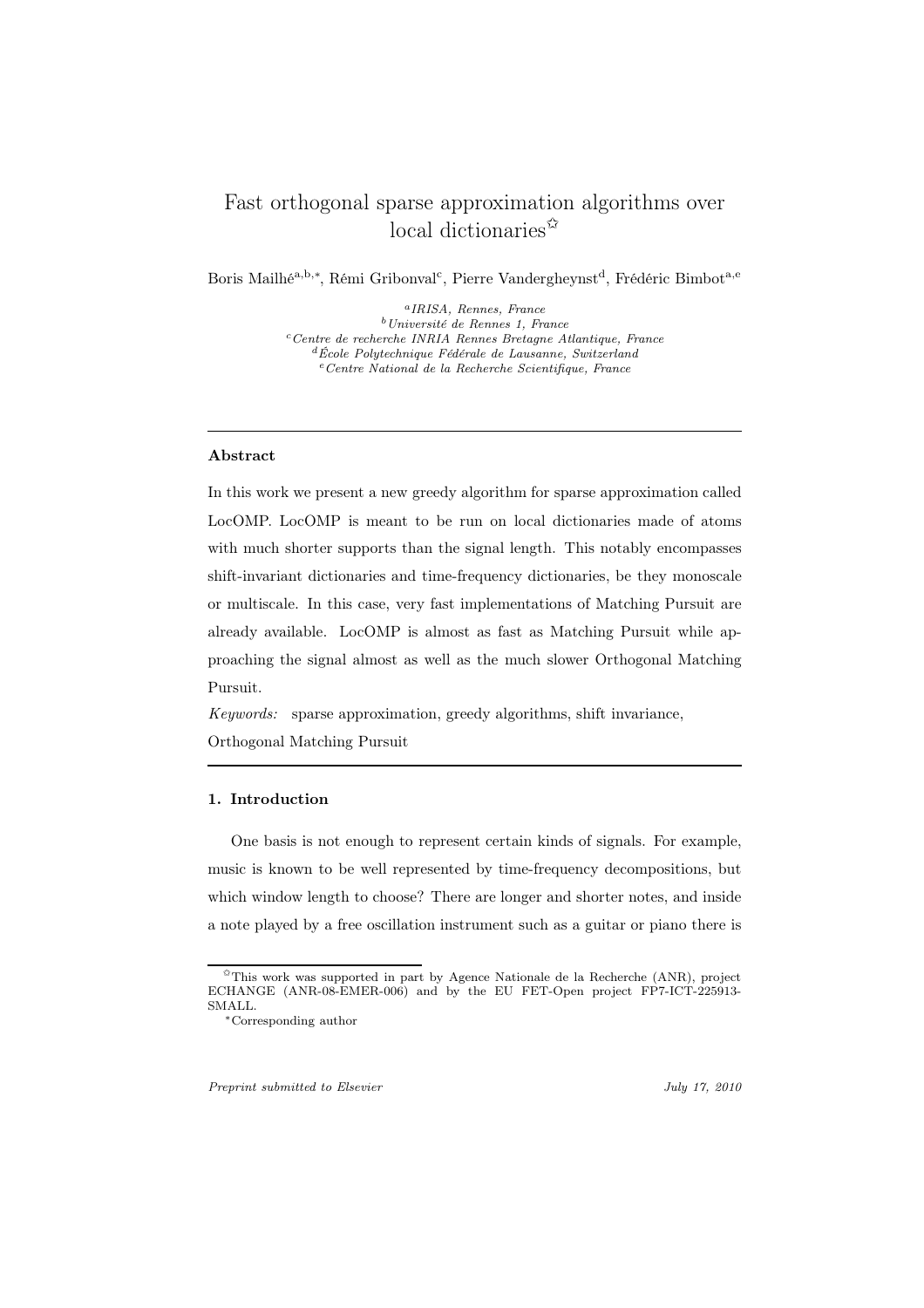# Fast orthogonal sparse approximation algorithms over local dictionaries  $\hat{z}$

Boris Mailhé<sup>a, b,∗</sup>, Rémi Gribonval<sup>c</sup>, Pierre Vandergheynst<sup>d</sup>, Frédéric Bimbot<sup>a, e</sup>

<sup>a</sup>IRISA, Rennes, France <sup>b</sup>Université de Rennes 1, France  $c$ <sup>c</sup>Centre de recherche INRIA Rennes Bretagne Atlantique, France  ${}^d$ École Polytechnique Fédérale de Lausanne, Switzerland  $e$ <sup>e</sup> Centre National de la Recherche Scientifique, France

#### Abstract

In this work we present a new greedy algorithm for sparse approximation called LocOMP. LocOMP is meant to be run on local dictionaries made of atoms with much shorter supports than the signal length. This notably encompasses shift-invariant dictionaries and time-frequency dictionaries, be they monoscale or multiscale. In this case, very fast implementations of Matching Pursuit are already available. LocOMP is almost as fast as Matching Pursuit while approaching the signal almost as well as the much slower Orthogonal Matching Pursuit.

*Keywords:* sparse approximation, greedy algorithms, shift invariance, Orthogonal Matching Pursuit

# 1. Introduction

One basis is not enough to represent certain kinds of signals. For example, music is known to be well represented by time-frequency decompositions, but which window length to choose? There are longer and shorter notes, and inside a note played by a free oscillation instrument such as a guitar or piano there is

Preprint submitted to Elsevier Tubes and the United States of the United States of the United States of the United States of the United States of the United States of the United States of the United States of the United St

 $*$ This work was supported in part by Agence Nationale de la Recherche (ANR), project ECHANGE (ANR-08-EMER-006) and by the EU FET-Open project FP7-ICT-225913- SMALL.

<sup>∗</sup>Corresponding author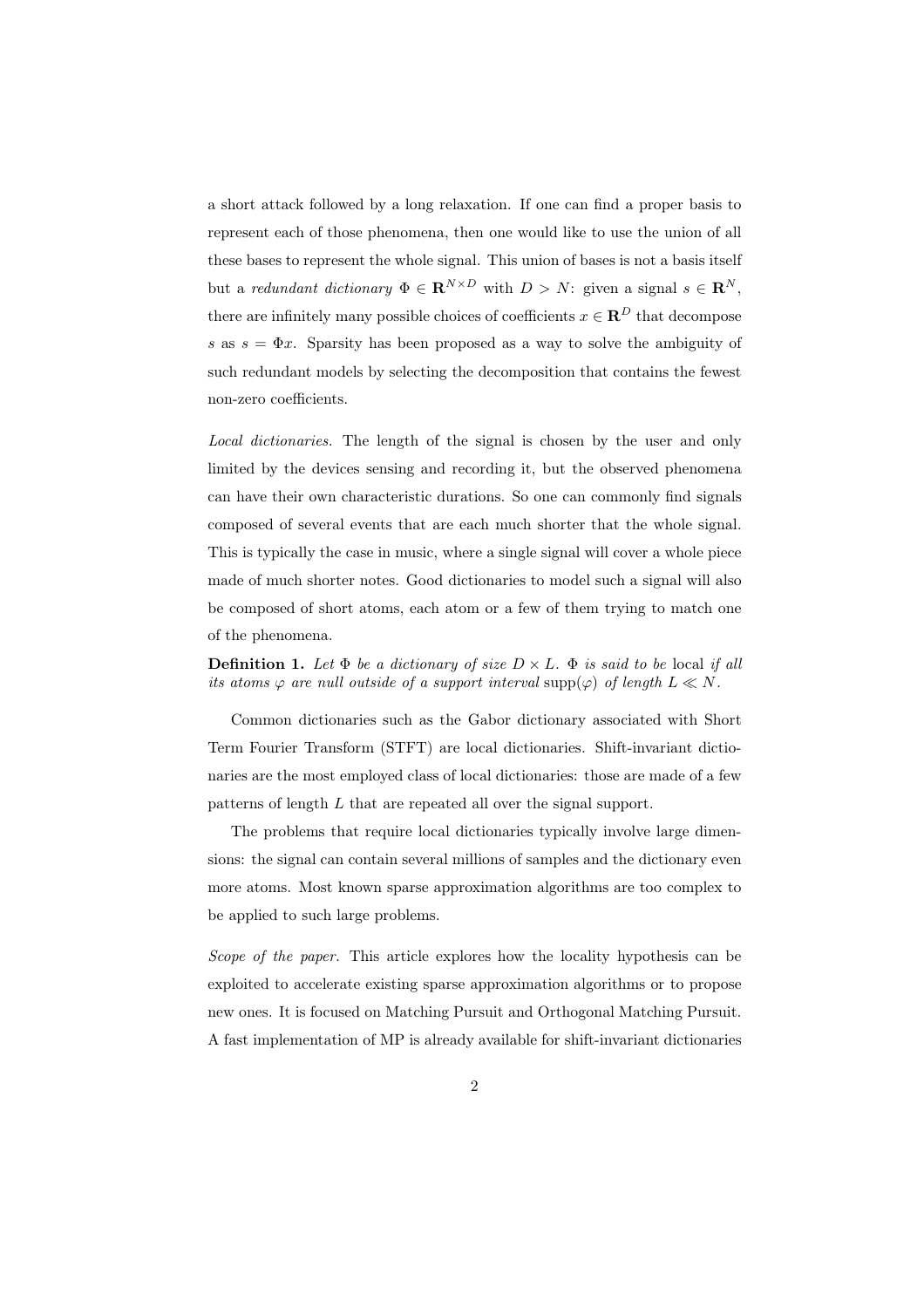a short attack followed by a long relaxation. If one can find a proper basis to represent each of those phenomena, then one would like to use the union of all these bases to represent the whole signal. This union of bases is not a basis itself but a *redundant dictionary*  $\Phi \in \mathbf{R}^{N \times D}$  with  $D > N$ : given a signal  $s \in \mathbf{R}^{N}$ , there are infinitely many possible choices of coefficients  $x \in \mathbb{R}^D$  that decompose s as  $s = \Phi x$ . Sparsity has been proposed as a way to solve the ambiguity of such redundant models by selecting the decomposition that contains the fewest non-zero coefficients.

*Local dictionaries.* The length of the signal is chosen by the user and only limited by the devices sensing and recording it, but the observed phenomena can have their own characteristic durations. So one can commonly find signals composed of several events that are each much shorter that the whole signal. This is typically the case in music, where a single signal will cover a whole piece made of much shorter notes. Good dictionaries to model such a signal will also be composed of short atoms, each atom or a few of them trying to match one of the phenomena.

**Definition 1.** Let  $\Phi$  be a dictionary of size  $D \times L$ .  $\Phi$  is said to be local if all *its atoms*  $\varphi$  *are null outside of a support interval* supp $(\varphi)$  *of length*  $L \ll N$ .

Common dictionaries such as the Gabor dictionary associated with Short Term Fourier Transform (STFT) are local dictionaries. Shift-invariant dictionaries are the most employed class of local dictionaries: those are made of a few patterns of length L that are repeated all over the signal support.

The problems that require local dictionaries typically involve large dimensions: the signal can contain several millions of samples and the dictionary even more atoms. Most known sparse approximation algorithms are too complex to be applied to such large problems.

*Scope of the paper.* This article explores how the locality hypothesis can be exploited to accelerate existing sparse approximation algorithms or to propose new ones. It is focused on Matching Pursuit and Orthogonal Matching Pursuit. A fast implementation of MP is already available for shift-invariant dictionaries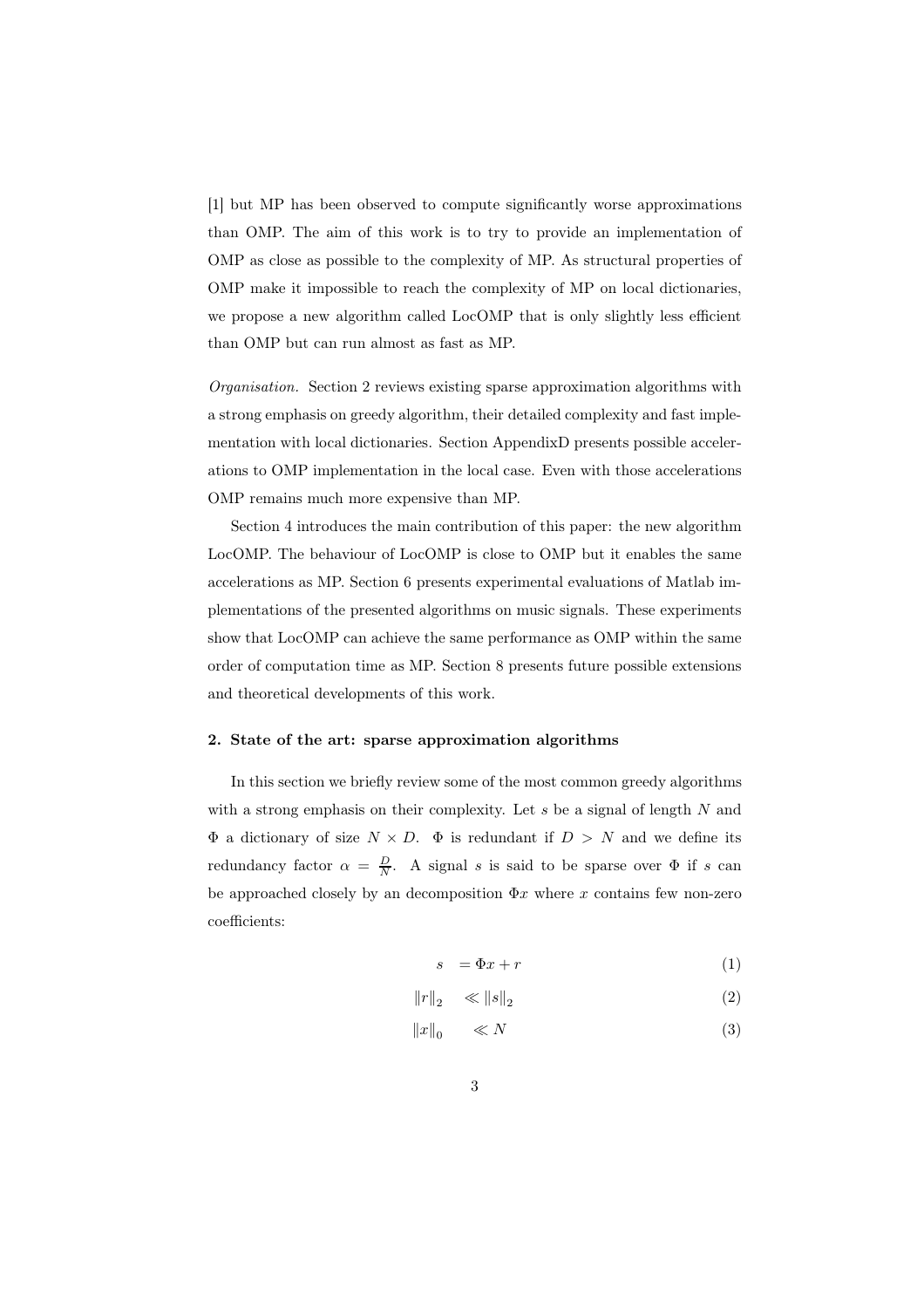[1] but MP has been observed to compute significantly worse approximations than OMP. The aim of this work is to try to provide an implementation of OMP as close as possible to the complexity of MP. As structural properties of OMP make it impossible to reach the complexity of MP on local dictionaries, we propose a new algorithm called LocOMP that is only slightly less efficient than OMP but can run almost as fast as MP.

*Organisation.* Section 2 reviews existing sparse approximation algorithms with a strong emphasis on greedy algorithm, their detailed complexity and fast implementation with local dictionaries. Section AppendixD presents possible accelerations to OMP implementation in the local case. Even with those accelerations OMP remains much more expensive than MP.

Section 4 introduces the main contribution of this paper: the new algorithm LocOMP. The behaviour of LocOMP is close to OMP but it enables the same accelerations as MP. Section 6 presents experimental evaluations of Matlab implementations of the presented algorithms on music signals. These experiments show that LocOMP can achieve the same performance as OMP within the same order of computation time as MP. Section 8 presents future possible extensions and theoretical developments of this work.

#### 2. State of the art: sparse approximation algorithms

In this section we briefly review some of the most common greedy algorithms with a strong emphasis on their complexity. Let  $s$  be a signal of length  $N$  and  $\Phi$  a dictionary of size  $N \times D$ .  $\Phi$  is redundant if  $D > N$  and we define its redundancy factor  $\alpha = \frac{D}{N}$ . A signal s is said to be sparse over  $\Phi$  if s can be approached closely by an decomposition  $\Phi x$  where x contains few non-zero coefficients:

$$
s = \Phi x + r \tag{1}
$$

$$
||r||_2 \ll ||s||_2 \tag{2}
$$

$$
||x||_0 \qquad \ll N \tag{3}
$$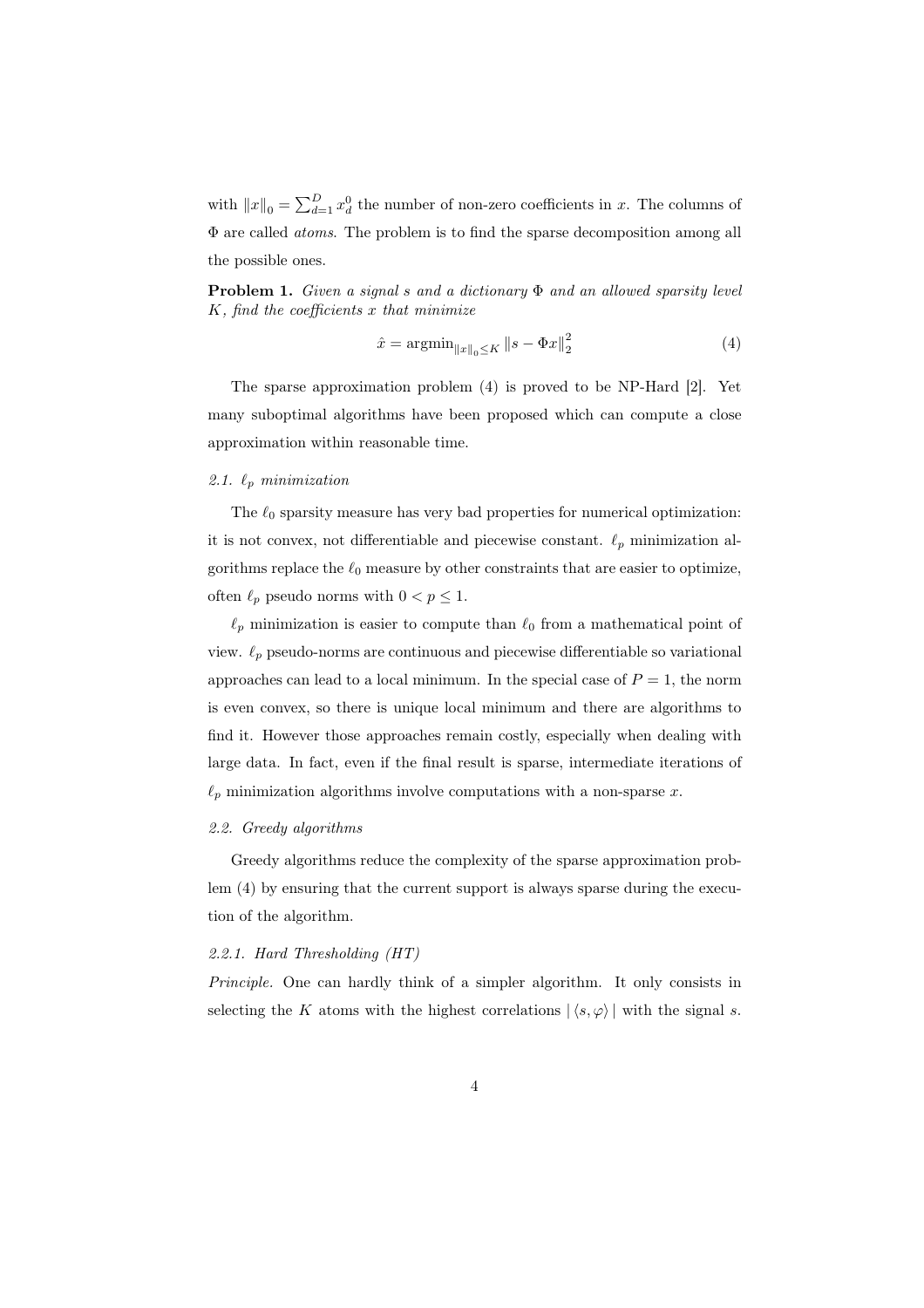with  $||x||_0 = \sum_{d=1}^D x_d^0$  the number of non-zero coefficients in x. The columns of Φ are called *atoms*. The problem is to find the sparse decomposition among all the possible ones.

Problem 1. *Given a signal* s *and a dictionary* Φ *and an allowed sparsity level* K*, find the coefficients* x *that minimize*

$$
\hat{x} = \operatorname{argmin}_{\|x\|_0 \le K} \|s - \Phi x\|_2^2 \tag{4}
$$

The sparse approximation problem (4) is proved to be NP-Hard [2]. Yet many suboptimal algorithms have been proposed which can compute a close approximation within reasonable time.

# 2.1.  $\ell_p$  *minimization*

The  $\ell_0$  sparsity measure has very bad properties for numerical optimization: it is not convex, not differentiable and piecewise constant.  $\ell_p$  minimization algorithms replace the  $\ell_0$  measure by other constraints that are easier to optimize, often  $\ell_p$  pseudo norms with  $0 < p \leq 1$ .

 $\ell_p$  minimization is easier to compute than  $\ell_0$  from a mathematical point of view.  $\ell_p$  pseudo-norms are continuous and piecewise differentiable so variational approaches can lead to a local minimum. In the special case of  $P = 1$ , the norm is even convex, so there is unique local minimum and there are algorithms to find it. However those approaches remain costly, especially when dealing with large data. In fact, even if the final result is sparse, intermediate iterations of  $\ell_p$  minimization algorithms involve computations with a non-sparse x.

# *2.2. Greedy algorithms*

Greedy algorithms reduce the complexity of the sparse approximation problem (4) by ensuring that the current support is always sparse during the execution of the algorithm.

#### *2.2.1. Hard Thresholding (HT)*

*Principle.* One can hardly think of a simpler algorithm. It only consists in selecting the K atoms with the highest correlations  $|\langle s, \varphi \rangle|$  with the signal s.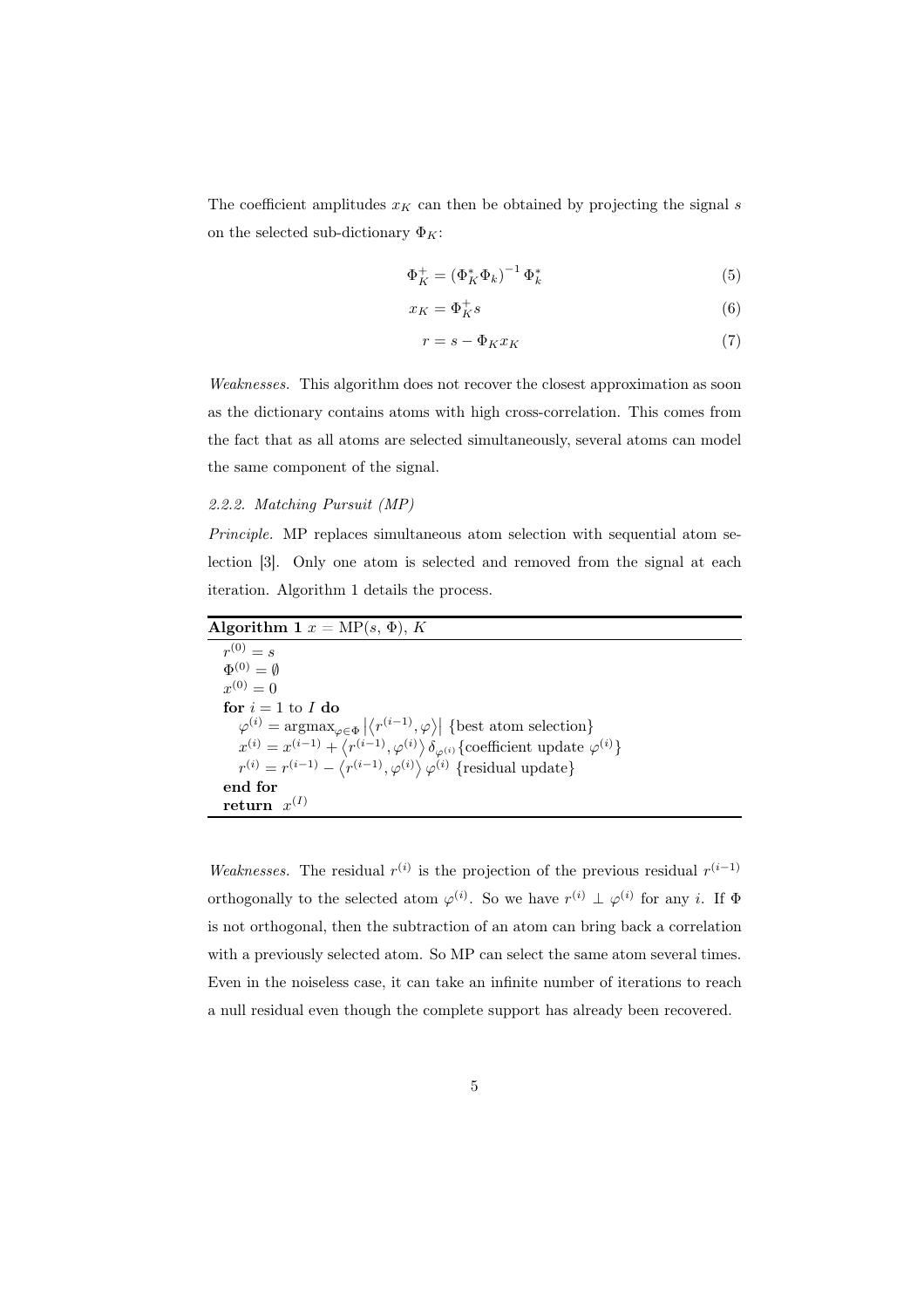The coefficient amplitudes  $x_K$  can then be obtained by projecting the signal s on the selected sub-dictionary  $\Phi_K$ :

$$
\Phi_K^+ = \left(\Phi_K^* \Phi_k\right)^{-1} \Phi_k^* \tag{5}
$$

$$
x_K = \Phi_K^+ s \tag{6}
$$

$$
r = s - \Phi_K x_K \tag{7}
$$

*Weaknesses.* This algorithm does not recover the closest approximation as soon as the dictionary contains atoms with high cross-correlation. This comes from the fact that as all atoms are selected simultaneously, several atoms can model the same component of the signal.

#### *2.2.2. Matching Pursuit (MP)*

*Principle.* MP replaces simultaneous atom selection with sequential atom selection [3]. Only one atom is selected and removed from the signal at each iteration. Algorithm 1 details the process.

Algorithm 1  $x = MP(s, \Phi)$ , K  $r^{(0)} = s$  $\Phi^{(0)}=\emptyset$  $x^{(0)} = 0$ for  $i=1$  to  $I$  do  $\varphi^{(i)} = \operatorname{argmax}_{\varphi \in \Phi} |\langle r^{(i-1)}, \varphi \rangle|$  {best atom selection}  $x^{(i)} = x^{(i-1)} + \langle r^{(i-1)}, \varphi^{(i)} \rangle \delta_{\varphi^{(i)}}$  {coefficient update  $\varphi^{(i)}$ }  $r^{(i)} = r^{(i-1)} - \langle r^{(i-1)}, \varphi^{(i)} \rangle \varphi^{(i)}$  {residual update} end for  $return x^{(I)}$ 

*Weaknesses.* The residual  $r^{(i)}$  is the projection of the previous residual  $r^{(i-1)}$ orthogonally to the selected atom  $\varphi^{(i)}$ . So we have  $r^{(i)} \perp \varphi^{(i)}$  for any *i*. If  $\Phi$ is not orthogonal, then the subtraction of an atom can bring back a correlation with a previously selected atom. So MP can select the same atom several times. Even in the noiseless case, it can take an infinite number of iterations to reach a null residual even though the complete support has already been recovered.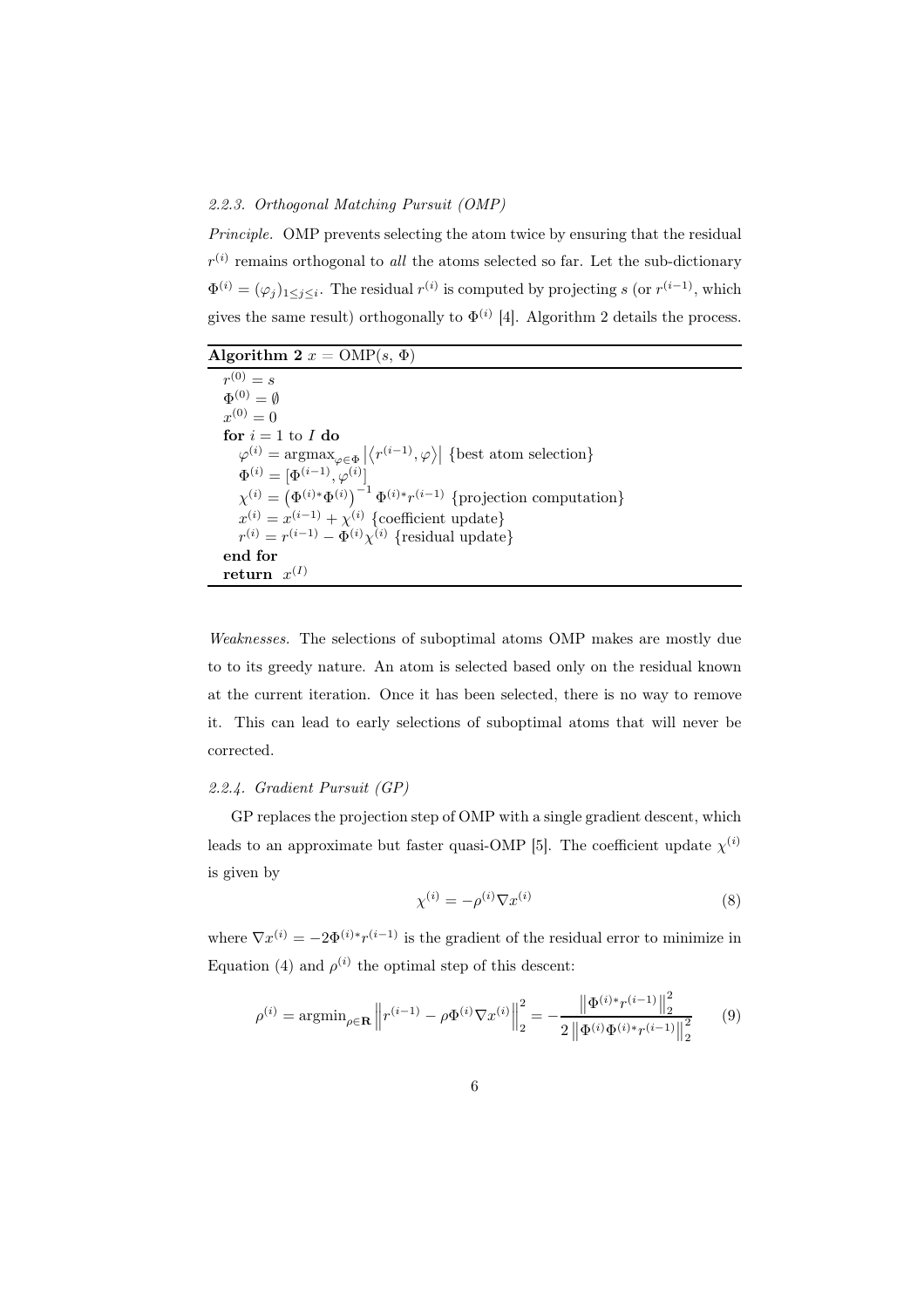#### *2.2.3. Orthogonal Matching Pursuit (OMP)*

*Principle.* OMP prevents selecting the atom twice by ensuring that the residual  $r^{(i)}$  remains orthogonal to *all* the atoms selected so far. Let the sub-dictionary  $\Phi^{(i)} = (\varphi_j)_{1 \leq j \leq i}$ . The residual  $r^{(i)}$  is computed by projecting s (or  $r^{(i-1)}$ , which gives the same result) orthogonally to  $\Phi^{(i)}$  [4]. Algorithm 2 details the process.

Algorithm 2  $x = \text{OMP}(s, \Phi)$ 

| $r^{(0)} = s$                                                                                                         |
|-----------------------------------------------------------------------------------------------------------------------|
| $\Phi^{(0)} = \emptyset$                                                                                              |
| $r^{(0)}=0$                                                                                                           |
| for $i = 1$ to I do                                                                                                   |
| $\varphi^{(i)} = \operatorname{argmax}_{\varphi \in \Phi}  \langle r^{(i-1)}, \varphi \rangle $ {best atom selection} |
| $\Phi^{(i)} = [\Phi^{(i-1)}, \varphi^{(i)}]$                                                                          |
| $\chi^{(i)} = \left(\Phi^{(i)*}\Phi^{(i)}\right)^{-1}\Phi^{(i)*}r^{(i-1)}$ {projection computation}                   |
| $x^{(i)} = x^{(i-1)} + \chi^{(i)}$ {coefficient update}                                                               |
| $r^{(i)} = r^{(i-1)} - \Phi^{(i)} \chi^{(i)}$ {residual update}                                                       |
| end for                                                                                                               |
| return $x^{(1)}$                                                                                                      |

*Weaknesses.* The selections of suboptimal atoms OMP makes are mostly due to to its greedy nature. An atom is selected based only on the residual known at the current iteration. Once it has been selected, there is no way to remove it. This can lead to early selections of suboptimal atoms that will never be corrected.

# *2.2.4. Gradient Pursuit (GP)*

GP replaces the projection step of OMP with a single gradient descent, which leads to an approximate but faster quasi-OMP [5]. The coefficient update  $\chi^{(i)}$ is given by

$$
\chi^{(i)} = -\rho^{(i)} \nabla x^{(i)} \tag{8}
$$

where  $\nabla x^{(i)} = -2\Phi^{(i)*}r^{(i-1)}$  is the gradient of the residual error to minimize in Equation (4) and  $\rho^{(i)}$  the optimal step of this descent:

$$
\rho^{(i)} = \operatorname{argmin}_{\rho \in \mathbf{R}} \left\| r^{(i-1)} - \rho \Phi^{(i)} \nabla x^{(i)} \right\|_2^2 = -\frac{\left\| \Phi^{(i)*} r^{(i-1)} \right\|_2^2}{2 \left\| \Phi^{(i)} \Phi^{(i)*} r^{(i-1)} \right\|_2^2} \tag{9}
$$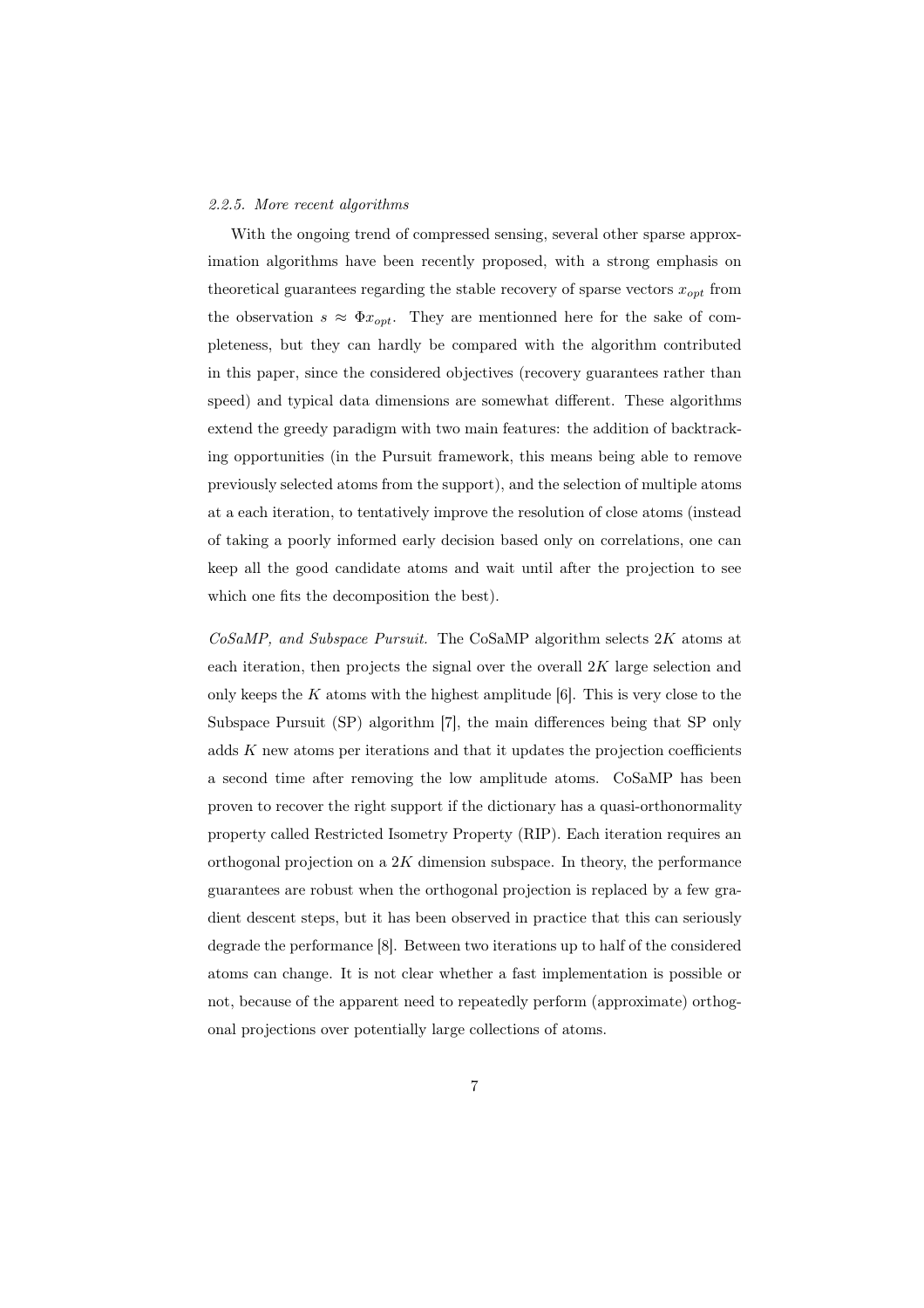#### *2.2.5. More recent algorithms*

With the ongoing trend of compressed sensing, several other sparse approximation algorithms have been recently proposed, with a strong emphasis on theoretical guarantees regarding the stable recovery of sparse vectors  $\boldsymbol{x_{opt}}$  from the observation  $s \approx \Phi x_{opt}$ . They are mentionned here for the sake of completeness, but they can hardly be compared with the algorithm contributed in this paper, since the considered objectives (recovery guarantees rather than speed) and typical data dimensions are somewhat different. These algorithms extend the greedy paradigm with two main features: the addition of backtracking opportunities (in the Pursuit framework, this means being able to remove previously selected atoms from the support), and the selection of multiple atoms at a each iteration, to tentatively improve the resolution of close atoms (instead of taking a poorly informed early decision based only on correlations, one can keep all the good candidate atoms and wait until after the projection to see which one fits the decomposition the best).

*CoSaMP, and Subspace Pursuit.* The CoSaMP algorithm selects 2K atoms at each iteration, then projects the signal over the overall 2K large selection and only keeps the  $K$  atoms with the highest amplitude [6]. This is very close to the Subspace Pursuit (SP) algorithm [7], the main differences being that SP only adds  $K$  new atoms per iterations and that it updates the projection coefficients a second time after removing the low amplitude atoms. CoSaMP has been proven to recover the right support if the dictionary has a quasi-orthonormality property called Restricted Isometry Property (RIP). Each iteration requires an orthogonal projection on a  $2K$  dimension subspace. In theory, the performance guarantees are robust when the orthogonal projection is replaced by a few gradient descent steps, but it has been observed in practice that this can seriously degrade the performance [8]. Between two iterations up to half of the considered atoms can change. It is not clear whether a fast implementation is possible or not, because of the apparent need to repeatedly perform (approximate) orthogonal projections over potentially large collections of atoms.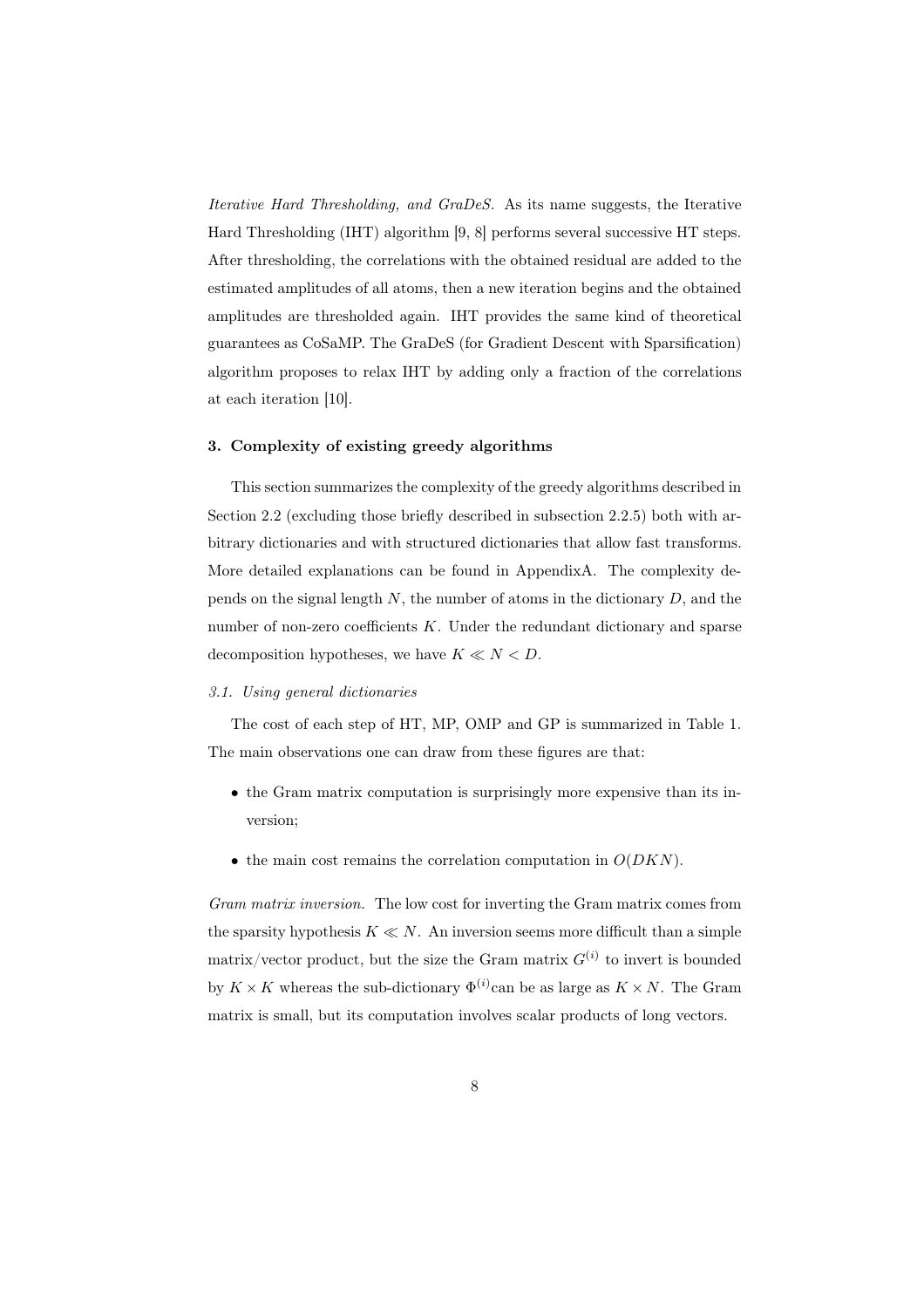*Iterative Hard Thresholding, and GraDeS.* As its name suggests, the Iterative Hard Thresholding (IHT) algorithm [9, 8] performs several successive HT steps. After thresholding, the correlations with the obtained residual are added to the estimated amplitudes of all atoms, then a new iteration begins and the obtained amplitudes are thresholded again. IHT provides the same kind of theoretical guarantees as CoSaMP. The GraDeS (for Gradient Descent with Sparsification) algorithm proposes to relax IHT by adding only a fraction of the correlations at each iteration [10].

# 3. Complexity of existing greedy algorithms

This section summarizes the complexity of the greedy algorithms described in Section 2.2 (excluding those briefly described in subsection 2.2.5) both with arbitrary dictionaries and with structured dictionaries that allow fast transforms. More detailed explanations can be found in AppendixA. The complexity depends on the signal length  $N$ , the number of atoms in the dictionary  $D$ , and the number of non-zero coefficients  $K$ . Under the redundant dictionary and sparse decomposition hypotheses, we have  $K \ll N \ll D$ .

### *3.1. Using general dictionaries*

The cost of each step of HT, MP, OMP and GP is summarized in Table 1. The main observations one can draw from these figures are that:

- the Gram matrix computation is surprisingly more expensive than its inversion;
- the main cost remains the correlation computation in  $O(DKN)$ .

*Gram matrix inversion.* The low cost for inverting the Gram matrix comes from the sparsity hypothesis  $K \ll N$ . An inversion seems more difficult than a simple matrix/vector product, but the size the Gram matrix  $G^{(i)}$  to invert is bounded by  $K \times K$  whereas the sub-dictionary  $\Phi^{(i)}$  can be as large as  $K \times N$ . The Gram matrix is small, but its computation involves scalar products of long vectors.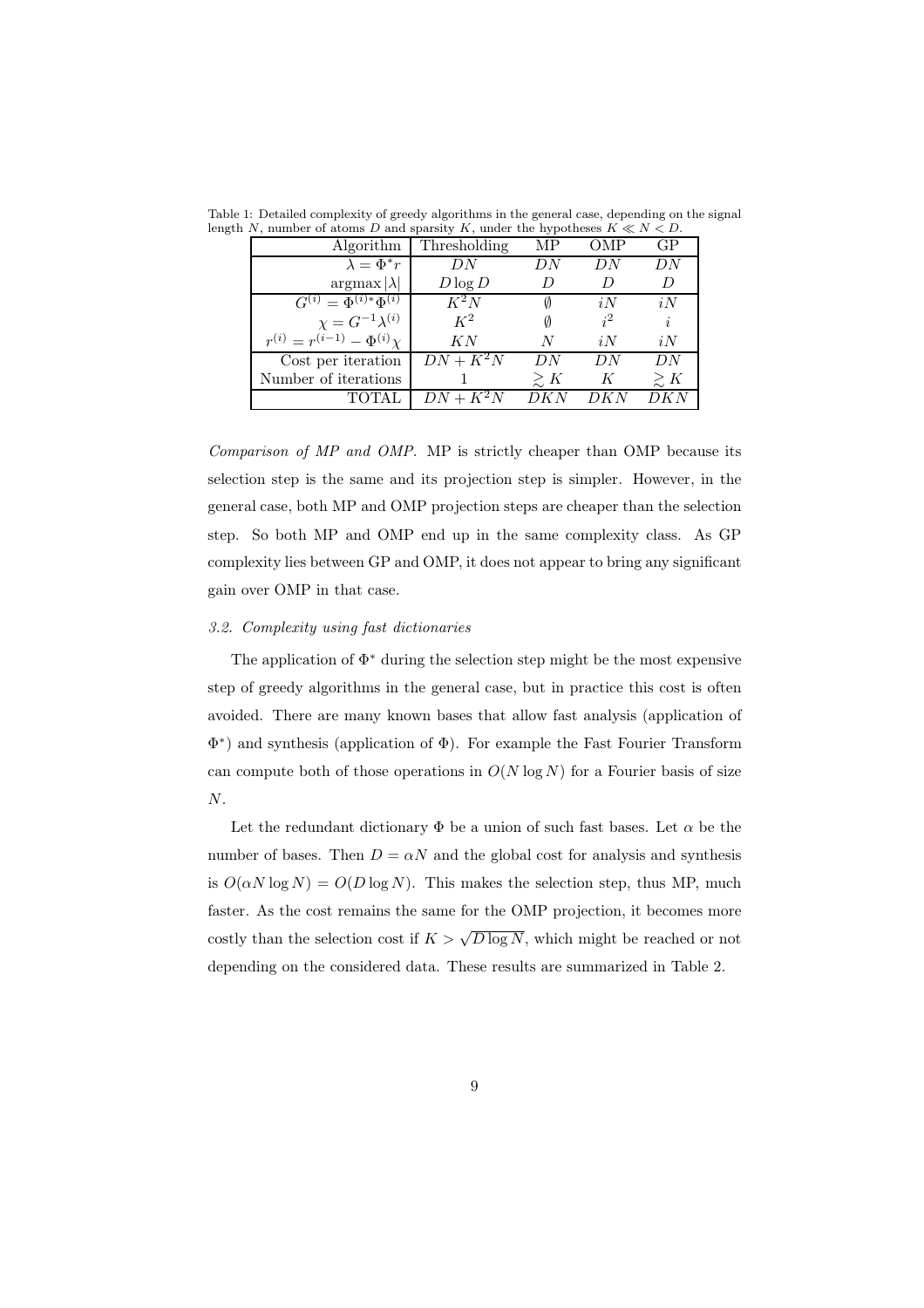| Algorithm                               | Thresholding | MР          | OMP   | GР             |
|-----------------------------------------|--------------|-------------|-------|----------------|
| $\lambda = \Phi^* r$                    | DN           | DΝ          | DN    | DN             |
| $argmax  \lambda $                      | $D \log D$   |             |       |                |
| $G^{(i)} = \Phi^{(i)*}\Phi^{(i)}$       | $K^2N$       |             | iN    | i <sub>N</sub> |
| $\chi = G^{-1} \lambda^{(i)}$           | $K^2$        |             | $i^2$ | i              |
| $r^{(i)} = r^{(i-1)} - \Phi^{(i)} \chi$ | KN           | N           | iN    | iN             |
| Cost per iteration                      | $DN + K^2N$  | DN          | DN    | DN             |
| Number of iterations                    |              | $\gtrsim K$ | K     | $\gtrsim K$    |
|                                         | $DN + K^2N$  |             |       |                |

Table 1: Detailed complexity of greedy algorithms in the general case, depending on the signal length N, number of atoms D and sparsity K, under the hypotheses  $K \ll N < D$ .

*Comparison of MP and OMP.* MP is strictly cheaper than OMP because its selection step is the same and its projection step is simpler. However, in the general case, both MP and OMP projection steps are cheaper than the selection step. So both MP and OMP end up in the same complexity class. As GP complexity lies between GP and OMP, it does not appear to bring any significant gain over OMP in that case.

#### *3.2. Complexity using fast dictionaries*

The application of  $\Phi^*$  during the selection step might be the most expensive step of greedy algorithms in the general case, but in practice this cost is often avoided. There are many known bases that allow fast analysis (application of Φ ∗ ) and synthesis (application of Φ). For example the Fast Fourier Transform can compute both of those operations in  $O(N \log N)$  for a Fourier basis of size  $\boldsymbol{N}.$ 

Let the redundant dictionary  $\Phi$  be a union of such fast bases. Let  $\alpha$  be the number of bases. Then  $D = \alpha N$  and the global cost for analysis and synthesis is  $O(\alpha N \log N) = O(D \log N)$ . This makes the selection step, thus MP, much faster. As the cost remains the same for the OMP projection, it becomes more costly than the selection cost if  $K > \sqrt{D \log N}$ , which might be reached or not depending on the considered data. These results are summarized in Table 2.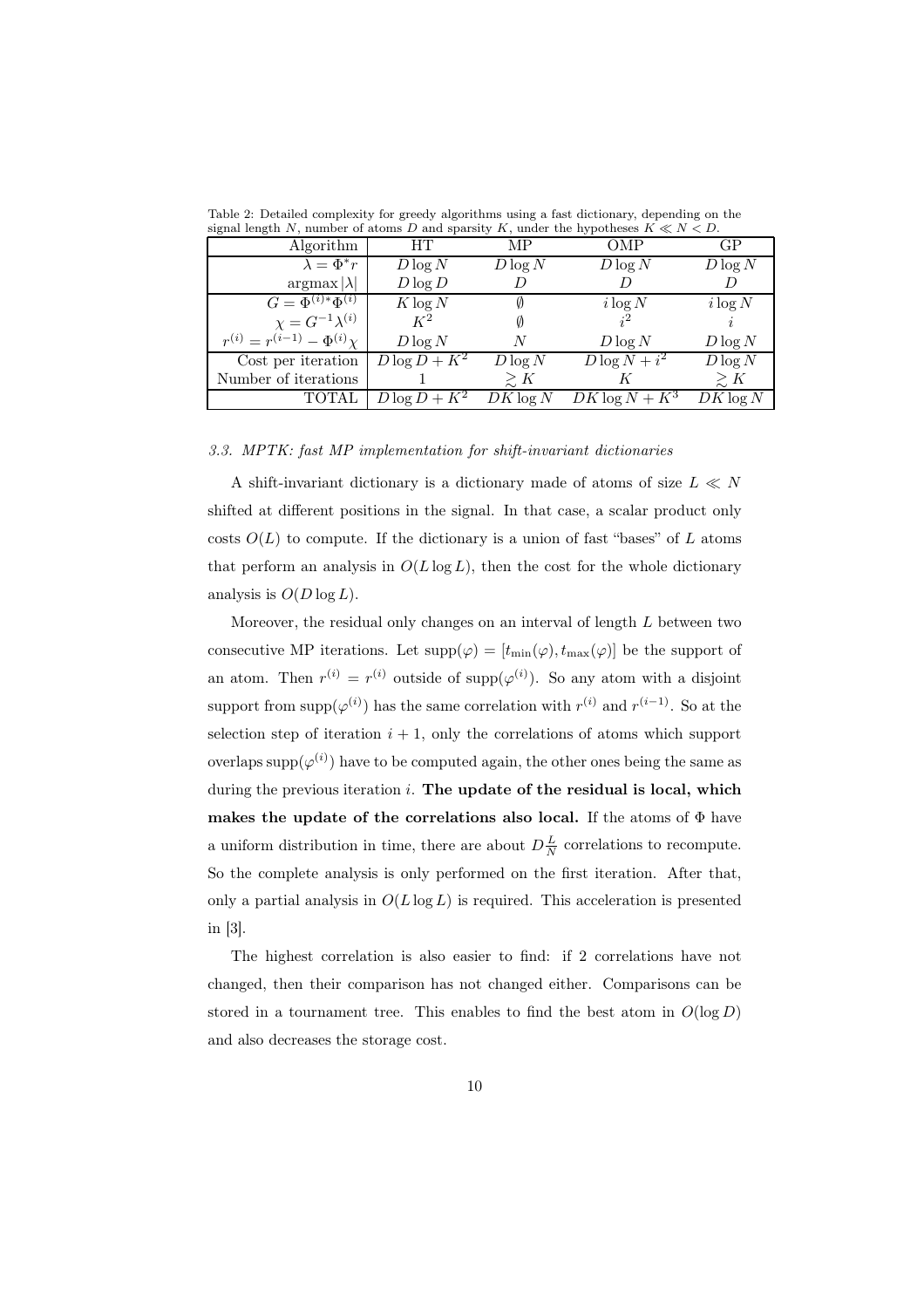| signal length by, number of abolits D and sparsity $K$ , under the hypotheses $K \le N \le D$ . |                 |             |                  |             |
|-------------------------------------------------------------------------------------------------|-----------------|-------------|------------------|-------------|
| Algorithm                                                                                       | HТ              | MР          | <b>OMP</b>       | GP          |
| $\lambda = \Phi^* r$                                                                            | $D \log N$      | $D \log N$  | $D \log N$       | $D \log N$  |
| $argmax  \lambda $                                                                              | $D \log D$      |             |                  |             |
| $G = \overline{\Phi^{(i)*}\Phi^{(i)}}$                                                          | $K \log N$      |             | $i \log N$       | $i \log N$  |
| $\chi = G^{-1} \lambda^{(i)}$                                                                   | $K^2$           |             | $i^2$            |             |
| $r^{(i)} = r^{(i-1)} - \Phi^{(i)} \chi$                                                         | $D \log N$      | N           | $D \log N$       | $D \log N$  |
| Cost per iteration                                                                              | $D\log D + K^2$ | $D \log N$  | $D\log N+i^2$    | $D \log N$  |
| Number of iterations                                                                            |                 | $\gtrsim K$ |                  | $\gtrsim K$ |
| <b>TOTAL</b>                                                                                    | $D\log D + K^2$ | $DK\log N$  | $DK\log N + K^3$ | $DK \log N$ |

Table 2: Detailed complexity for greedy algorithms using a fast dictionary, depending on the signal length N, number of atoms D and sparsity K, under the hypotheses  $K \ll N < D$ .

### *3.3. MPTK: fast MP implementation for shift-invariant dictionaries*

A shift-invariant dictionary is a dictionary made of atoms of size  $L \ll N$ shifted at different positions in the signal. In that case, a scalar product only costs  $O(L)$  to compute. If the dictionary is a union of fast "bases" of L atoms that perform an analysis in  $O(L \log L)$ , then the cost for the whole dictionary analysis is  $O(D \log L)$ .

Moreover, the residual only changes on an interval of length L between two consecutive MP iterations. Let  $supp(\varphi) = [t_{\min}(\varphi), t_{\max}(\varphi)]$  be the support of an atom. Then  $r^{(i)} = r^{(i)}$  outside of supp $(\varphi^{(i)})$ . So any atom with a disjoint support from supp $(\varphi^{(i)})$  has the same correlation with  $r^{(i)}$  and  $r^{(i-1)}$ . So at the selection step of iteration  $i + 1$ , only the correlations of atoms which support overlaps supp $(\varphi^{(i)})$  have to be computed again, the other ones being the same as during the previous iteration  $i$ . The update of the residual is local, which makes the update of the correlations also local. If the atoms of  $\Phi$  have a uniform distribution in time, there are about  $D\frac{L}{N}$  correlations to recompute. So the complete analysis is only performed on the first iteration. After that, only a partial analysis in  $O(L \log L)$  is required. This acceleration is presented in [3].

The highest correlation is also easier to find: if 2 correlations have not changed, then their comparison has not changed either. Comparisons can be stored in a tournament tree. This enables to find the best atom in  $O(\log D)$ and also decreases the storage cost.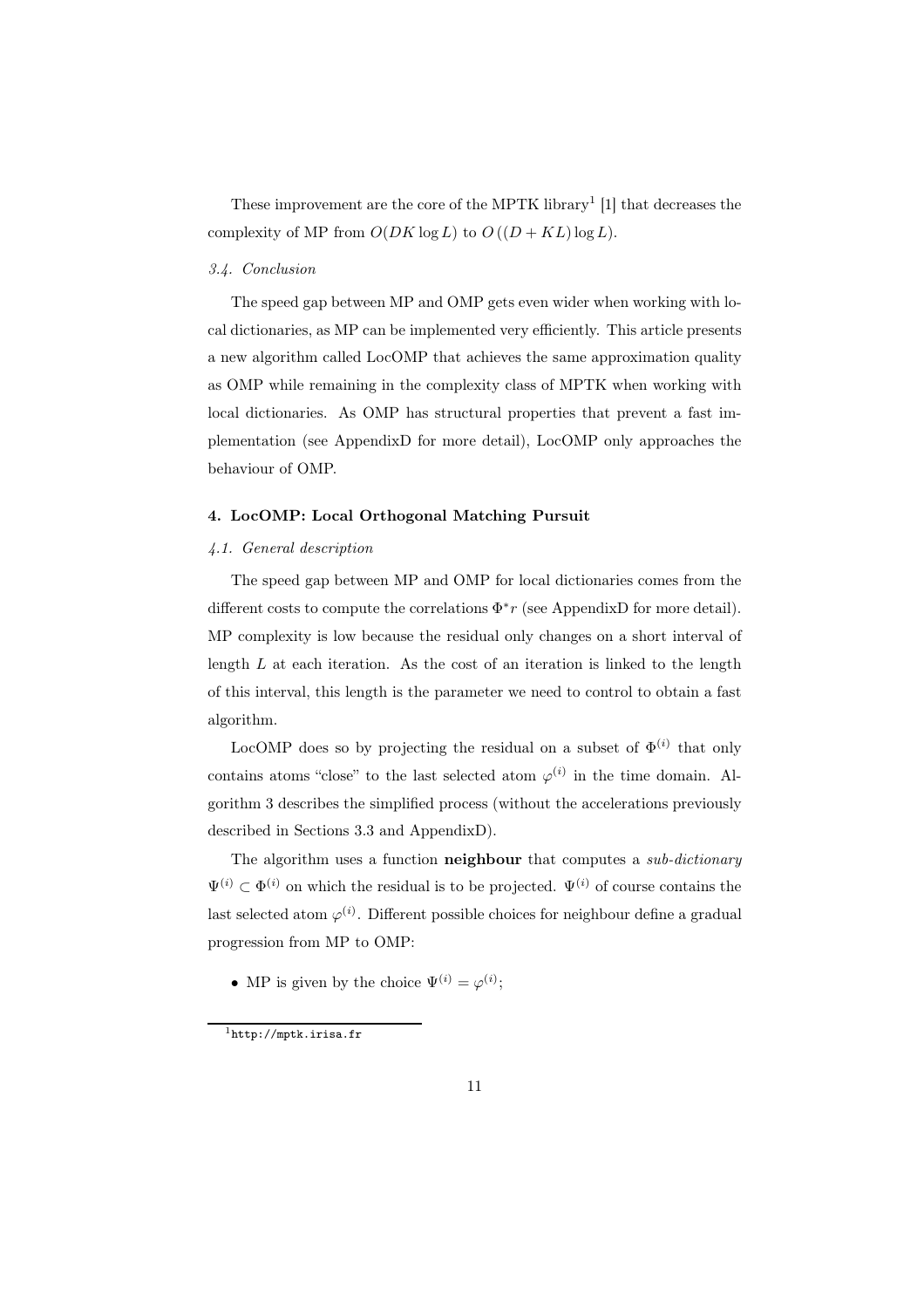These improvement are the core of the MPTK library<sup>1</sup> [1] that decreases the complexity of MP from  $O(DK \log L)$  to  $O((D + KL) \log L)$ .

# *3.4. Conclusion*

The speed gap between MP and OMP gets even wider when working with local dictionaries, as MP can be implemented very efficiently. This article presents a new algorithm called LocOMP that achieves the same approximation quality as OMP while remaining in the complexity class of MPTK when working with local dictionaries. As OMP has structural properties that prevent a fast implementation (see AppendixD for more detail), LocOMP only approaches the behaviour of OMP.

# 4. LocOMP: Local Orthogonal Matching Pursuit

#### *4.1. General description*

The speed gap between MP and OMP for local dictionaries comes from the different costs to compute the correlations  $\Phi^* r$  (see AppendixD for more detail). MP complexity is low because the residual only changes on a short interval of length  $L$  at each iteration. As the cost of an iteration is linked to the length of this interval, this length is the parameter we need to control to obtain a fast algorithm.

LocOMP does so by projecting the residual on a subset of  $\Phi^{(i)}$  that only contains atoms "close" to the last selected atom  $\varphi^{(i)}$  in the time domain. Algorithm 3 describes the simplified process (without the accelerations previously described in Sections 3.3 and AppendixD).

The algorithm uses a function neighbour that computes a *sub-dictionary*  $\Psi^{(i)} \subset \Phi^{(i)}$  on which the residual is to be projected.  $\Psi^{(i)}$  of course contains the last selected atom  $\varphi^{(i)}$ . Different possible choices for neighbour define a gradual progression from MP to OMP:

• MP is given by the choice  $\Psi^{(i)} = \varphi^{(i)}$ ;

<sup>1</sup>http://mptk.irisa.fr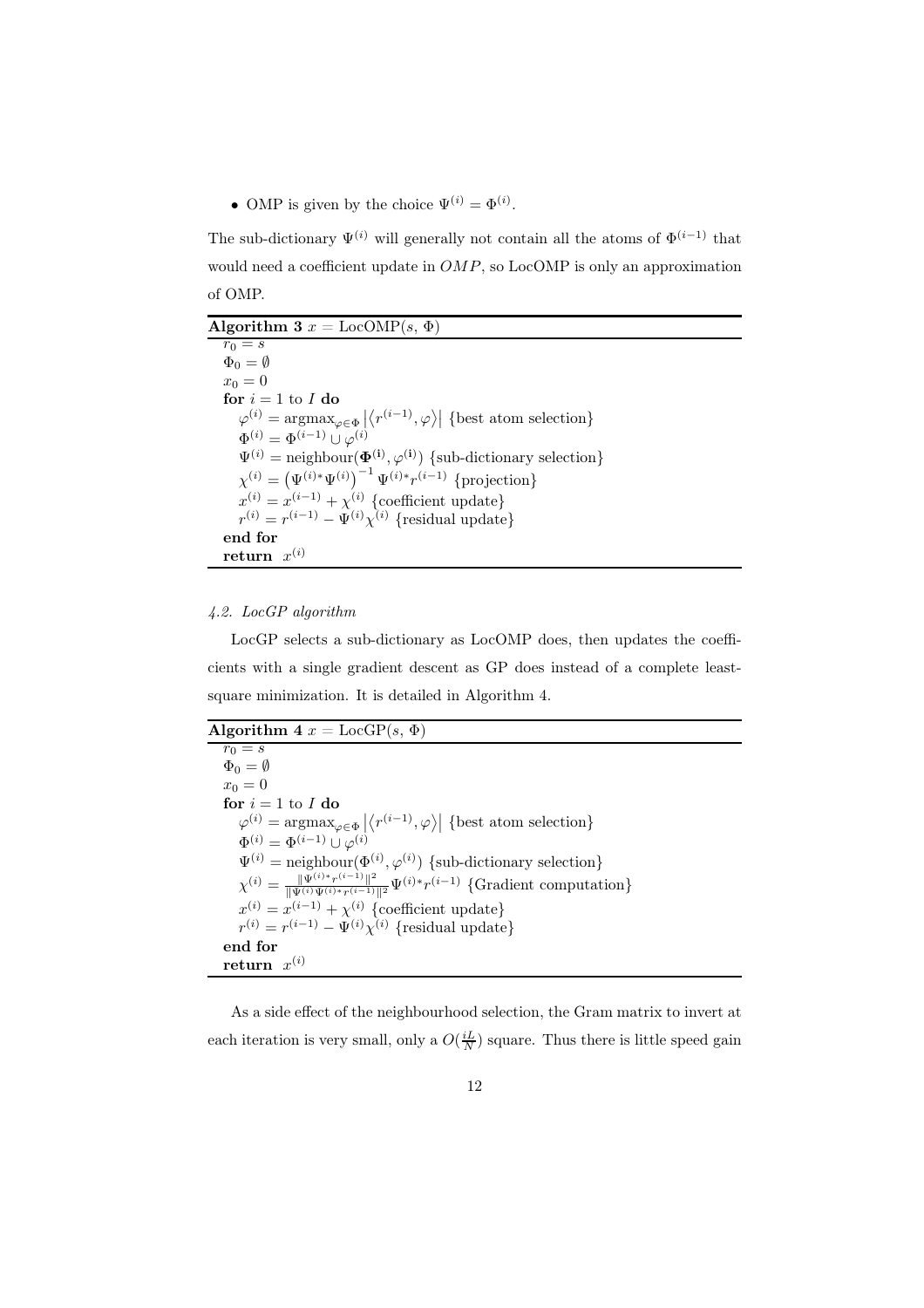• OMP is given by the choice  $\Psi^{(i)} = \Phi^{(i)}$ .

The sub-dictionary  $\Psi^{(i)}$  will generally not contain all the atoms of  $\Phi^{(i-1)}$  that would need a coefficient update in  $OMP$ , so LocOMP is only an approximation of OMP.

Algorithm 3  $x = \text{LocOMP}(s, \Phi)$  $r_0 = s$  $\Phi_0 = \emptyset$  $x_0 = 0$ for  $i = 1$  to  $I$  do  $\varphi^{(i)} = \operatorname*{argmax}_{\varphi \in \Phi} \left| \left\langle r^{(i-1)}, \varphi \right\rangle \right|$  {best atom selection}  $\Phi^{(i)} = \Phi^{(i-1)} \cup \varphi^{(i)}$  $\Psi^{(i)} = \text{neighbour}(\mathbf{\Phi}^{(i)}, \varphi^{(i)})$  {sub-dictionary selection}  $\chi^{(i)} = (\Psi^{(i)*} \Psi^{(i)})^{-1} \Psi^{(i)*} r^{(i-1)} \text{ }$  {projection}  $x^{(i)} = x^{(i-1)} + \chi^{(i)}$  {coefficient update}  $r^{(i)} = r^{(i-1)} - \Psi^{(i)} \chi^{(i)}$  {residual update} end for  ${\bf return} \;\; x^{(i)}$ 

# *4.2. LocGP algorithm*

LocGP selects a sub-dictionary as LocOMP does, then updates the coefficients with a single gradient descent as GP does instead of a complete leastsquare minimization. It is detailed in Algorithm 4.

| Algorithm 4 $x = \text{LocGP}(s, \Phi)$ |  |  |  |  |  |  |
|-----------------------------------------|--|--|--|--|--|--|
|-----------------------------------------|--|--|--|--|--|--|

| $r_0 = s$                                                                                                                          |
|------------------------------------------------------------------------------------------------------------------------------------|
| $\Phi_0 = \emptyset$                                                                                                               |
| $x_0=0$                                                                                                                            |
| for $i = 1$ to I do                                                                                                                |
| $\varphi^{(i)} = \text{argmax}_{\omega \in \Phi}  \langle r^{(i-1)}, \varphi \rangle $ {best atom selection}                       |
| $\Phi^{(i)} = \Phi^{(i-1)} \cup \varphi^{(i)}$                                                                                     |
| $\Psi^{(i)} =$ neighbour $(\Phi^{(i)}, \varphi^{(i)})$ {sub-dictionary selection}                                                  |
| $\chi^{(i)} = \frac{\ \Psi^{(i)*}r^{(i-1)}\ ^2}{\ \Psi^{(i)}\Psi^{(i)*}r^{(i-1)}\ ^2} \Psi^{(i)*}r^{(i-1)}$ {Gradient computation} |
| $x^{(i)} = x^{(i-1)} + \chi^{(i)}$ {coefficient update}                                                                            |
| $r^{(i)} = r^{(i-1)} - \Psi^{(i)} \chi^{(i)}$ {residual update}                                                                    |
| end for                                                                                                                            |
| return $x^{(i)}$                                                                                                                   |

As a side effect of the neighbourhood selection, the Gram matrix to invert at each iteration is very small, only a  $O(\frac{iL}{N})$  square. Thus there is little speed gain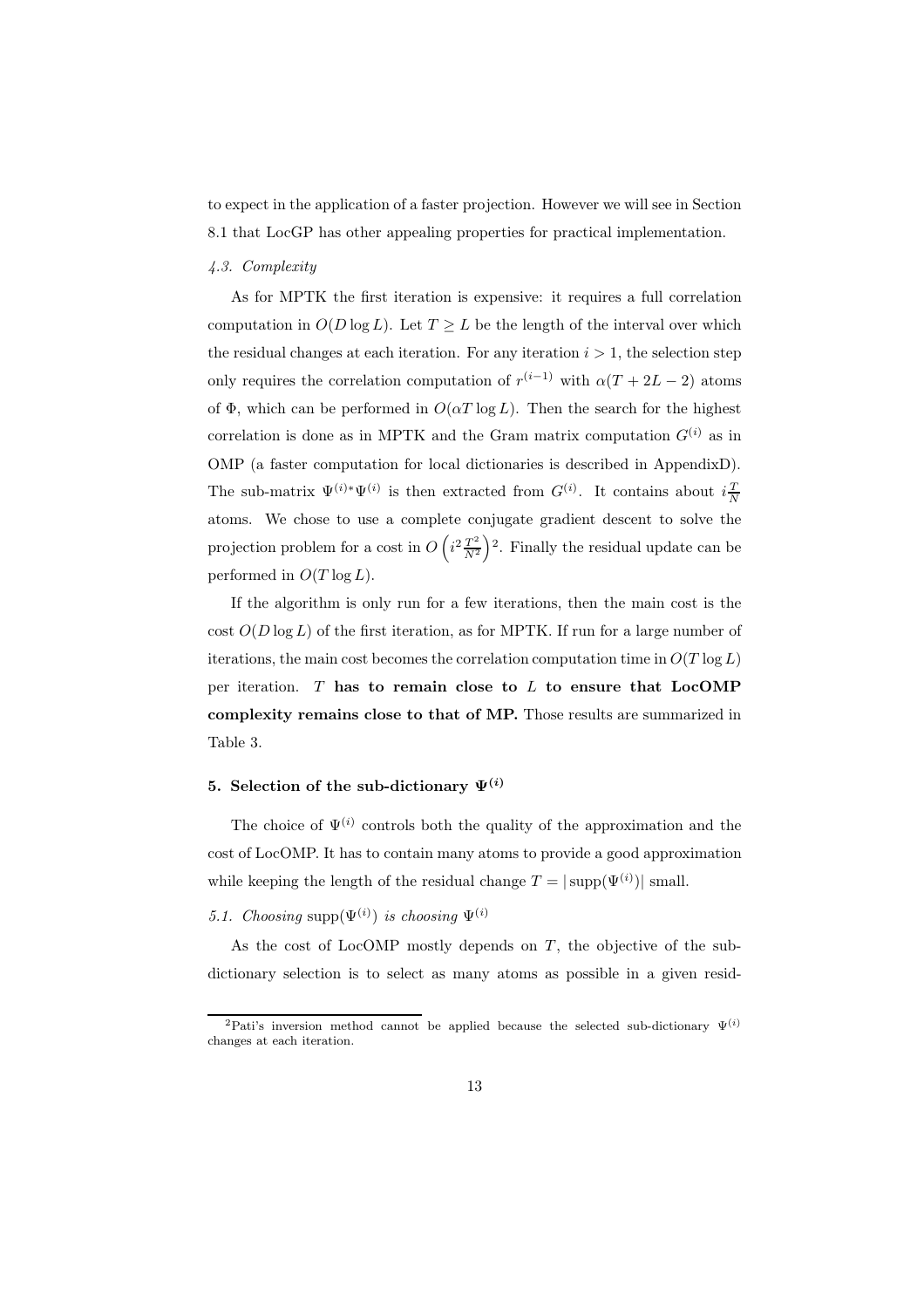to expect in the application of a faster projection. However we will see in Section 8.1 that LocGP has other appealing properties for practical implementation.

# *4.3. Complexity*

As for MPTK the first iteration is expensive: it requires a full correlation computation in  $O(D \log L)$ . Let  $T \geq L$  be the length of the interval over which the residual changes at each iteration. For any iteration  $i > 1$ , the selection step only requires the correlation computation of  $r^{(i-1)}$  with  $\alpha(T + 2L - 2)$  atoms of  $\Phi$ , which can be performed in  $O(\alpha T \log L)$ . Then the search for the highest correlation is done as in MPTK and the Gram matrix computation  $G^{(i)}$  as in OMP (a faster computation for local dictionaries is described in AppendixD). The sub-matrix  $\Psi^{(i)} \Psi^{(i)}$  is then extracted from  $G^{(i)}$ . It contains about  $i\frac{T}{N}$ atoms. We chose to use a complete conjugate gradient descent to solve the projection problem for a cost in  $O\left(i^2 \frac{T^2}{N^2}\right)$  $\frac{T^2}{N^2}$ <sup>2</sup>. Finally the residual update can be performed in  $O(T \log L)$ .

If the algorithm is only run for a few iterations, then the main cost is the cost  $O(D \log L)$  of the first iteration, as for MPTK. If run for a large number of iterations, the main cost becomes the correlation computation time in  $O(T \log L)$ per iteration.  $T$  has to remain close to  $L$  to ensure that  $LocOMP$ complexity remains close to that of MP. Those results are summarized in Table 3.

# 5. Selection of the sub-dictionary  $\Psi^{(i)}$

The choice of  $\Psi^{(i)}$  controls both the quality of the approximation and the cost of LocOMP. It has to contain many atoms to provide a good approximation while keeping the length of the residual change  $T = |\text{supp}(\Psi^{(i)})|$  small.

# 5.1. Choosing supp $(\Psi^{(i)})$  is choosing  $\Psi^{(i)}$

As the cost of LocOMP mostly depends on  $T$ , the objective of the subdictionary selection is to select as many atoms as possible in a given resid-

<sup>&</sup>lt;sup>2</sup>Pati's inversion method cannot be applied because the selected sub-dictionary  $\Psi^{(i)}$ changes at each iteration.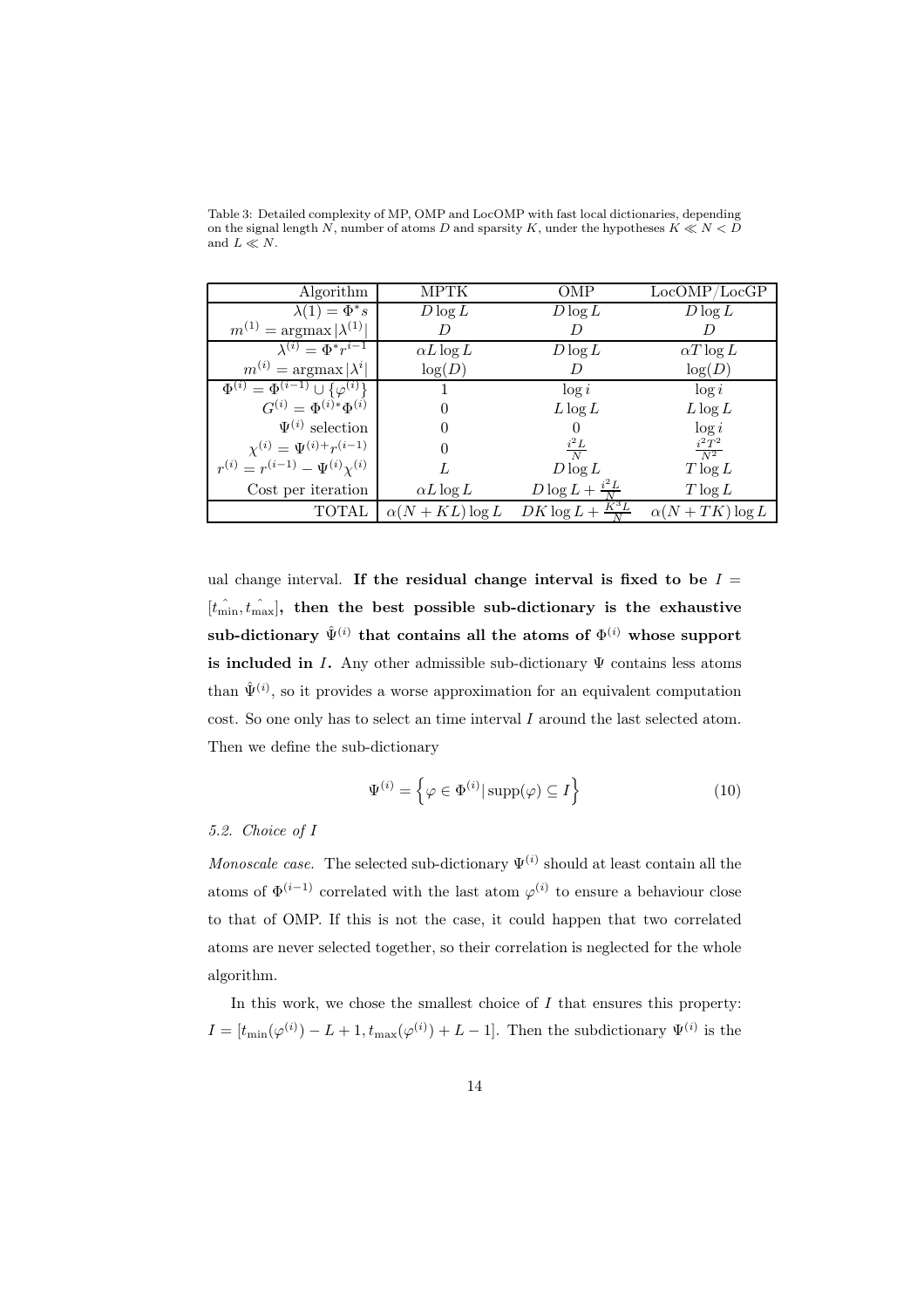| Algorithm                                        | <b>MPTK</b>          | OMP                            | LocOMP/LocGP         |
|--------------------------------------------------|----------------------|--------------------------------|----------------------|
| $\lambda(1) = \Phi^* \overline{s}$               | $D \log L$           | $D \log L$                     | $D \log L$           |
| $m^{(1)} = \arg\max  \lambda^{(1)} $             | D                    | D                              |                      |
| $\overline{\lambda^{(i)}} = \Phi^* r^{i-1}$      | $\alpha L \log L$    | $D \log L$                     | $\alpha T \log L$    |
| $m^{(i)} = \arg\max  \lambda^i $                 | log(D)               | D                              | log(D)               |
| $\Phi^{(i)} = \Phi^{(i-1)} \cup {\varphi^{(i)}}$ |                      | $\log i$                       | $\log i$             |
| $G^{(i)} = \Phi^{(i)*} \Phi^{(i)}$               |                      | $L \log L$                     | $L \log L$           |
| $\Psi^{(i)}$ selection                           |                      |                                | $\log i$             |
| $\chi^{(i)} = \Psi^{(i)+} r^{(i-1)}$             |                      | $\frac{i^2L}{N}$               | $i^2T^2$<br>$N^2$    |
| $r^{(i)} = r^{(i-1)} - \Psi^{(i)} \chi^{(i)}$    |                      | $D \log L$                     | $T \log L$           |
| Cost per iteration                               | $\alpha L \log L$    | $D\log L + \frac{i^2L}{N}$     | $T \log L$           |
| TOTAL                                            | $\alpha(N+KL)\log L$ | $K^{\sigma}L$<br>$DK \log L +$ | $\alpha(N+TK)\log L$ |

Table 3: Detailed complexity of MP, OMP and LocOMP with fast local dictionaries, depending on the signal length N, number of atoms D and sparsity K, under the hypotheses  $K \ll N < D$ and  $L \ll N.$ 

ual change interval. If the residual change interval is fixed to be  $I =$  $[t_{\min}, t_{\max}]$ , then the best possible sub-dictionary is the exhaustive  $\text{sub-dictionary }\hat{\Psi}^{(i)}$  that contains all the atoms of  $\Phi^{(i)}$  whose support is included in I. Any other admissible sub-dictionary  $\Psi$  contains less atoms than  $\hat{\Psi}^{(i)}$ , so it provides a worse approximation for an equivalent computation cost. So one only has to select an time interval I around the last selected atom. Then we define the sub-dictionary

$$
\Psi^{(i)} = \left\{ \varphi \in \Phi^{(i)} | \operatorname{supp}(\varphi) \subseteq I \right\} \tag{10}
$$

# *5.2. Choice of* I

*Monoscale case.* The selected sub-dictionary  $\Psi^{(i)}$  should at least contain all the atoms of  $\Phi^{(i-1)}$  correlated with the last atom  $\varphi^{(i)}$  to ensure a behaviour close to that of OMP. If this is not the case, it could happen that two correlated atoms are never selected together, so their correlation is neglected for the whole algorithm.

In this work, we chose the smallest choice of  $I$  that ensures this property:  $I = [t_{\min}(\varphi^{(i)}) - L + 1, t_{\max}(\varphi^{(i)}) + L - 1]$ . Then the subdictionary  $\Psi^{(i)}$  is the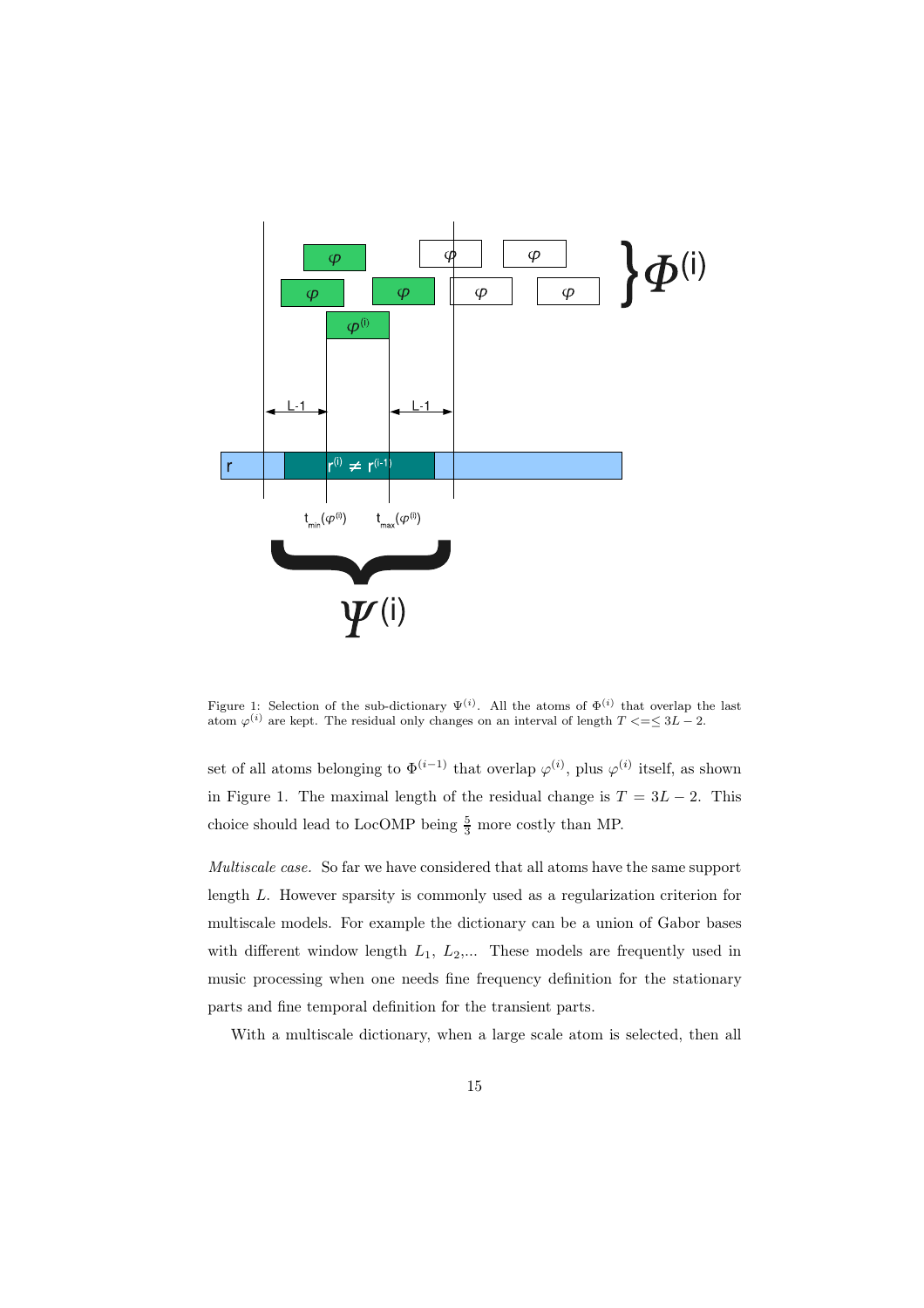

Figure 1: Selection of the sub-dictionary  $\Psi^{(i)}$ . All the atoms of  $\Phi^{(i)}$  that overlap the last atom  $\varphi^{(i)}$  are kept. The residual only changes on an interval of length  $T \leq \leq 3L - 2$ .

set of all atoms belonging to  $\Phi^{(i-1)}$  that overlap  $\varphi^{(i)}$ , plus  $\varphi^{(i)}$  itself, as shown in Figure 1. The maximal length of the residual change is  $T = 3L - 2$ . This choice should lead to LocOMP being  $\frac{5}{3}$  more costly than MP.

*Multiscale case.* So far we have considered that all atoms have the same support length L. However sparsity is commonly used as a regularization criterion for multiscale models. For example the dictionary can be a union of Gabor bases with different window length  $L_1$ ,  $L_2$ ,... These models are frequently used in music processing when one needs fine frequency definition for the stationary parts and fine temporal definition for the transient parts.

With a multiscale dictionary, when a large scale atom is selected, then all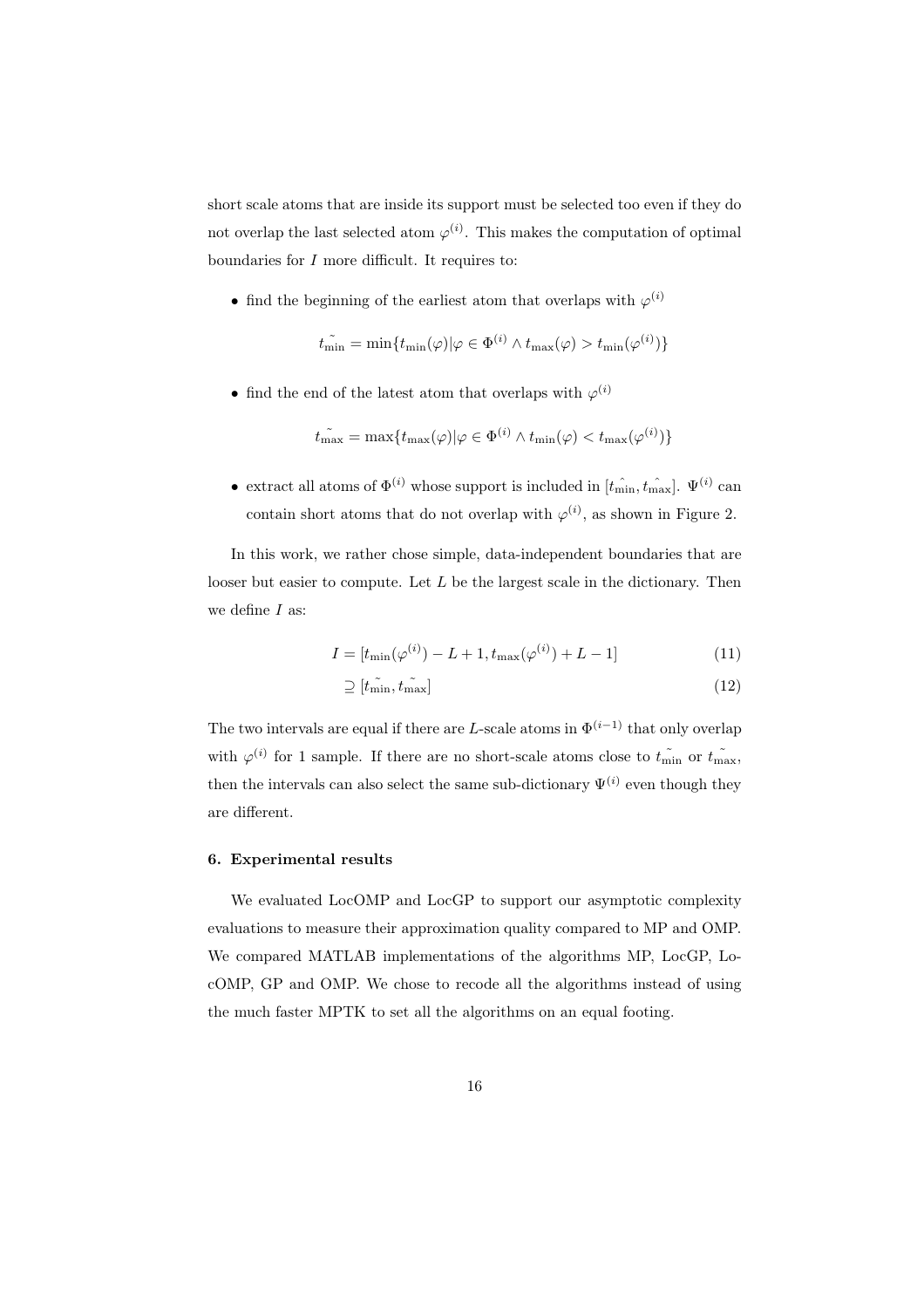short scale atoms that are inside its support must be selected too even if they do not overlap the last selected atom  $\varphi^{(i)}$ . This makes the computation of optimal boundaries for  $I$  more difficult. It requires to:

• find the beginning of the earliest atom that overlaps with  $\varphi^{(i)}$ 

$$
t_{\min} = \min\{t_{\min}(\varphi)|\varphi \in \Phi^{(i)} \land t_{\max}(\varphi) > t_{\min}(\varphi^{(i)})\}
$$

• find the end of the latest atom that overlaps with  $\varphi^{(i)}$ 

$$
\tilde{t_{\max}} = \max\{t_{\max}(\varphi)|\varphi \in \Phi^{(i)} \land t_{\min}(\varphi) < t_{\max}(\varphi^{(i)})\}
$$

• extract all atoms of  $\Phi^{(i)}$  whose support is included in  $[t_{\min}, t_{\max}]$ .  $\Psi^{(i)}$  can contain short atoms that do not overlap with  $\varphi^{(i)}$ , as shown in Figure 2.

In this work, we rather chose simple, data-independent boundaries that are looser but easier to compute. Let  $L$  be the largest scale in the dictionary. Then we define  $I$  as:

$$
I = [t_{\min}(\varphi^{(i)}) - L + 1, t_{\max}(\varphi^{(i)}) + L - 1]
$$
\n(11)

$$
\supseteq [\tilde{t}_{\min}, \tilde{t}_{\max}] \tag{12}
$$

The two intervals are equal if there are L-scale atoms in  $\Phi^{(i-1)}$  that only overlap with  $\varphi^{(i)}$  for 1 sample. If there are no short-scale atoms close to  $t_{\min}$  or  $t_{\max}$ , then the intervals can also select the same sub-dictionary  $\Psi^{(i)}$  even though they are different.

# 6. Experimental results

We evaluated LocOMP and LocGP to support our asymptotic complexity evaluations to measure their approximation quality compared to MP and OMP. We compared MATLAB implementations of the algorithms MP, LocGP, LocOMP, GP and OMP. We chose to recode all the algorithms instead of using the much faster MPTK to set all the algorithms on an equal footing.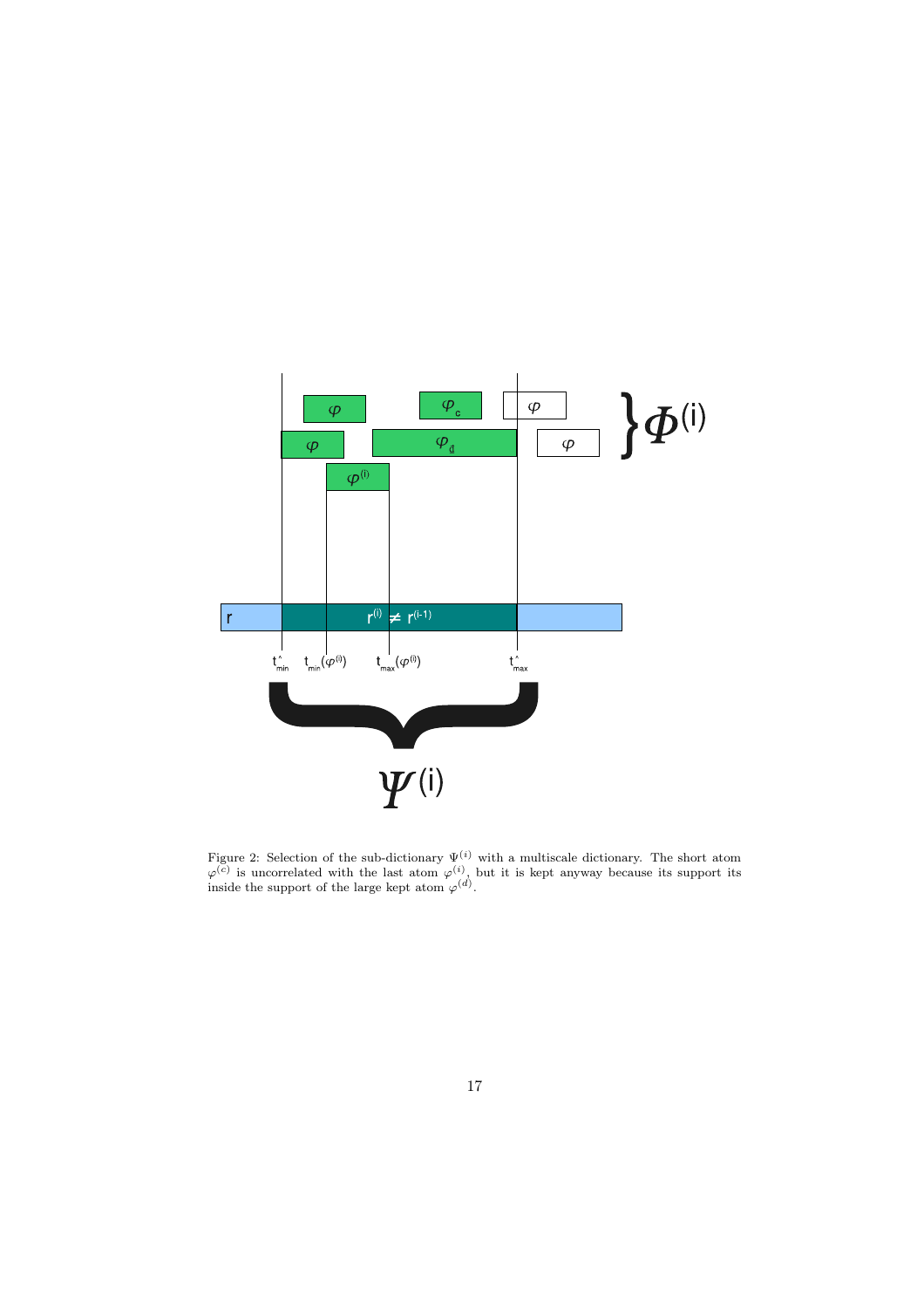

Figure 2: Selection of the sub-dictionary  $\Psi^{(i)}$  with a multiscale dictionary. The short atom  $\varphi^{(\vec{c})}$  is uncorrelated with the last atom  $\varphi^{(i)}$ , but it is kept anyway because its support its inside the support of the large kept atom  $\varphi^{(d)}$ .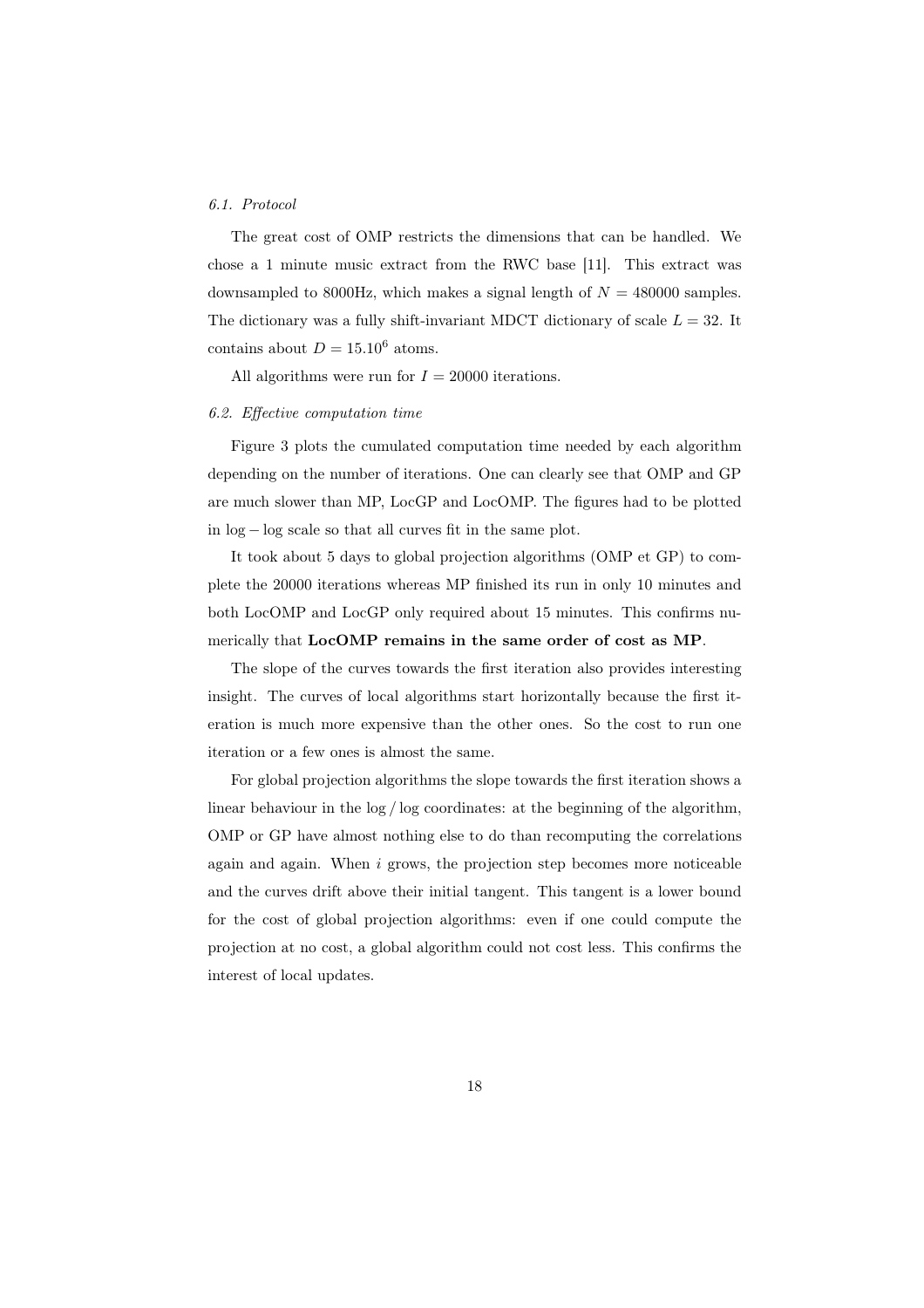#### *6.1. Protocol*

The great cost of OMP restricts the dimensions that can be handled. We chose a 1 minute music extract from the RWC base [11]. This extract was downsampled to 8000Hz, which makes a signal length of  $N = 480000$  samples. The dictionary was a fully shift-invariant MDCT dictionary of scale  $L = 32$ . It contains about  $D = 15.10^6$  atoms.

All algorithms were run for  $I = 20000$  iterations.

#### *6.2. Effective computation time*

Figure 3 plots the cumulated computation time needed by each algorithm depending on the number of iterations. One can clearly see that OMP and GP are much slower than MP, LocGP and LocOMP. The figures had to be plotted in log − log scale so that all curves fit in the same plot.

It took about 5 days to global projection algorithms (OMP et GP) to complete the 20000 iterations whereas MP finished its run in only 10 minutes and both LocOMP and LocGP only required about 15 minutes. This confirms numerically that LocOMP remains in the same order of cost as MP.

The slope of the curves towards the first iteration also provides interesting insight. The curves of local algorithms start horizontally because the first iteration is much more expensive than the other ones. So the cost to run one iteration or a few ones is almost the same.

For global projection algorithms the slope towards the first iteration shows a linear behaviour in the log / log coordinates: at the beginning of the algorithm, OMP or GP have almost nothing else to do than recomputing the correlations again and again. When  $i$  grows, the projection step becomes more noticeable and the curves drift above their initial tangent. This tangent is a lower bound for the cost of global projection algorithms: even if one could compute the projection at no cost, a global algorithm could not cost less. This confirms the interest of local updates.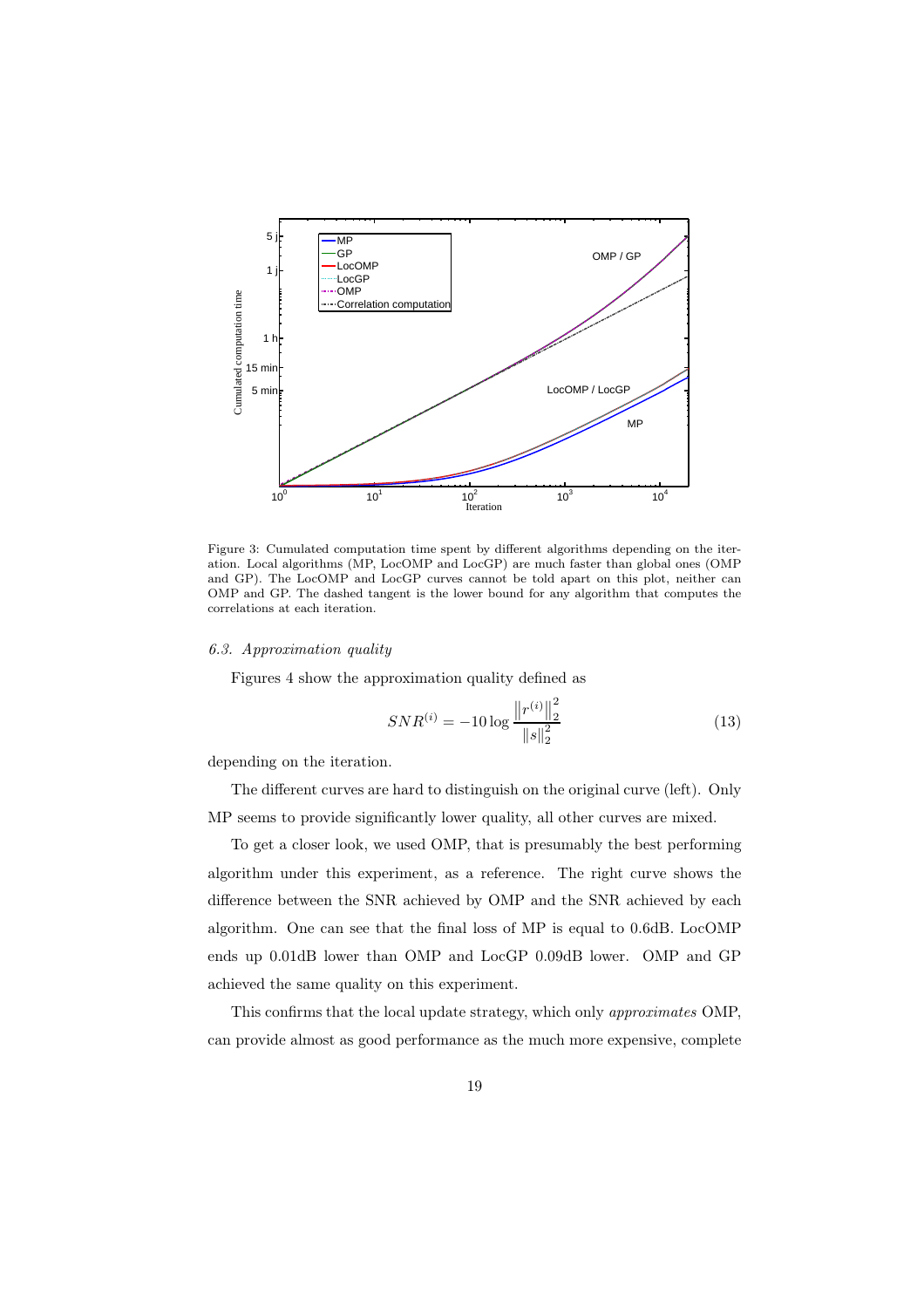

Figure 3: Cumulated computation time spent by different algorithms depending on the iteration. Local algorithms (MP, LocOMP and LocGP) are much faster than global ones (OMP and GP). The LocOMP and LocGP curves cannot be told apart on this plot, neither can OMP and GP. The dashed tangent is the lower bound for any algorithm that computes the correlations at each iteration.

#### *6.3. Approximation quality*

Figures 4 show the approximation quality defined as

$$
SNR^{(i)} = -10 \log \frac{\left\| r^{(i)} \right\|_2^2}{\left\| s \right\|_2^2} \tag{13}
$$

depending on the iteration.

The different curves are hard to distinguish on the original curve (left). Only MP seems to provide significantly lower quality, all other curves are mixed.

To get a closer look, we used OMP, that is presumably the best performing algorithm under this experiment, as a reference. The right curve shows the difference between the SNR achieved by OMP and the SNR achieved by each algorithm. One can see that the final loss of MP is equal to 0.6dB. LocOMP ends up 0.01dB lower than OMP and LocGP 0.09dB lower. OMP and GP achieved the same quality on this experiment.

This confirms that the local update strategy, which only *approximates* OMP, can provide almost as good performance as the much more expensive, complete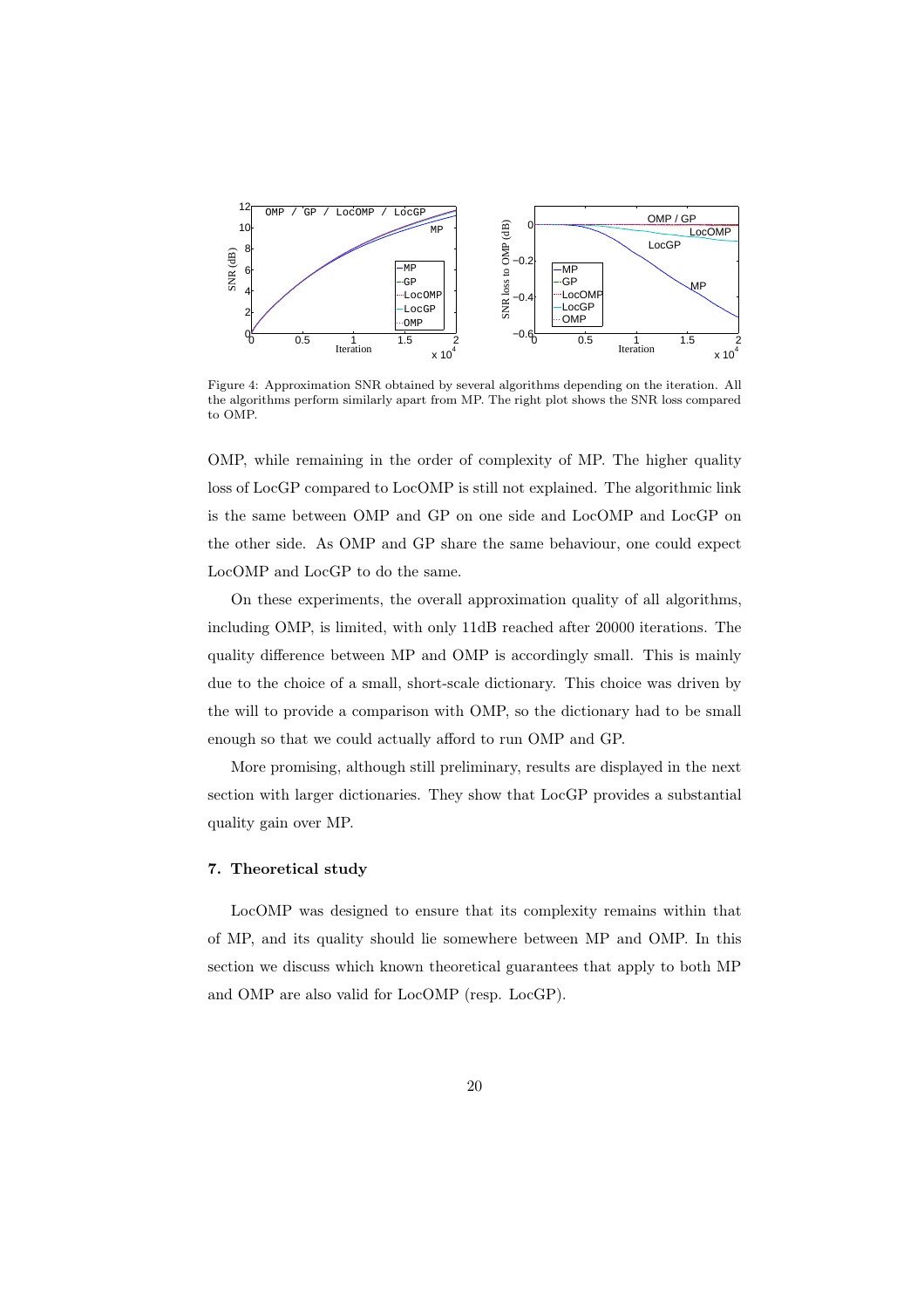

Figure 4: Approximation SNR obtained by several algorithms depending on the iteration. All the algorithms perform similarly apart from MP. The right plot shows the SNR loss compared to OMP.

OMP, while remaining in the order of complexity of MP. The higher quality loss of LocGP compared to LocOMP is still not explained. The algorithmic link is the same between OMP and GP on one side and LocOMP and LocGP on the other side. As OMP and GP share the same behaviour, one could expect LocOMP and LocGP to do the same.

On these experiments, the overall approximation quality of all algorithms, including OMP, is limited, with only 11dB reached after 20000 iterations. The quality difference between MP and OMP is accordingly small. This is mainly due to the choice of a small, short-scale dictionary. This choice was driven by the will to provide a comparison with OMP, so the dictionary had to be small enough so that we could actually afford to run OMP and GP.

More promising, although still preliminary, results are displayed in the next section with larger dictionaries. They show that LocGP provides a substantial quality gain over MP.

### 7. Theoretical study

LocOMP was designed to ensure that its complexity remains within that of MP, and its quality should lie somewhere between MP and OMP. In this section we discuss which known theoretical guarantees that apply to both MP and OMP are also valid for LocOMP (resp. LocGP).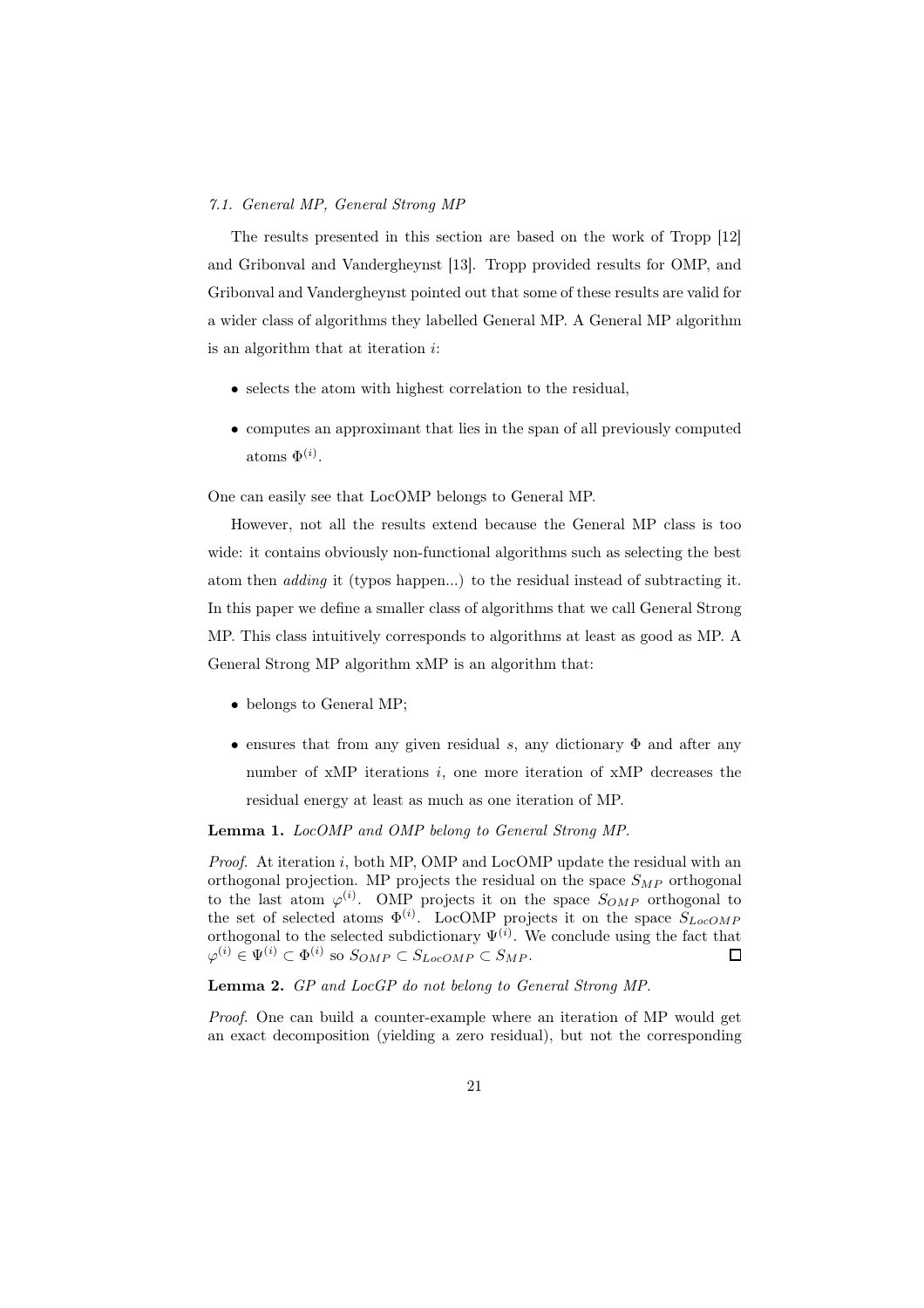#### *7.1. General MP, General Strong MP*

The results presented in this section are based on the work of Tropp [12] and Gribonval and Vandergheynst [13]. Tropp provided results for OMP, and Gribonval and Vandergheynst pointed out that some of these results are valid for a wider class of algorithms they labelled General MP. A General MP algorithm is an algorithm that at iteration i:

- selects the atom with highest correlation to the residual,
- computes an approximant that lies in the span of all previously computed atoms  $\Phi^{(i)}$ .

One can easily see that LocOMP belongs to General MP.

However, not all the results extend because the General MP class is too wide: it contains obviously non-functional algorithms such as selecting the best atom then *adding* it (typos happen...) to the residual instead of subtracting it. In this paper we define a smaller class of algorithms that we call General Strong MP. This class intuitively corresponds to algorithms at least as good as MP. A General Strong MP algorithm xMP is an algorithm that:

- belongs to General MP;
- ensures that from any given residual s, any dictionary  $\Phi$  and after any number of  $xMP$  iterations  $i$ , one more iteration of  $xMP$  decreases the residual energy at least as much as one iteration of MP.

Lemma 1. *LocOMP and OMP belong to General Strong MP.*

*Proof.* At iteration i, both MP, OMP and LocOMP update the residual with an orthogonal projection. MP projects the residual on the space  $S_{MP}$  orthogonal to the last atom  $\varphi^{(i)}$ . OMP projects it on the space  $S_{OMP}$  orthogonal to the set of selected atoms  $\Phi^{(i)}$ . LocOMP projects it on the space  $S_{LocOMP}$ orthogonal to the selected subdictionary  $\Psi^{(i)}$ . We conclude using the fact that  $\varphi^{(i)} \in \Psi^{(i)} \subset \Phi^{(i)}$  so  $S_{OMP} \subset S_{LocOMP} \subset S_{MP}$ . П

Lemma 2. *GP and LocGP do not belong to General Strong MP.*

*Proof.* One can build a counter-example where an iteration of MP would get an exact decomposition (yielding a zero residual), but not the corresponding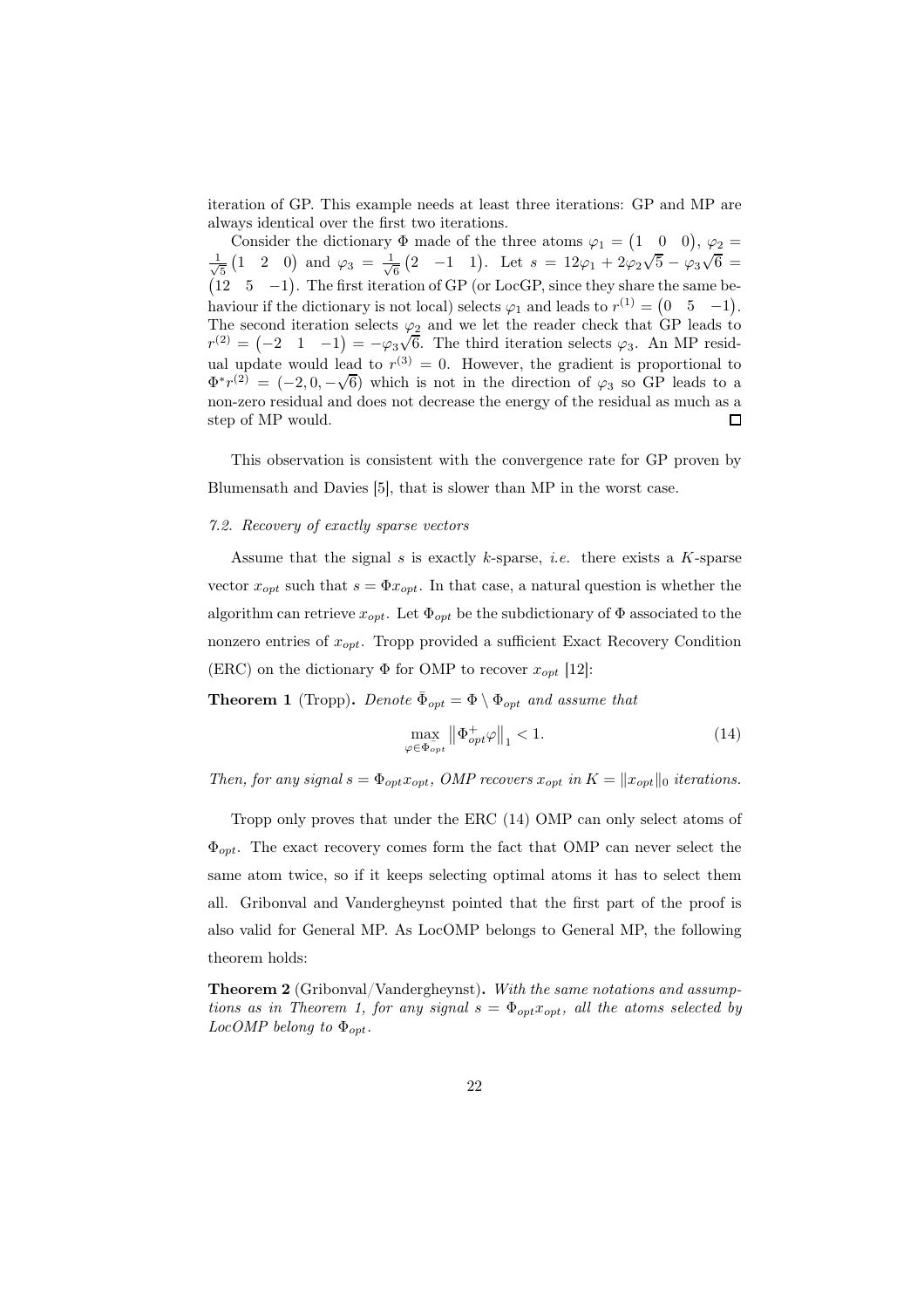iteration of GP. This example needs at least three iterations: GP and MP are always identical over the first two iterations.

Consider the dictionary  $\Phi$  made of the three atoms  $\varphi_1 = \begin{pmatrix} 1 & 0 & 0 \end{pmatrix}$ ,  $\varphi_2 =$  $\frac{1}{6}(2 \quad -1 \quad 1)$ . Let  $s = 12\varphi_1 + 2\varphi_2\sqrt{5} - \varphi_3\sqrt{6} =$ √ 1  $\frac{1}{5}$  (1 2 0) and  $\varphi_3 = \frac{1}{\sqrt{2}}$ (12  $5 -1$ ). The first iteration of GP (or LocGP, since they share the same behaviour if the dictionary is not local) selects  $\varphi_1$  and leads to  $r^{(1)} = \begin{pmatrix} 0 & 5 & -1 \end{pmatrix}$ . The second iteration selects  $\varphi_2$  and we let the reader check that GP leads to  $r^{(2)} = (-2 \quad 1 \quad -1) = -\varphi_3 \sqrt{6}$ . The third iteration selects  $\varphi_3$ . An MP residual update would lead to  $r^{(3)} = 0$ . However, the gradient is proportional to  $\Phi^* r^{(2)} = (-2, 0, -\sqrt{6})$  which is not in the direction of  $\varphi_3$  so GP leads to a non-zero residual and does not decrease the energy of the residual as much as a step of MP would.  $\Box$ 

This observation is consistent with the convergence rate for GP proven by Blumensath and Davies [5], that is slower than MP in the worst case.

# *7.2. Recovery of exactly sparse vectors*

Assume that the signal s is exactly k-sparse, *i.e.* there exists a  $K$ -sparse vector  $x_{opt}$  such that  $s = \Phi x_{opt}$ . In that case, a natural question is whether the algorithm can retrieve  $x_{opt}$ . Let  $\Phi_{opt}$  be the subdictionary of  $\Phi$  associated to the nonzero entries of  $x_{opt}$ . Tropp provided a sufficient Exact Recovery Condition (ERC) on the dictionary  $\Phi$  for OMP to recover  $x_{opt}$  [12]:

**Theorem 1** (Tropp). *Denote*  $\bar{\Phi}_{opt} = \Phi \setminus \Phi_{opt}$  *and assume that* 

$$
\max_{\varphi \in \Phi_{opt}} \left\| \Phi_{opt}^+ \varphi \right\|_1 < 1. \tag{14}
$$

*Then, for any signal*  $s = \Phi_{opt} x_{opt}$ , *OMP recovers*  $x_{opt}$  *in*  $K = ||x_{opt}||_0$  *iterations.* 

Tropp only proves that under the ERC (14) OMP can only select atoms of  $\Phi_{opt}$ . The exact recovery comes form the fact that OMP can never select the same atom twice, so if it keeps selecting optimal atoms it has to select them all. Gribonval and Vandergheynst pointed that the first part of the proof is also valid for General MP. As LocOMP belongs to General MP, the following theorem holds:

Theorem 2 (Gribonval/Vandergheynst). *With the same notations and assumptions as in Theorem 1, for any signal*  $s = \Phi_{opt} x_{opt}$ *, all the atoms selected by*  $LocOMP$  belong to  $\Phi_{opt}$ .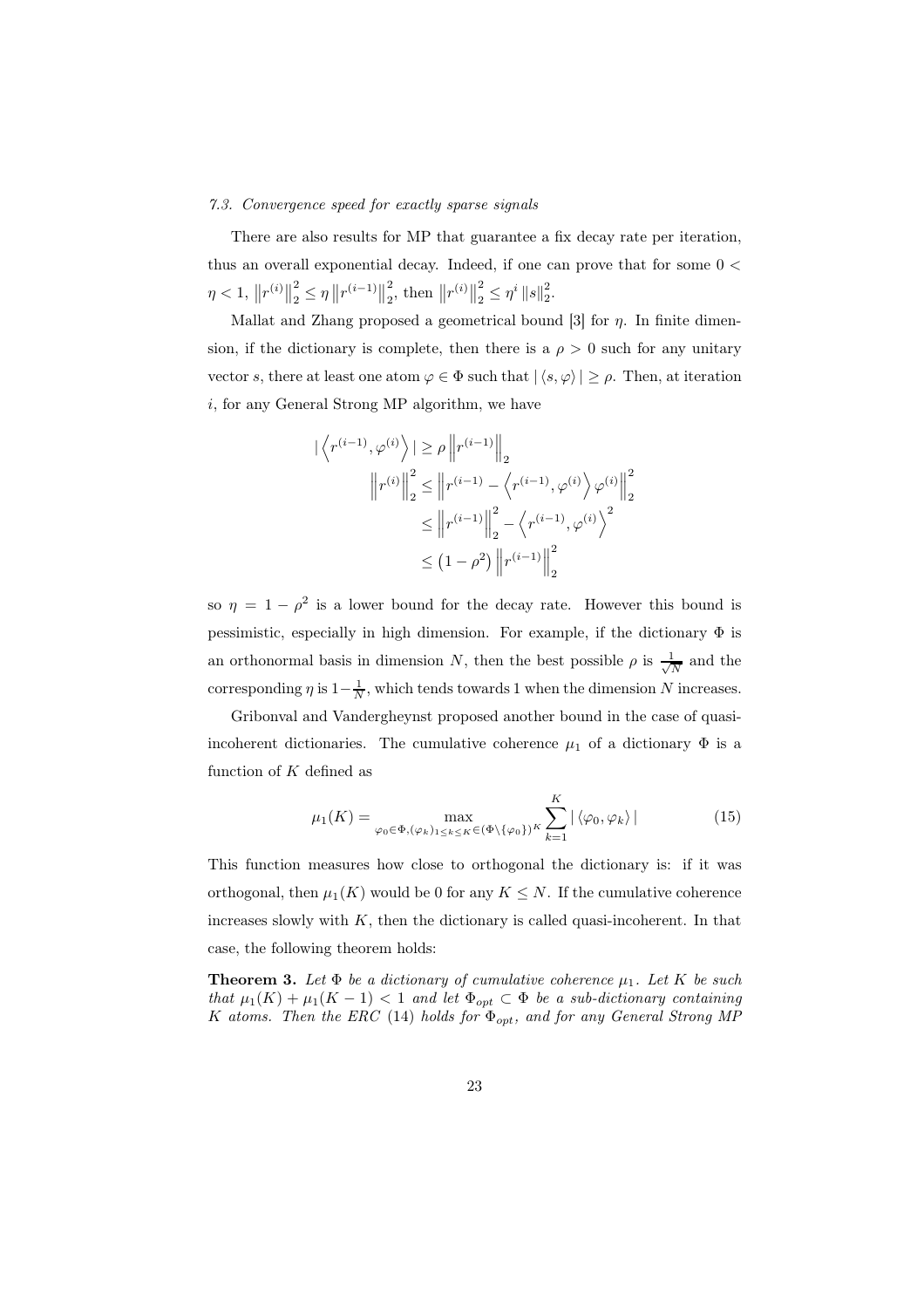#### *7.3. Convergence speed for exactly sparse signals*

There are also results for MP that guarantee a fix decay rate per iteration, thus an overall exponential decay. Indeed, if one can prove that for some  $0 <$  $\eta < 1, \|r^{(i)}\|$ 2  $\frac{2}{2} \leq \eta \left\| r^{(i-1)} \right\|$ 2  $\frac{2}{2}$ , then  $||r^{(i)}||$ 2  $\frac{2}{2} \leq \eta^i \|s\|_2^2.$ 

Mallat and Zhang proposed a geometrical bound [3] for  $\eta$ . In finite dimension, if the dictionary is complete, then there is a  $\rho > 0$  such for any unitary vector s, there at least one atom  $\varphi \in \Phi$  such that  $|\langle s, \varphi \rangle| \ge \rho$ . Then, at iteration  $i$ , for any General Strong MP algorithm, we have

$$
\left| \left\langle r^{(i-1)}, \varphi^{(i)} \right\rangle \right| \geq \rho \left\| r^{(i-1)} \right\|_2
$$

$$
\left\| r^{(i)} \right\|_2^2 \leq \left\| r^{(i-1)} - \left\langle r^{(i-1)}, \varphi^{(i)} \right\rangle \varphi^{(i)} \right\|_2^2
$$

$$
\leq \left\| r^{(i-1)} \right\|_2^2 - \left\langle r^{(i-1)}, \varphi^{(i)} \right\rangle^2
$$

$$
\leq (1 - \rho^2) \left\| r^{(i-1)} \right\|_2^2
$$

so  $\eta = 1 - \rho^2$  is a lower bound for the decay rate. However this bound is pessimistic, especially in high dimension. For example, if the dictionary  $\Phi$  is an orthonormal basis in dimension N, then the best possible  $\rho$  is  $\frac{1}{\sqrt{2}}$  $\frac{1}{N}$  and the corresponding  $\eta$  is  $1-\frac{1}{N}$ , which tends towards 1 when the dimension N increases.

Gribonval and Vandergheynst proposed another bound in the case of quasiincoherent dictionaries. The cumulative coherence  $\mu_1$  of a dictionary  $\Phi$  is a function of  $K$  defined as

$$
\mu_1(K) = \max_{\varphi_0 \in \Phi, (\varphi_k)_{1 \le k \le K} \in (\Phi \setminus {\varphi_0})^K} \sum_{k=1}^K |\langle \varphi_0, \varphi_k \rangle| \tag{15}
$$

This function measures how close to orthogonal the dictionary is: if it was orthogonal, then  $\mu_1(K)$  would be 0 for any  $K \leq N$ . If the cumulative coherence increases slowly with  $K$ , then the dictionary is called quasi-incoherent. In that case, the following theorem holds:

**Theorem 3.** Let  $\Phi$  *be a dictionary of cumulative coherence*  $\mu_1$ *. Let* K *be such that*  $\mu_1(K) + \mu_1(K-1) < 1$  *and let*  $\Phi_{opt} \subset \Phi$  *be a sub-dictionary containing* K atoms. Then the ERC (14) holds for  $\Phi_{opt}$ , and for any General Strong MP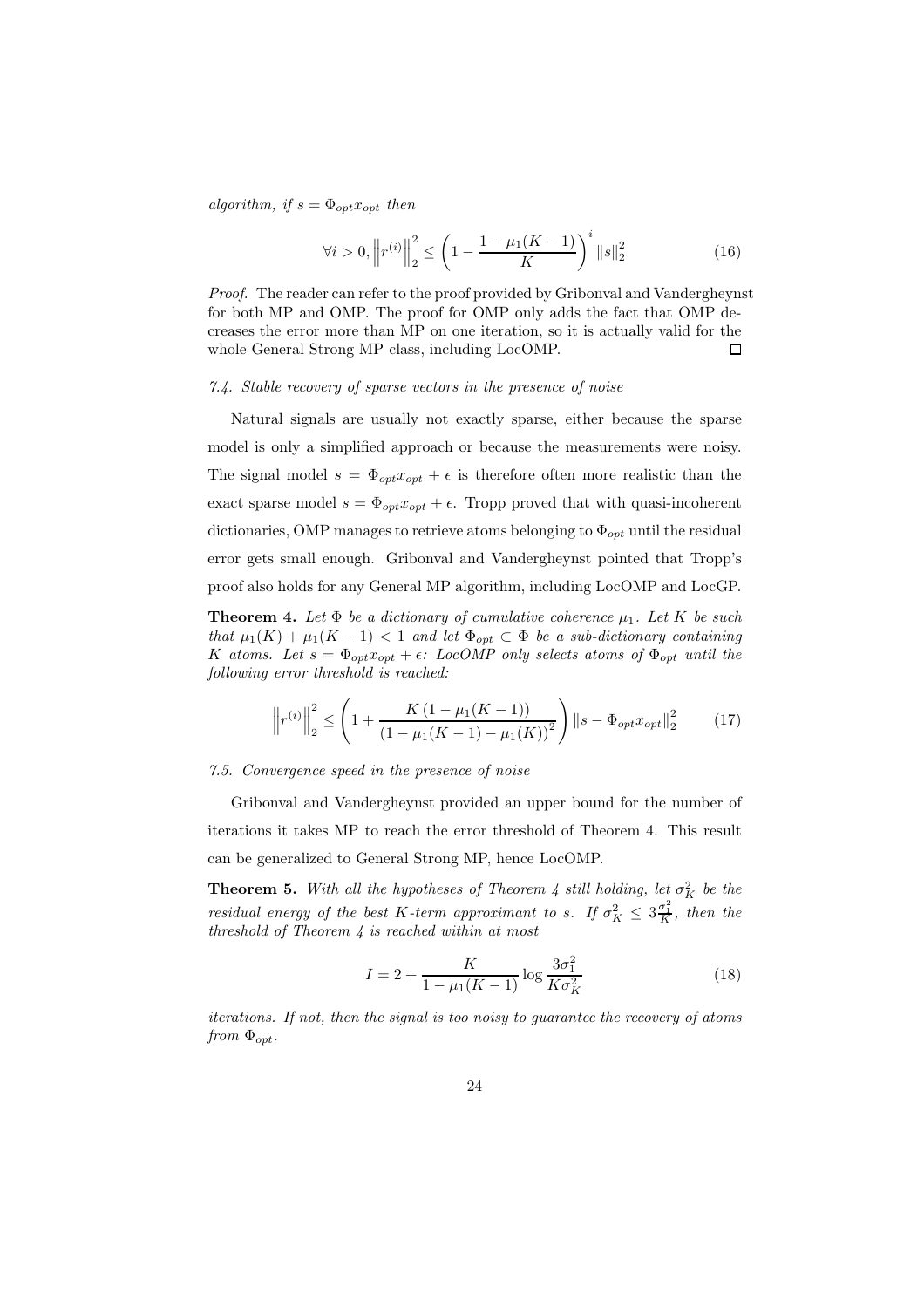$algorithm, if s = \Phi_{opt} x_{opt}$  *then* 

$$
\forall i > 0, \left\| r^{(i)} \right\|_{2}^{2} \le \left( 1 - \frac{1 - \mu_{1}(K - 1)}{K} \right)^{i} \| s \|_{2}^{2}
$$
\n(16)

*Proof.* The reader can refer to the proof provided by Gribonval and Vandergheynst for both MP and OMP. The proof for OMP only adds the fact that OMP decreases the error more than MP on one iteration, so it is actually valid for the whole General Strong MP class, including LocOMP.  $\Box$ 

#### *7.4. Stable recovery of sparse vectors in the presence of noise*

Natural signals are usually not exactly sparse, either because the sparse model is only a simplified approach or because the measurements were noisy. The signal model  $s = \Phi_{opt} x_{opt} + \epsilon$  is therefore often more realistic than the exact sparse model  $s = \Phi_{opt} x_{opt} + \epsilon$ . Tropp proved that with quasi-incoherent dictionaries, OMP manages to retrieve atoms belonging to  $\Phi_{opt}$  until the residual error gets small enough. Gribonval and Vandergheynst pointed that Tropp's proof also holds for any General MP algorithm, including LocOMP and LocGP.

**Theorem 4.** Let  $\Phi$  be a dictionary of cumulative coherence  $\mu_1$ . Let K be such *that*  $\mu_1(K) + \mu_1(K - 1) < 1$  *and let*  $\Phi_{opt} \subset \Phi$  *be a sub-dictionary containing* K atoms. Let  $s = \Phi_{opt} x_{opt} + \epsilon$ *:* LocOMP only selects atoms of  $\Phi_{opt}$  until the *following error threshold is reached:*

$$
\left\|r^{(i)}\right\|_{2}^{2} \leq \left(1 + \frac{K\left(1 - \mu_{1}(K - 1)\right)}{\left(1 - \mu_{1}(K - 1) - \mu_{1}(K)\right)^{2}}\right) \|s - \Phi_{opt} x_{opt}\|_{2}^{2} \tag{17}
$$

#### *7.5. Convergence speed in the presence of noise*

Gribonval and Vandergheynst provided an upper bound for the number of iterations it takes MP to reach the error threshold of Theorem 4. This result can be generalized to General Strong MP, hence LocOMP.

**Theorem 5.** With all the hypotheses of Theorem 4 still holding, let  $\sigma_K^2$  be the *residual energy of the best* K-term approximant to s. If  $\sigma_K^2 \leq 3 \frac{\sigma_1^2}{K}$ , then the *threshold of Theorem 4 is reached within at most*

$$
I = 2 + \frac{K}{1 - \mu_1 (K - 1)} \log \frac{3\sigma_1^2}{K \sigma_K^2}
$$
 (18)

*iterations. If not, then the signal is too noisy to guarantee the recovery of atoms from*  $\Phi_{opt}$ .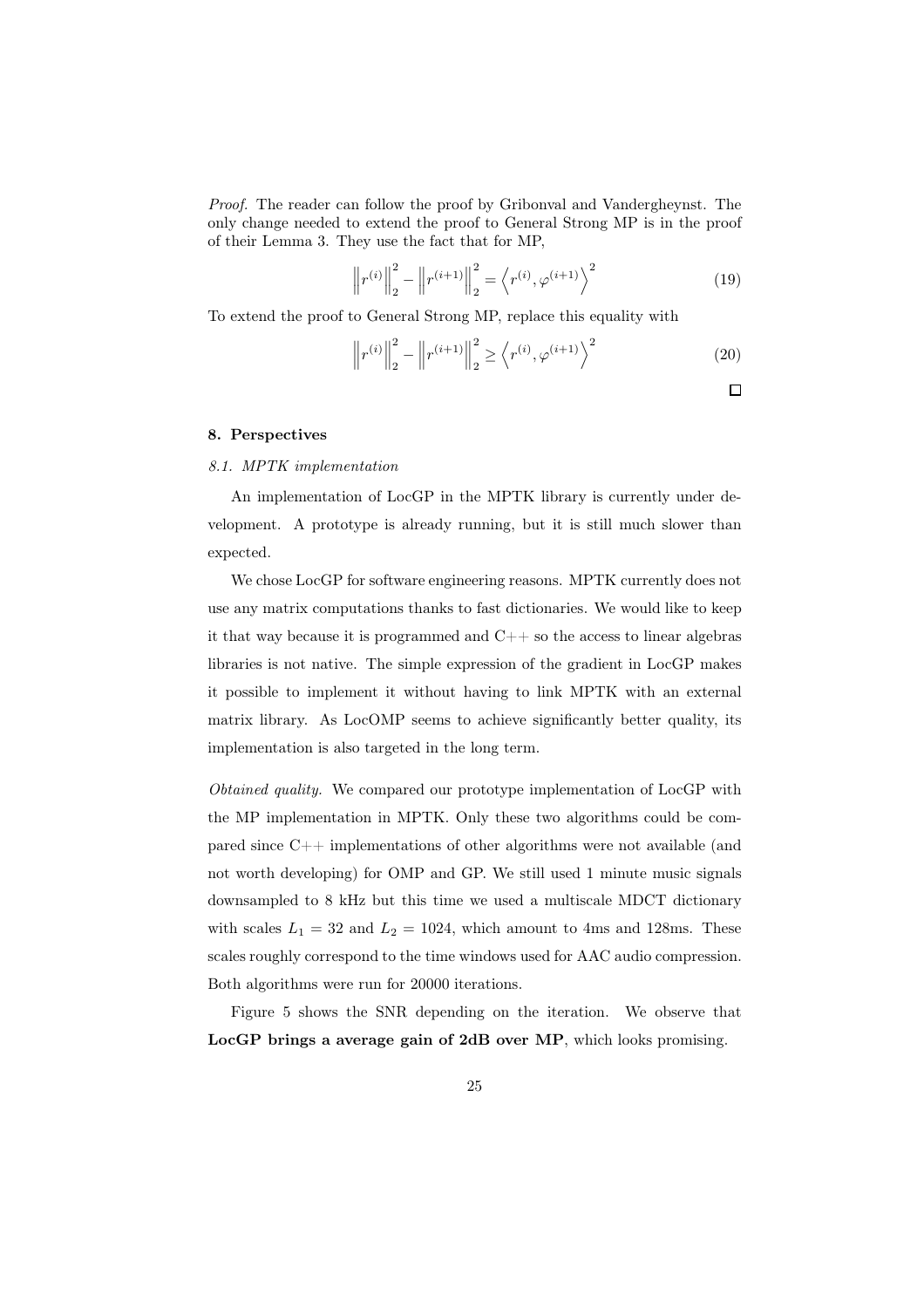*Proof.* The reader can follow the proof by Gribonval and Vandergheynst. The only change needed to extend the proof to General Strong MP is in the proof of their Lemma 3. They use the fact that for MP,

$$
\left\| r^{(i)} \right\|_2^2 - \left\| r^{(i+1)} \right\|_2^2 = \left\langle r^{(i)}, \varphi^{(i+1)} \right\rangle^2 \tag{19}
$$

To extend the proof to General Strong MP, replace this equality with

$$
\left\| r^{(i)} \right\|_2^2 - \left\| r^{(i+1)} \right\|_2^2 \ge \left\langle r^{(i)}, \varphi^{(i+1)} \right\rangle^2 \tag{20}
$$

 $\Box$ 

# 8. Perspectives

# *8.1. MPTK implementation*

An implementation of LocGP in the MPTK library is currently under development. A prototype is already running, but it is still much slower than expected.

We chose LocGP for software engineering reasons. MPTK currently does not use any matrix computations thanks to fast dictionaries. We would like to keep it that way because it is programmed and  $C++$  so the access to linear algebras libraries is not native. The simple expression of the gradient in LocGP makes it possible to implement it without having to link MPTK with an external matrix library. As LocOMP seems to achieve significantly better quality, its implementation is also targeted in the long term.

*Obtained quality.* We compared our prototype implementation of LocGP with the MP implementation in MPTK. Only these two algorithms could be compared since C++ implementations of other algorithms were not available (and not worth developing) for OMP and GP. We still used 1 minute music signals downsampled to 8 kHz but this time we used a multiscale MDCT dictionary with scales  $L_1 = 32$  and  $L_2 = 1024$ , which amount to 4ms and 128ms. These scales roughly correspond to the time windows used for AAC audio compression. Both algorithms were run for 20000 iterations.

Figure 5 shows the SNR depending on the iteration. We observe that LocGP brings a average gain of 2dB over MP, which looks promising.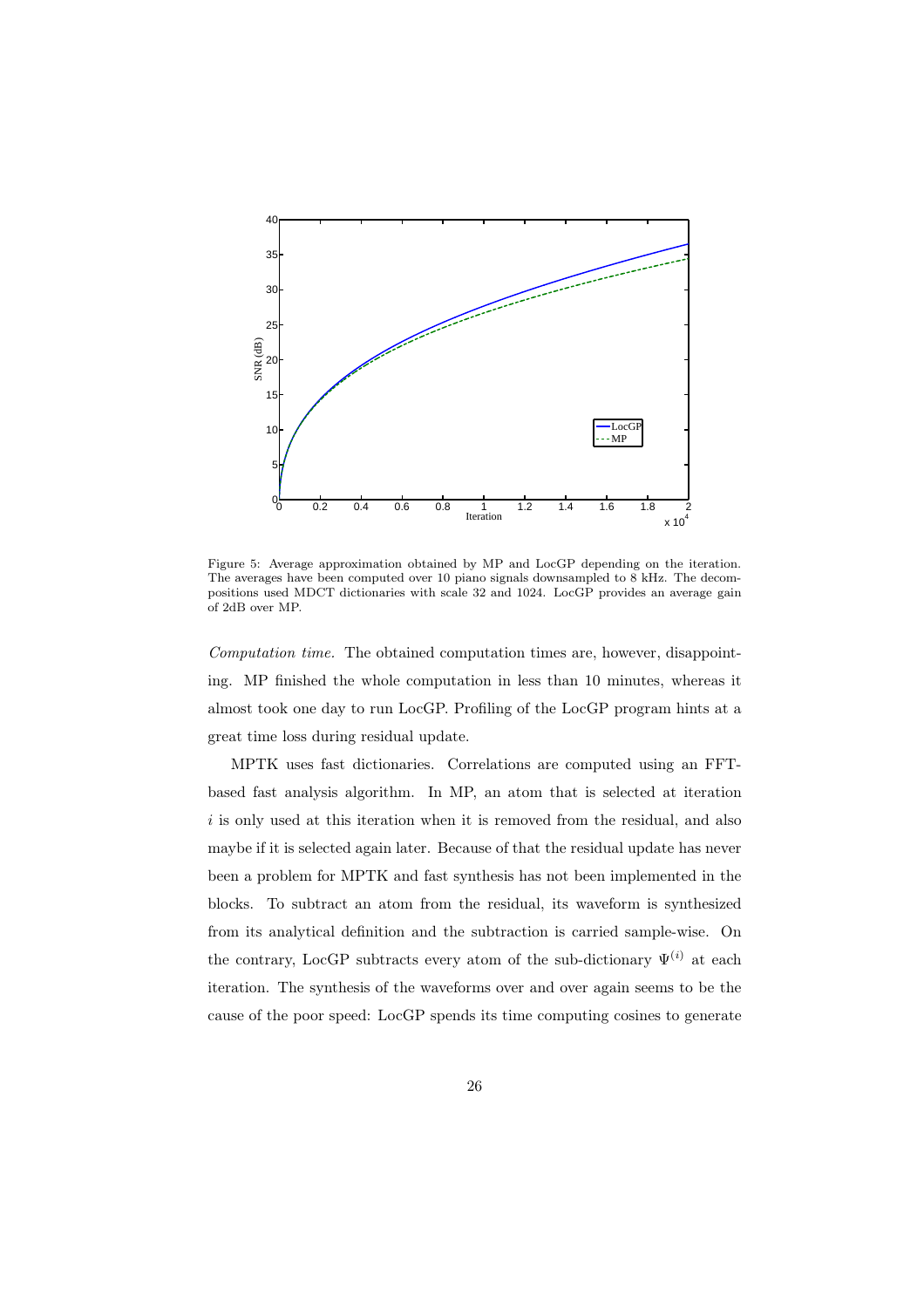

Figure 5: Average approximation obtained by MP and LocGP depending on the iteration. The averages have been computed over 10 piano signals downsampled to 8 kHz. The decompositions used MDCT dictionaries with scale 32 and 1024. LocGP provides an average gain of 2dB over MP.

*Computation time.* The obtained computation times are, however, disappointing. MP finished the whole computation in less than 10 minutes, whereas it almost took one day to run LocGP. Profiling of the LocGP program hints at a great time loss during residual update.

MPTK uses fast dictionaries. Correlations are computed using an FFTbased fast analysis algorithm. In MP, an atom that is selected at iteration i is only used at this iteration when it is removed from the residual, and also maybe if it is selected again later. Because of that the residual update has never been a problem for MPTK and fast synthesis has not been implemented in the blocks. To subtract an atom from the residual, its waveform is synthesized from its analytical definition and the subtraction is carried sample-wise. On the contrary, LocGP subtracts every atom of the sub-dictionary  $\Psi^{(i)}$  at each iteration. The synthesis of the waveforms over and over again seems to be the cause of the poor speed: LocGP spends its time computing cosines to generate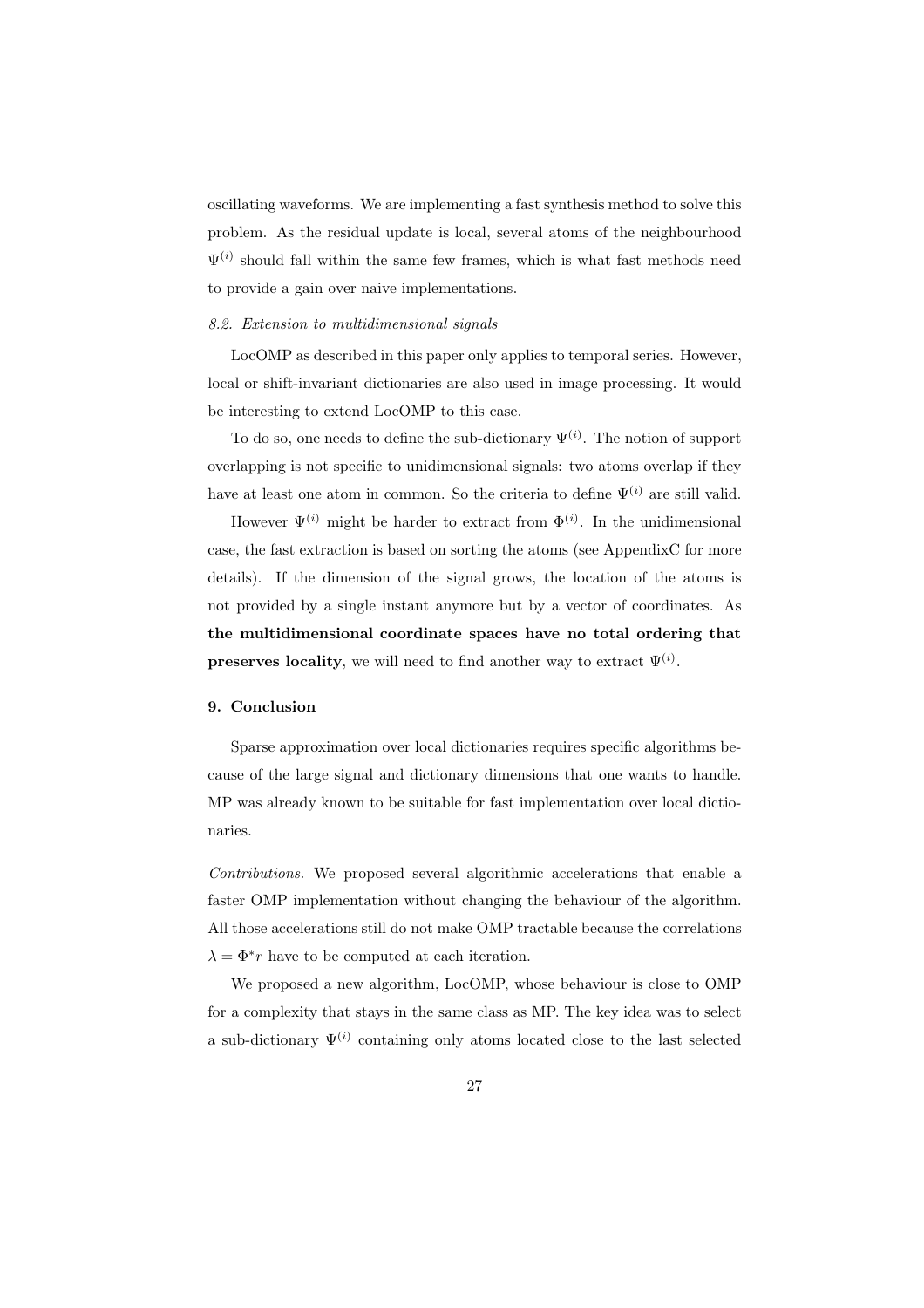oscillating waveforms. We are implementing a fast synthesis method to solve this problem. As the residual update is local, several atoms of the neighbourhood  $\Psi^{(i)}$  should fall within the same few frames, which is what fast methods need to provide a gain over naive implementations.

# *8.2. Extension to multidimensional signals*

LocOMP as described in this paper only applies to temporal series. However, local or shift-invariant dictionaries are also used in image processing. It would be interesting to extend LocOMP to this case.

To do so, one needs to define the sub-dictionary  $\Psi^{(i)}$ . The notion of support overlapping is not specific to unidimensional signals: two atoms overlap if they have at least one atom in common. So the criteria to define  $\Psi^{(i)}$  are still valid.

However  $\Psi^{(i)}$  might be harder to extract from  $\Phi^{(i)}$ . In the unidimensional case, the fast extraction is based on sorting the atoms (see AppendixC for more details). If the dimension of the signal grows, the location of the atoms is not provided by a single instant anymore but by a vector of coordinates. As the multidimensional coordinate spaces have no total ordering that **preserves locality**, we will need to find another way to extract  $\Psi^{(i)}$ .

# 9. Conclusion

Sparse approximation over local dictionaries requires specific algorithms because of the large signal and dictionary dimensions that one wants to handle. MP was already known to be suitable for fast implementation over local dictionaries.

*Contributions.* We proposed several algorithmic accelerations that enable a faster OMP implementation without changing the behaviour of the algorithm. All those accelerations still do not make OMP tractable because the correlations  $\lambda = \Phi^* r$  have to be computed at each iteration.

We proposed a new algorithm, LocOMP, whose behaviour is close to OMP for a complexity that stays in the same class as MP. The key idea was to select a sub-dictionary  $\Psi^{(i)}$  containing only atoms located close to the last selected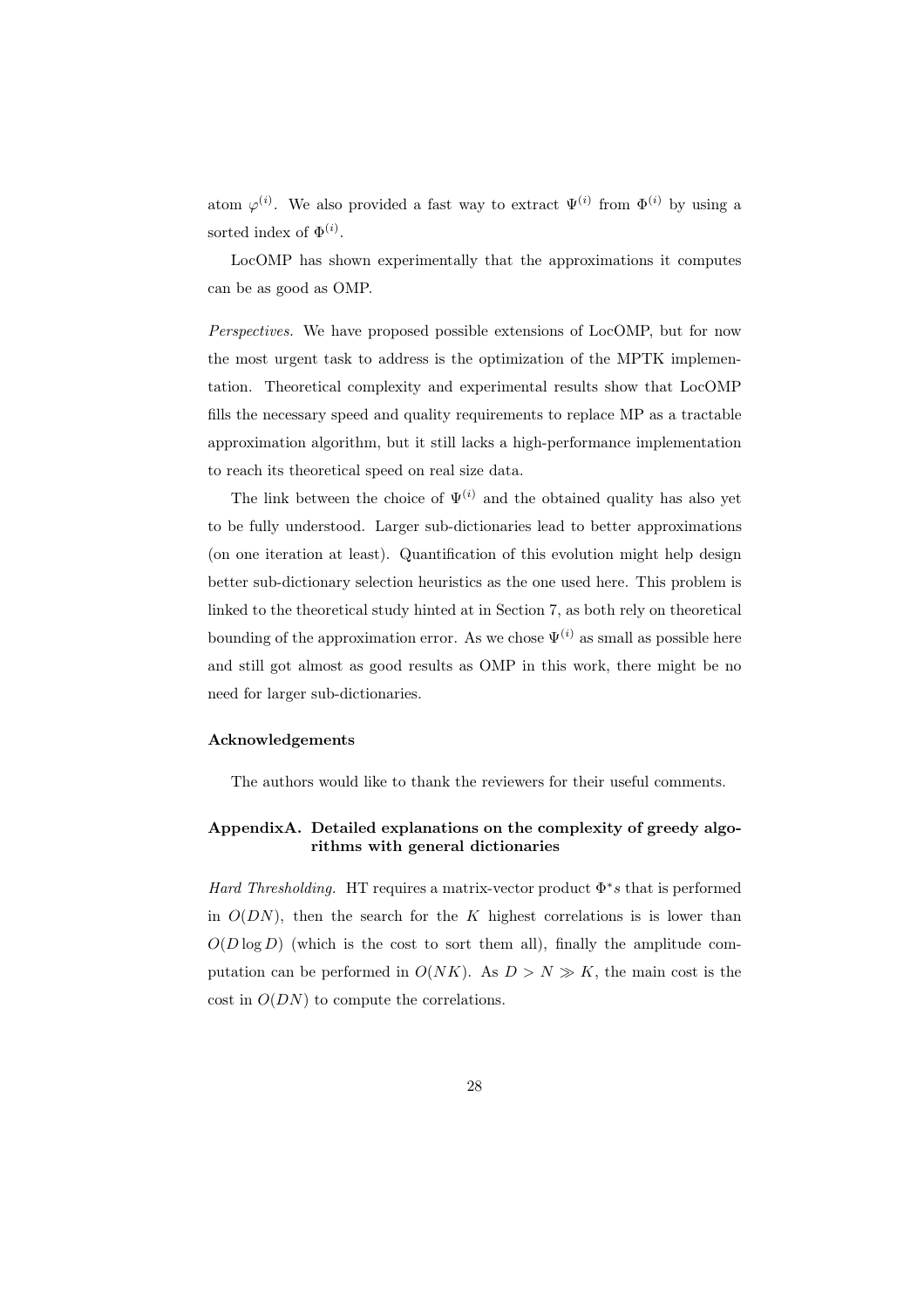atom  $\varphi^{(i)}$ . We also provided a fast way to extract  $\Psi^{(i)}$  from  $\Phi^{(i)}$  by using a sorted index of  $\Phi^{(i)}$ .

LocOMP has shown experimentally that the approximations it computes can be as good as OMP.

*Perspectives.* We have proposed possible extensions of LocOMP, but for now the most urgent task to address is the optimization of the MPTK implementation. Theoretical complexity and experimental results show that LocOMP fills the necessary speed and quality requirements to replace MP as a tractable approximation algorithm, but it still lacks a high-performance implementation to reach its theoretical speed on real size data.

The link between the choice of  $\Psi^{(i)}$  and the obtained quality has also yet to be fully understood. Larger sub-dictionaries lead to better approximations (on one iteration at least). Quantification of this evolution might help design better sub-dictionary selection heuristics as the one used here. This problem is linked to the theoretical study hinted at in Section 7, as both rely on theoretical bounding of the approximation error. As we chose  $\Psi^{(i)}$  as small as possible here and still got almost as good results as OMP in this work, there might be no need for larger sub-dictionaries.

# Acknowledgements

The authors would like to thank the reviewers for their useful comments.

# AppendixA. Detailed explanations on the complexity of greedy algorithms with general dictionaries

*Hard Thresholding.* HT requires a matrix-vector product  $\Phi^*s$  that is performed in  $O(DN)$ , then the search for the K highest correlations is is lower than  $O(D \log D)$  (which is the cost to sort them all), finally the amplitude computation can be performed in  $O(NK)$ . As  $D > N \gg K$ , the main cost is the cost in  $O(DN)$  to compute the correlations.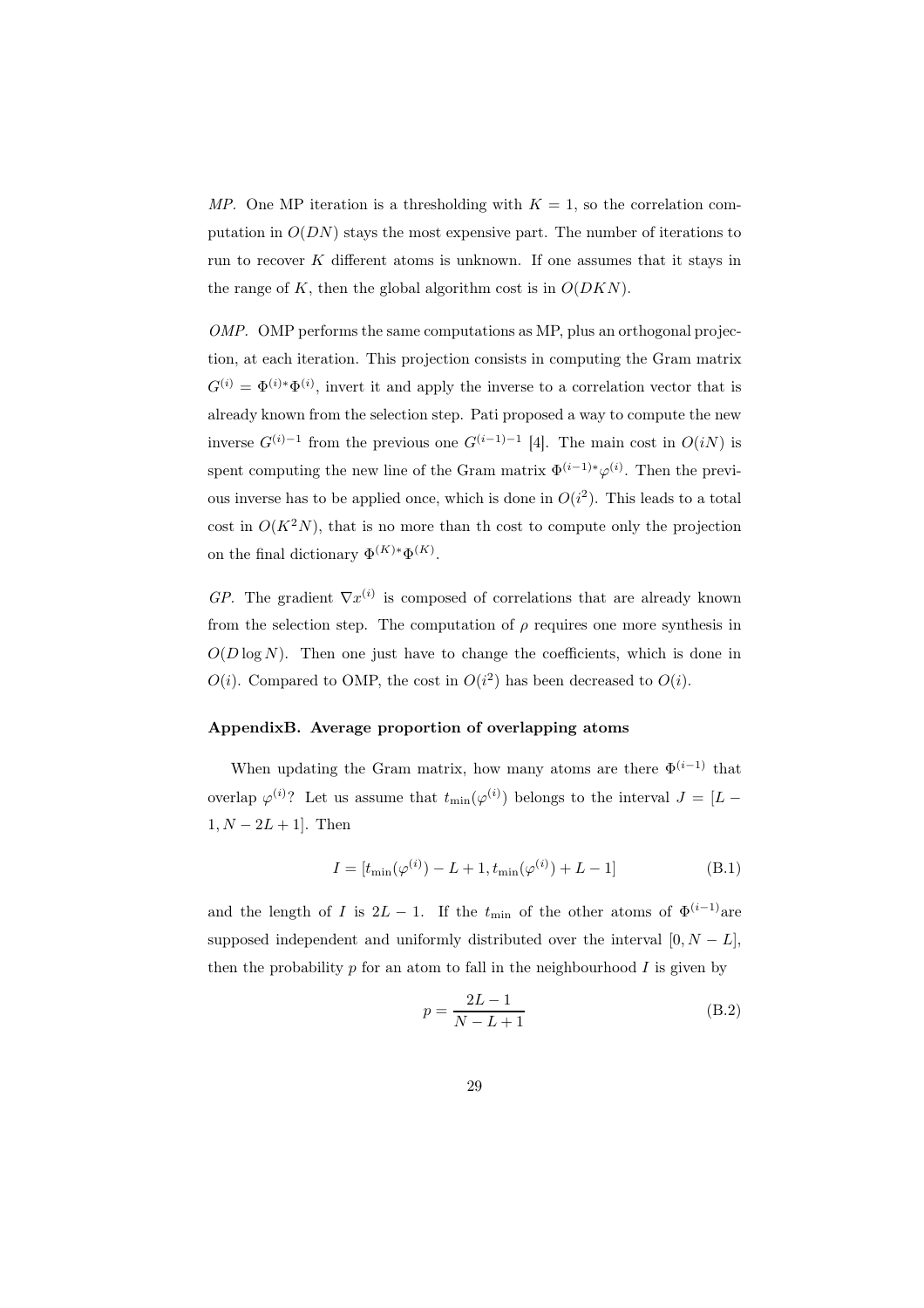*MP.* One MP iteration is a thresholding with  $K = 1$ , so the correlation computation in  $O(DN)$  stays the most expensive part. The number of iterations to run to recover  $K$  different atoms is unknown. If one assumes that it stays in the range of  $K$ , then the global algorithm cost is in  $O(DKN)$ .

*OMP.* OMP performs the same computations as MP, plus an orthogonal projection, at each iteration. This projection consists in computing the Gram matrix  $G^{(i)} = \Phi^{(i)*}\Phi^{(i)}$ , invert it and apply the inverse to a correlation vector that is already known from the selection step. Pati proposed a way to compute the new inverse  $G^{(i)-1}$  from the previous one  $G^{(i-1)-1}$  [4]. The main cost in  $O(iN)$  is spent computing the new line of the Gram matrix  $\Phi^{(i-1)*}\varphi^{(i)}$ . Then the previous inverse has to be applied once, which is done in  $O(i^2)$ . This leads to a total cost in  $O(K^2N)$ , that is no more than th cost to compute only the projection on the final dictionary  $\Phi^{(K)*}\Phi^{(K)}$ .

 $GP$ . The gradient  $\nabla x^{(i)}$  is composed of correlations that are already known from the selection step. The computation of  $\rho$  requires one more synthesis in  $O(D \log N)$ . Then one just have to change the coefficients, which is done in  $O(i)$ . Compared to OMP, the cost in  $O(i^2)$  has been decreased to  $O(i)$ .

#### AppendixB. Average proportion of overlapping atoms

When updating the Gram matrix, how many atoms are there  $\Phi^{(i-1)}$  that overlap  $\varphi^{(i)}$ ? Let us assume that  $t_{\min}(\varphi^{(i)})$  belongs to the interval  $J = [L - \varphi^{(i)}]$  $1, N - 2L + 1$ . Then

$$
I = [t_{\min}(\varphi^{(i)}) - L + 1, t_{\min}(\varphi^{(i)}) + L - 1]
$$
 (B.1)

and the length of I is  $2L - 1$ . If the  $t_{\text{min}}$  of the other atoms of  $\Phi^{(i-1)}$  are supposed independent and uniformly distributed over the interval  $[0, N - L]$ , then the probability  $p$  for an atom to fall in the neighbourhood  $I$  is given by

$$
p = \frac{2L - 1}{N - L + 1}
$$
 (B.2)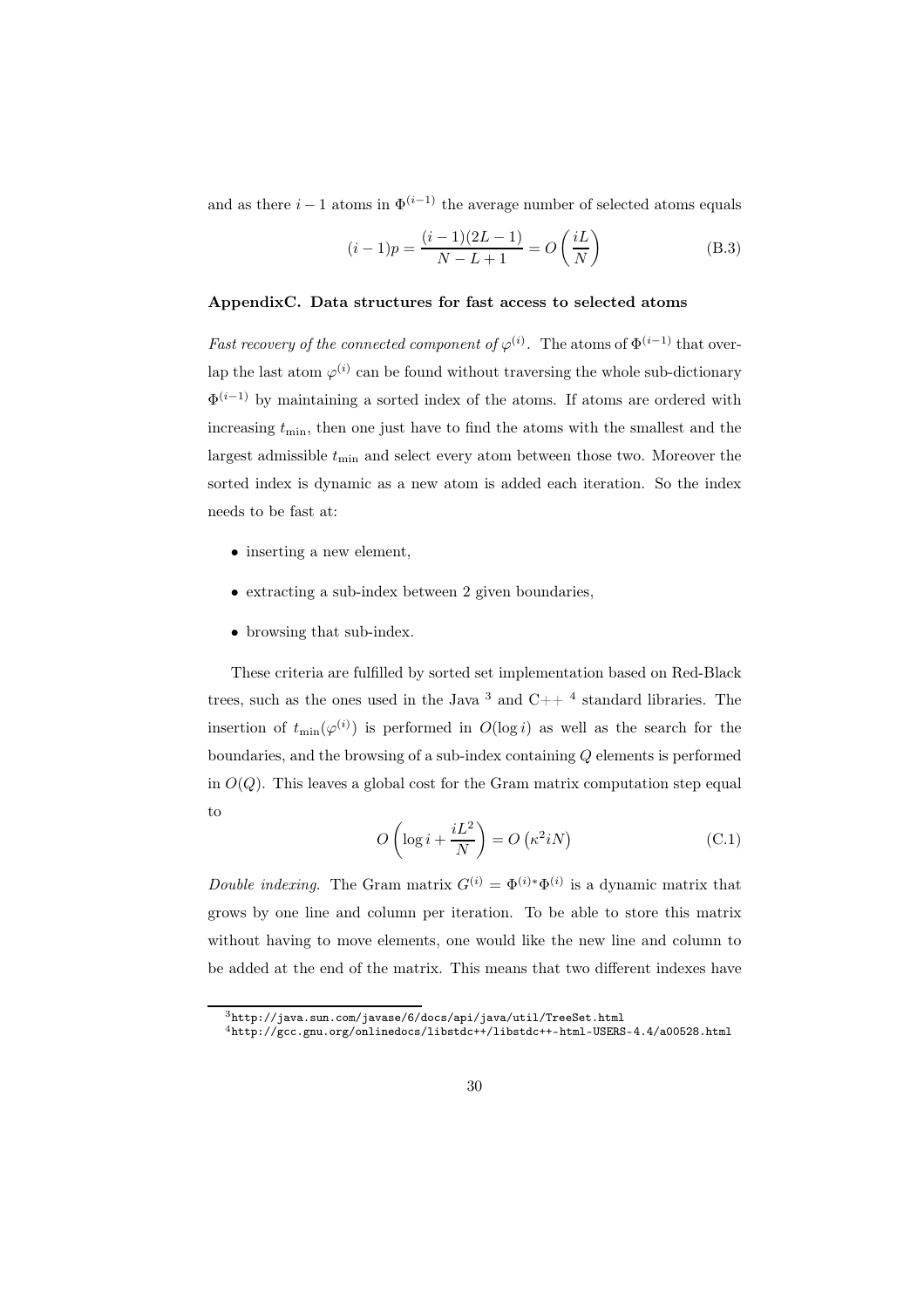and as there  $i - 1$  atoms in  $\Phi^{(i-1)}$  the average number of selected atoms equals

$$
(i-1)p = \frac{(i-1)(2L-1)}{N-L+1} = O\left(\frac{iL}{N}\right)
$$
 (B.3)

# AppendixC. Data structures for fast access to selected atoms

*Fast recovery of the connected component of*  $\varphi^{(i)}$ . The atoms of  $\Phi^{(i-1)}$  that overlap the last atom  $\varphi^{(i)}$  can be found without traversing the whole sub-dictionary  $\Phi^{(i-1)}$  by maintaining a sorted index of the atoms. If atoms are ordered with increasing  $t_{\min}$ , then one just have to find the atoms with the smallest and the largest admissible  $t_{\min}$  and select every atom between those two. Moreover the sorted index is dynamic as a new atom is added each iteration. So the index needs to be fast at:

- inserting a new element,
- extracting a sub-index between 2 given boundaries,
- browsing that sub-index.

These criteria are fulfilled by sorted set implementation based on Red-Black trees, such as the ones used in the Java  $3$  and  $C++$  4 standard libraries. The insertion of  $t_{\min}(\varphi^{(i)})$  is performed in  $O(\log i)$  as well as the search for the boundaries, and the browsing of a sub-index containing Q elements is performed in  $O(Q)$ . This leaves a global cost for the Gram matrix computation step equal to

$$
O\left(\log i + \frac{iL^2}{N}\right) = O\left(\kappa^2 iN\right) \tag{C.1}
$$

*Double indexing.* The Gram matrix  $G^{(i)} = \Phi^{(i)*} \Phi^{(i)}$  is a dynamic matrix that grows by one line and column per iteration. To be able to store this matrix without having to move elements, one would like the new line and column to be added at the end of the matrix. This means that two different indexes have

 $3$ http://java.sun.com/javase/6/docs/api/java/util/TreeSet.html

<sup>4</sup>http://gcc.gnu.org/onlinedocs/libstdc++/libstdc++-html-USERS-4.4/a00528.html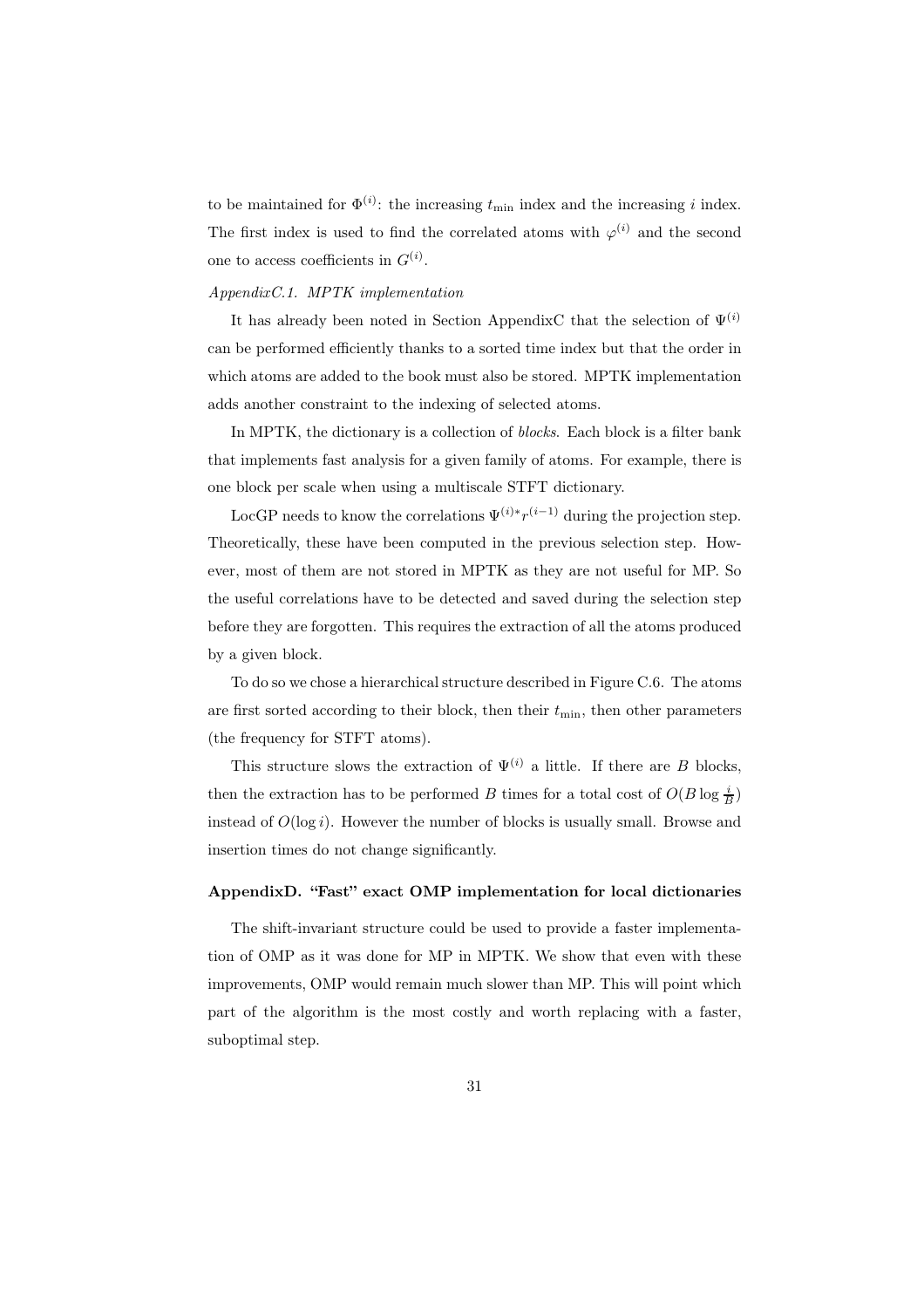to be maintained for  $\Phi^{(i)}$ : the increasing  $t_{\min}$  index and the increasing i index. The first index is used to find the correlated atoms with  $\varphi^{(i)}$  and the second one to access coefficients in  $G^{(i)}$ .

# *AppendixC.1. MPTK implementation*

It has already been noted in Section AppendixC that the selection of  $\Psi^{(i)}$ can be performed efficiently thanks to a sorted time index but that the order in which atoms are added to the book must also be stored. MPTK implementation adds another constraint to the indexing of selected atoms.

In MPTK, the dictionary is a collection of *blocks*. Each block is a filter bank that implements fast analysis for a given family of atoms. For example, there is one block per scale when using a multiscale STFT dictionary.

LocGP needs to know the correlations  $\Psi^{(i)*}r^{(i-1)}$  during the projection step. Theoretically, these have been computed in the previous selection step. However, most of them are not stored in MPTK as they are not useful for MP. So the useful correlations have to be detected and saved during the selection step before they are forgotten. This requires the extraction of all the atoms produced by a given block.

To do so we chose a hierarchical structure described in Figure C.6. The atoms are first sorted according to their block, then their  $t_{\min}$ , then other parameters (the frequency for STFT atoms).

This structure slows the extraction of  $\Psi^{(i)}$  a little. If there are B blocks, then the extraction has to be performed B times for a total cost of  $O(B \log \frac{i}{B})$ instead of  $O(\log i)$ . However the number of blocks is usually small. Browse and insertion times do not change significantly.

# AppendixD. "Fast" exact OMP implementation for local dictionaries

The shift-invariant structure could be used to provide a faster implementation of OMP as it was done for MP in MPTK. We show that even with these improvements, OMP would remain much slower than MP. This will point which part of the algorithm is the most costly and worth replacing with a faster, suboptimal step.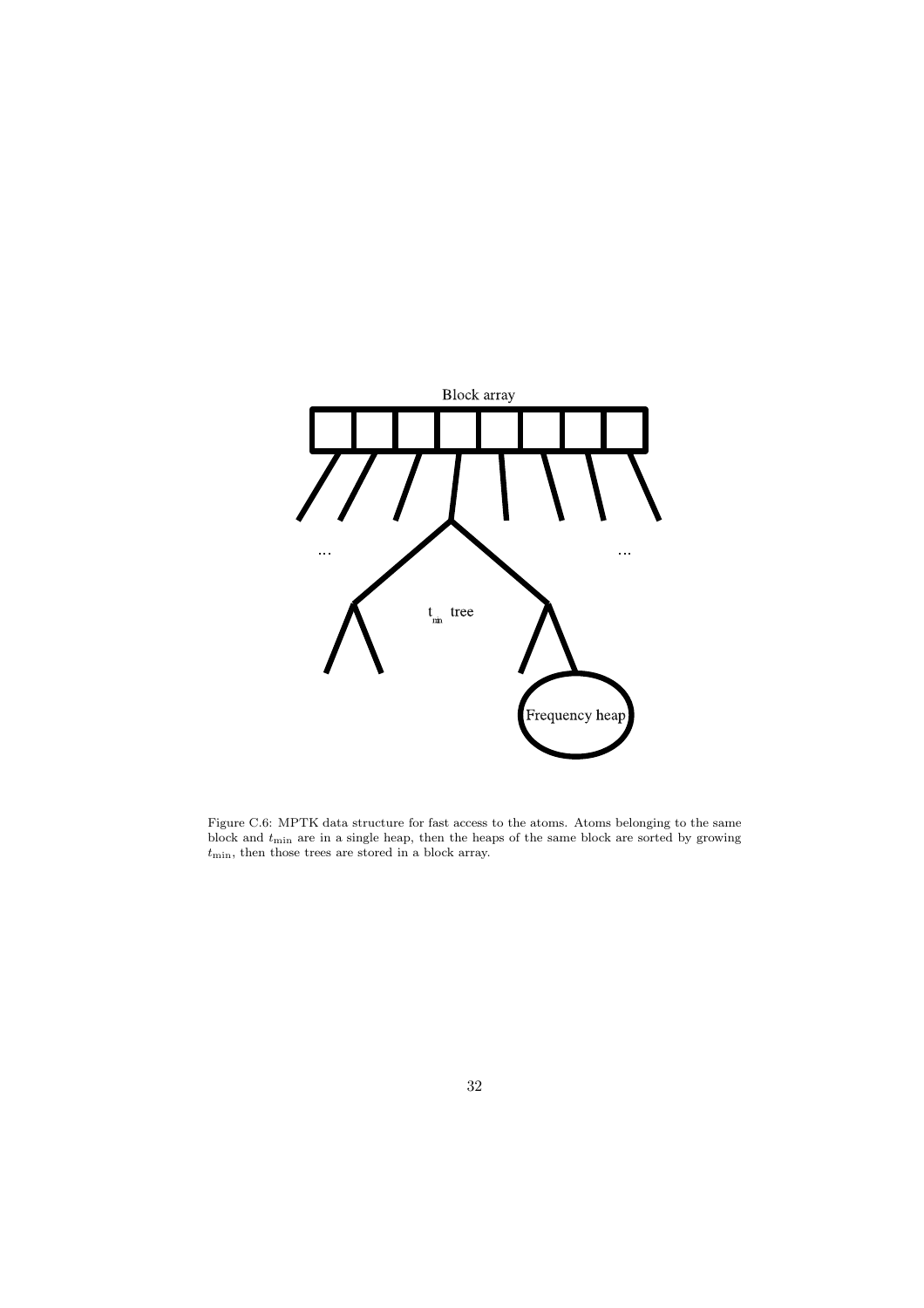

Figure C.6: MPTK data structure for fast access to the atoms. Atoms belonging to the same block and  $t_{\text{min}}$  are in a single heap, then the heaps of the same block are sorted by growing  $t_{\text{min}}$ , then those trees are stored in a block array.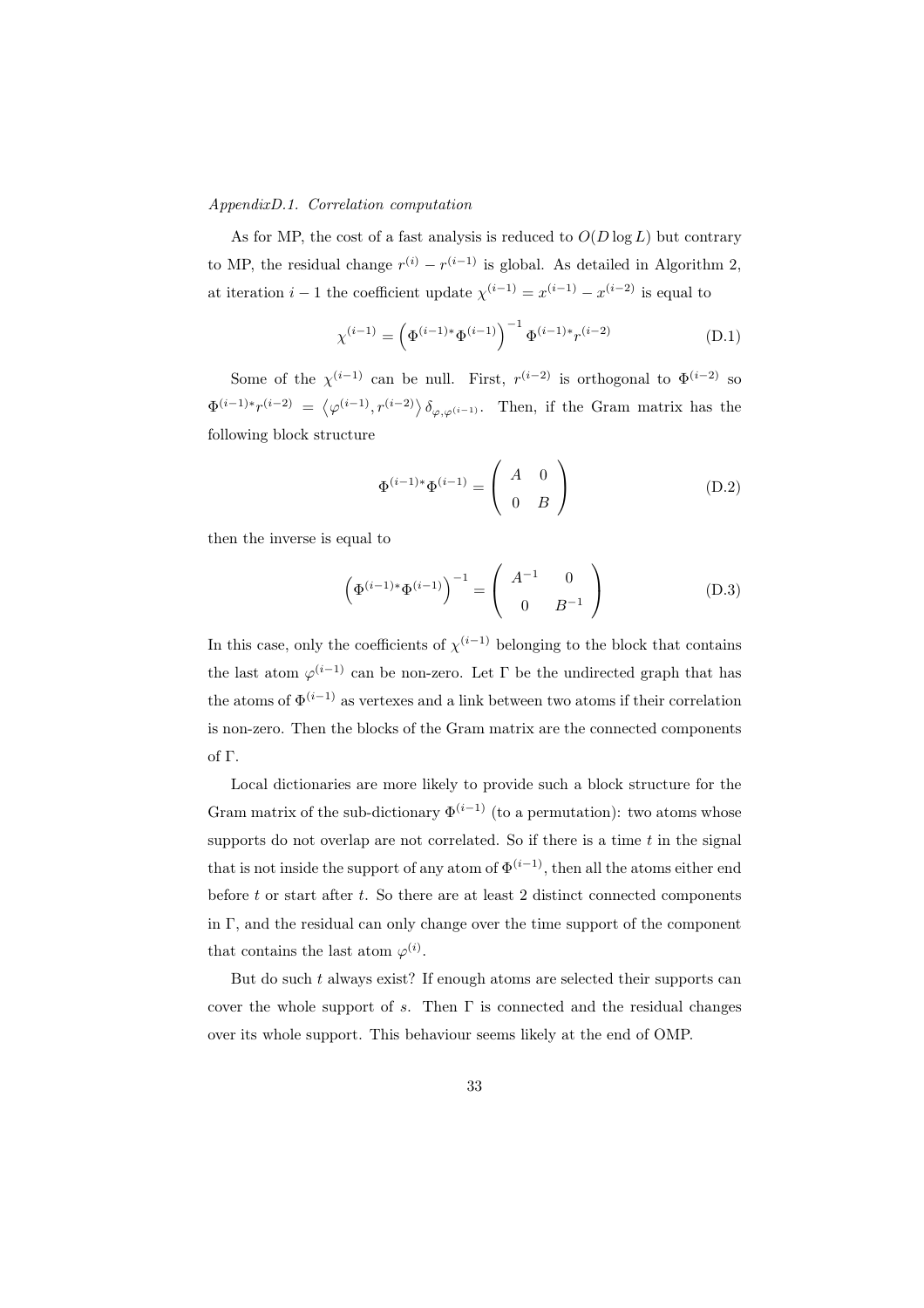#### *AppendixD.1. Correlation computation*

As for MP, the cost of a fast analysis is reduced to  $O(D \log L)$  but contrary to MP, the residual change  $r^{(i)} - r^{(i-1)}$  is global. As detailed in Algorithm 2, at iteration  $i-1$  the coefficient update  $\chi^{(i-1)} = x^{(i-1)} - x^{(i-2)}$  is equal to

$$
\chi^{(i-1)} = \left(\Phi^{(i-1)*}\Phi^{(i-1)}\right)^{-1} \Phi^{(i-1)*}r^{(i-2)} \tag{D.1}
$$

Some of the  $\chi^{(i-1)}$  can be null. First,  $r^{(i-2)}$  is orthogonal to  $\Phi^{(i-2)}$  so  $\Phi^{(i-1)*}r^{(i-2)} = \langle \varphi^{(i-1)}, r^{(i-2)} \rangle \delta_{\varphi, \varphi^{(i-1)}}$ . Then, if the Gram matrix has the following block structure

$$
\Phi^{(i-1)*}\Phi^{(i-1)} = \begin{pmatrix} A & 0 \\ 0 & B \end{pmatrix}
$$
 (D.2)

then the inverse is equal to

$$
\left(\Phi^{(i-1)*}\Phi^{(i-1)}\right)^{-1} = \left(\begin{array}{cc} A^{-1} & 0\\ 0 & B^{-1} \end{array}\right) \tag{D.3}
$$

In this case, only the coefficients of  $\chi^{(i-1)}$  belonging to the block that contains the last atom  $\varphi^{(i-1)}$  can be non-zero. Let  $\Gamma$  be the undirected graph that has the atoms of  $\Phi^{(i-1)}$  as vertexes and a link between two atoms if their correlation is non-zero. Then the blocks of the Gram matrix are the connected components of Γ.

Local dictionaries are more likely to provide such a block structure for the Gram matrix of the sub-dictionary  $\Phi^{(i-1)}$  (to a permutation): two atoms whose supports do not overlap are not correlated. So if there is a time  $t$  in the signal that is not inside the support of any atom of  $\Phi^{(i-1)}$ , then all the atoms either end before  $t$  or start after  $t$ . So there are at least 2 distinct connected components in  $\Gamma$ , and the residual can only change over the time support of the component that contains the last atom  $\varphi^{(i)}$ .

But do such  $t$  always exist? If enough atoms are selected their supports can cover the whole support of s. Then  $\Gamma$  is connected and the residual changes over its whole support. This behaviour seems likely at the end of OMP.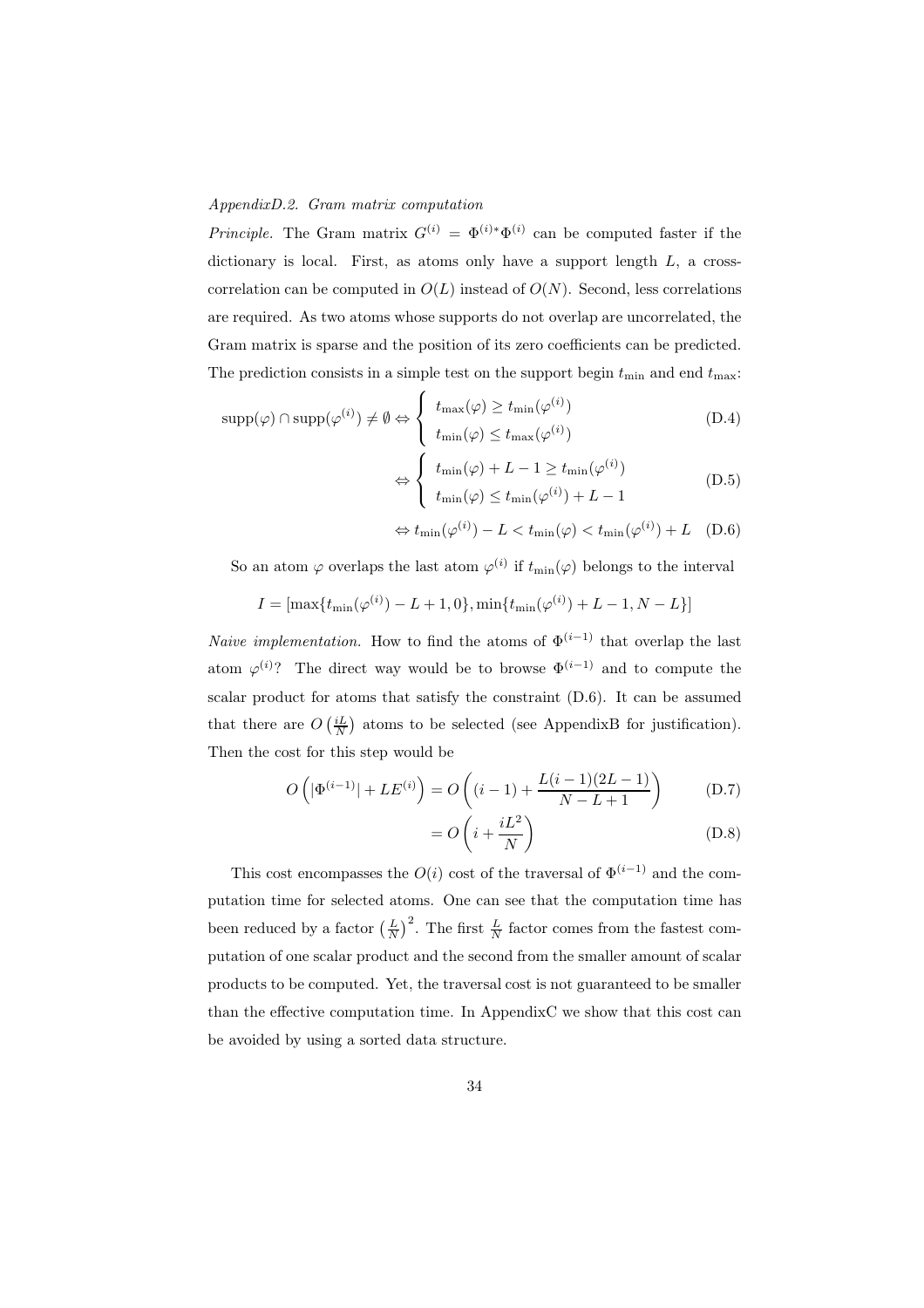#### *AppendixD.2. Gram matrix computation*

*Principle.* The Gram matrix  $G^{(i)} = \Phi^{(i)*} \Phi^{(i)}$  can be computed faster if the dictionary is local. First, as atoms only have a support length  $L$ , a crosscorrelation can be computed in  $O(L)$  instead of  $O(N)$ . Second, less correlations are required. As two atoms whose supports do not overlap are uncorrelated, the Gram matrix is sparse and the position of its zero coefficients can be predicted. The prediction consists in a simple test on the support begin  $t_{\min}$  and end  $t_{\max}$ :

$$
supp(\varphi) \cap supp(\varphi^{(i)}) \neq \emptyset \Leftrightarrow \begin{cases} t_{\max}(\varphi) \ge t_{\min}(\varphi^{(i)}) \\ t_{\min}(\varphi) \le t_{\max}(\varphi^{(i)}) \end{cases}
$$
(D.4)

$$
\Leftrightarrow \begin{cases} t_{\min}(\varphi) + L - 1 \ge t_{\min}(\varphi^{(i)}) \\ t_{\min}(\varphi) \le t_{\min}(\varphi^{(i)}) + L - 1 \end{cases}
$$
 (D.5)

$$
\Leftrightarrow t_{\min}(\varphi^{(i)}) - L < t_{\min}(\varphi) < t_{\min}(\varphi^{(i)}) + L \quad (D.6)
$$

So an atom  $\varphi$  overlaps the last atom  $\varphi^{(i)}$  if  $t_{\min}(\varphi)$  belongs to the interval

$$
I = [\max\{t_{\min}(\varphi^{(i)}) - L + 1, 0\}, \min\{t_{\min}(\varphi^{(i)}) + L - 1, N - L\}]
$$

*Naive implementation.* How to find the atoms of  $\Phi^{(i-1)}$  that overlap the last atom  $\varphi^{(i)}$ ? The direct way would be to browse  $\Phi^{(i-1)}$  and to compute the scalar product for atoms that satisfy the constraint (D.6). It can be assumed that there are  $O\left(\frac{iL}{N}\right)$  atoms to be selected (see AppendixB for justification). Then the cost for this step would be

$$
O\left(|\Phi^{(i-1)}| + LE^{(i)}\right) = O\left((i-1) + \frac{L(i-1)(2L-1)}{N-L+1}\right) \tag{D.7}
$$

$$
=O\left(i+\frac{iL^2}{N}\right) \tag{D.8}
$$

This cost encompasses the  $O(i)$  cost of the traversal of  $\Phi^{(i-1)}$  and the computation time for selected atoms. One can see that the computation time has been reduced by a factor  $\left(\frac{L}{N}\right)^2$ . The first  $\frac{L}{N}$  factor comes from the fastest computation of one scalar product and the second from the smaller amount of scalar products to be computed. Yet, the traversal cost is not guaranteed to be smaller than the effective computation time. In AppendixC we show that this cost can be avoided by using a sorted data structure.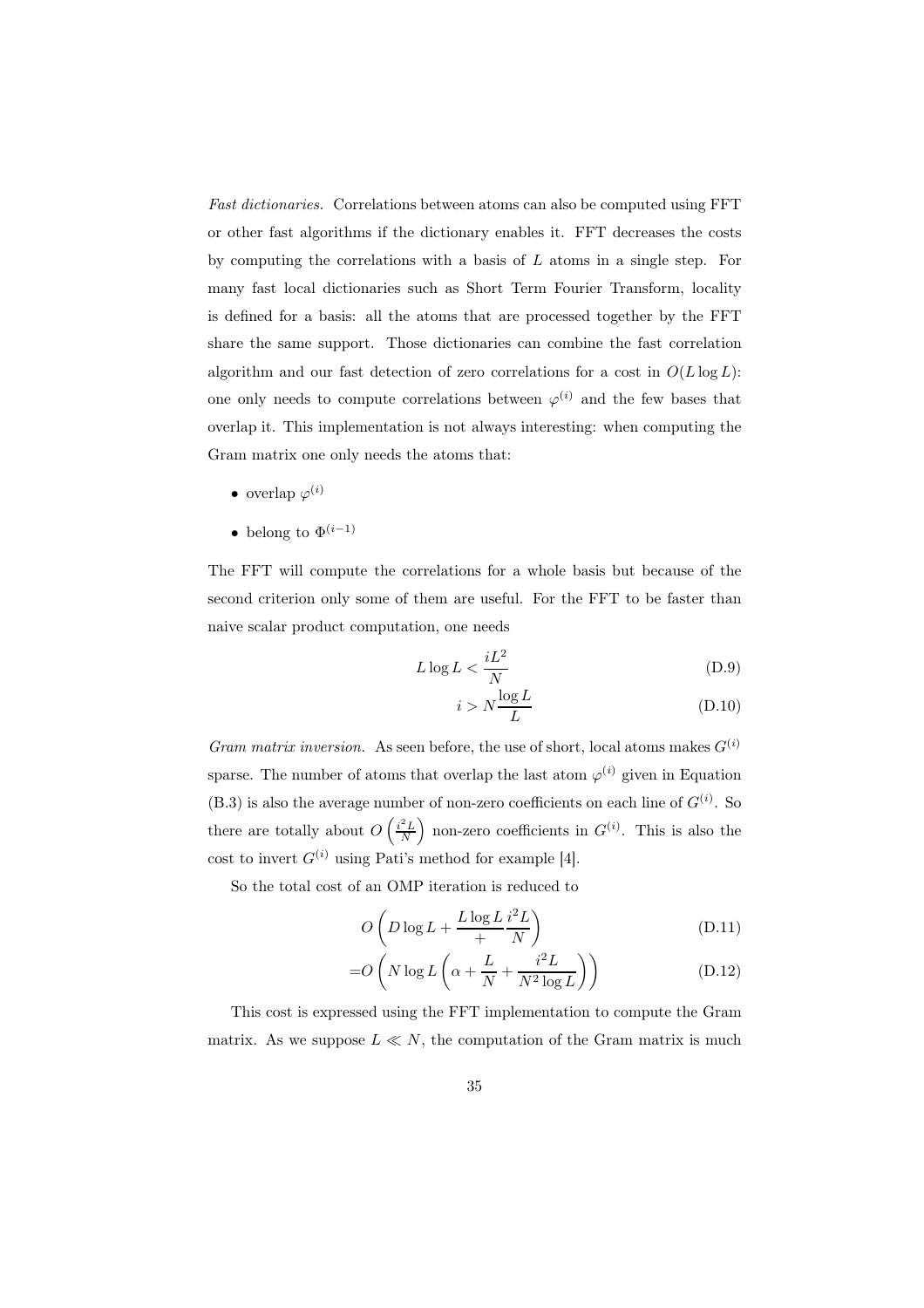*Fast dictionaries.* Correlations between atoms can also be computed using FFT or other fast algorithms if the dictionary enables it. FFT decreases the costs by computing the correlations with a basis of L atoms in a single step. For many fast local dictionaries such as Short Term Fourier Transform, locality is defined for a basis: all the atoms that are processed together by the FFT share the same support. Those dictionaries can combine the fast correlation algorithm and our fast detection of zero correlations for a cost in  $O(L \log L)$ : one only needs to compute correlations between  $\varphi^{(i)}$  and the few bases that overlap it. This implementation is not always interesting: when computing the Gram matrix one only needs the atoms that:

- overlap  $\varphi^{(i)}$
- belong to  $\Phi^{(i-1)}$

The FFT will compute the correlations for a whole basis but because of the second criterion only some of them are useful. For the FFT to be faster than naive scalar product computation, one needs

$$
L \log L < \frac{iL^2}{N} \tag{D.9}
$$

$$
i > N \frac{\log L}{L}
$$
 (D.10)

*Gram matrix inversion.* As seen before, the use of short, local atoms makes  $G^{(i)}$ sparse. The number of atoms that overlap the last atom  $\varphi^{(i)}$  given in Equation  $(B.3)$  is also the average number of non-zero coefficients on each line of  $G^{(i)}$ . So there are totally about  $O\left(\frac{i^2L}{N}\right)$  non-zero coefficients in  $G^{(i)}$ . This is also the cost to invert  $G^{(i)}$  using Pati's method for example [4].

So the total cost of an OMP iteration is reduced to

$$
O\left(D\log L + \frac{L\log L}{i} \frac{i^2 L}{N}\right) \tag{D.11}
$$

$$
=O\left(N\log L\left(\alpha + \frac{L}{N} + \frac{i^2 L}{N^2 \log L}\right)\right) \tag{D.12}
$$

This cost is expressed using the FFT implementation to compute the Gram matrix. As we suppose  $L \ll N$ , the computation of the Gram matrix is much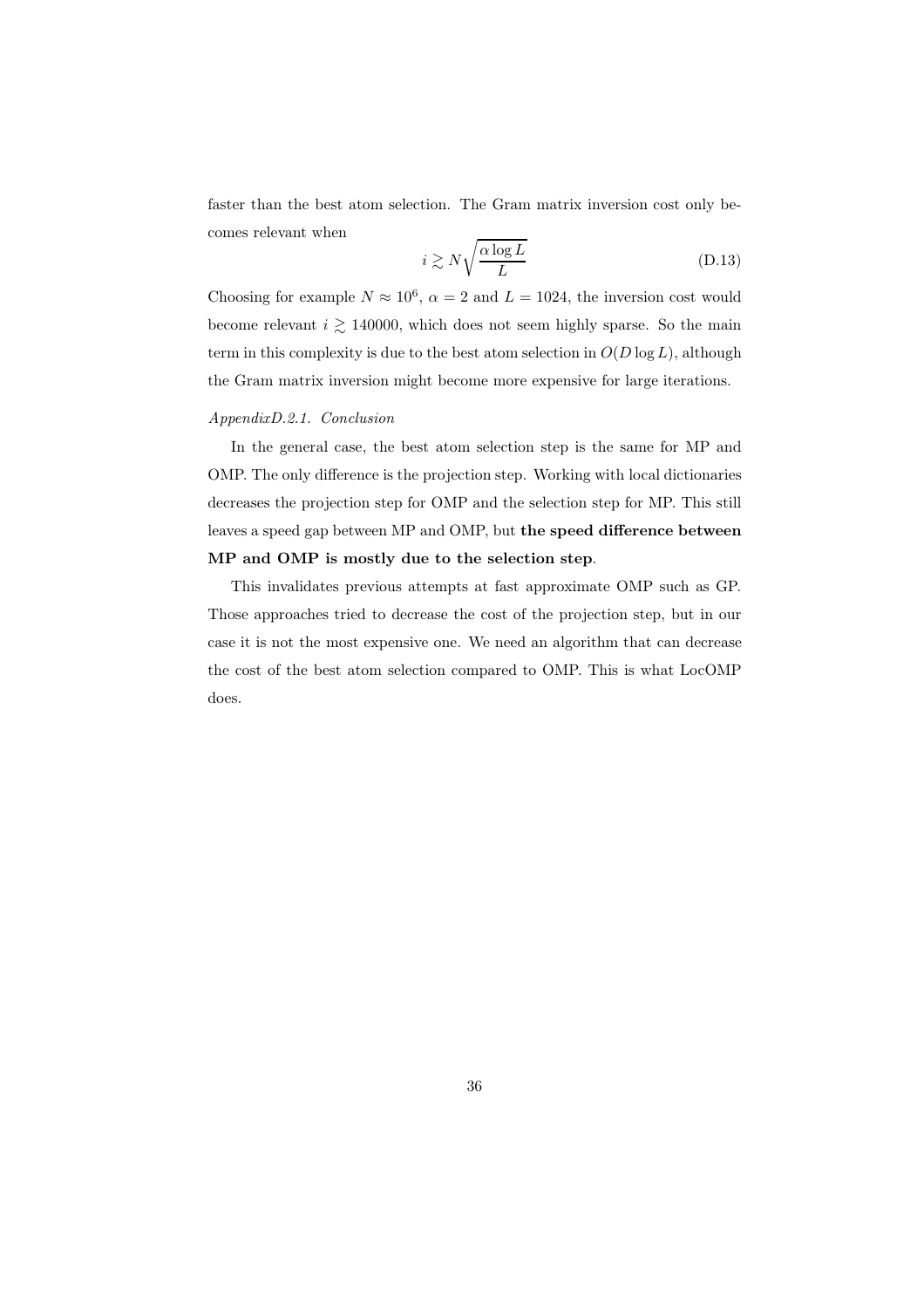faster than the best atom selection. The Gram matrix inversion cost only becomes relevant when

$$
i \gtrsim N \sqrt{\frac{\alpha \log L}{L}} \tag{D.13}
$$

Choosing for example  $N \approx 10^6$ ,  $\alpha = 2$  and  $L = 1024$ , the inversion cost would become relevant  $i$   $\gtrsim$  140000, which does not seem highly sparse. So the main term in this complexity is due to the best atom selection in  $O(D \log L)$ , although the Gram matrix inversion might become more expensive for large iterations.

## *AppendixD.2.1. Conclusion*

In the general case, the best atom selection step is the same for MP and OMP. The only difference is the projection step. Working with local dictionaries decreases the projection step for OMP and the selection step for MP. This still leaves a speed gap between MP and OMP, but the speed difference between MP and OMP is mostly due to the selection step.

This invalidates previous attempts at fast approximate OMP such as GP. Those approaches tried to decrease the cost of the projection step, but in our case it is not the most expensive one. We need an algorithm that can decrease the cost of the best atom selection compared to OMP. This is what LocOMP does.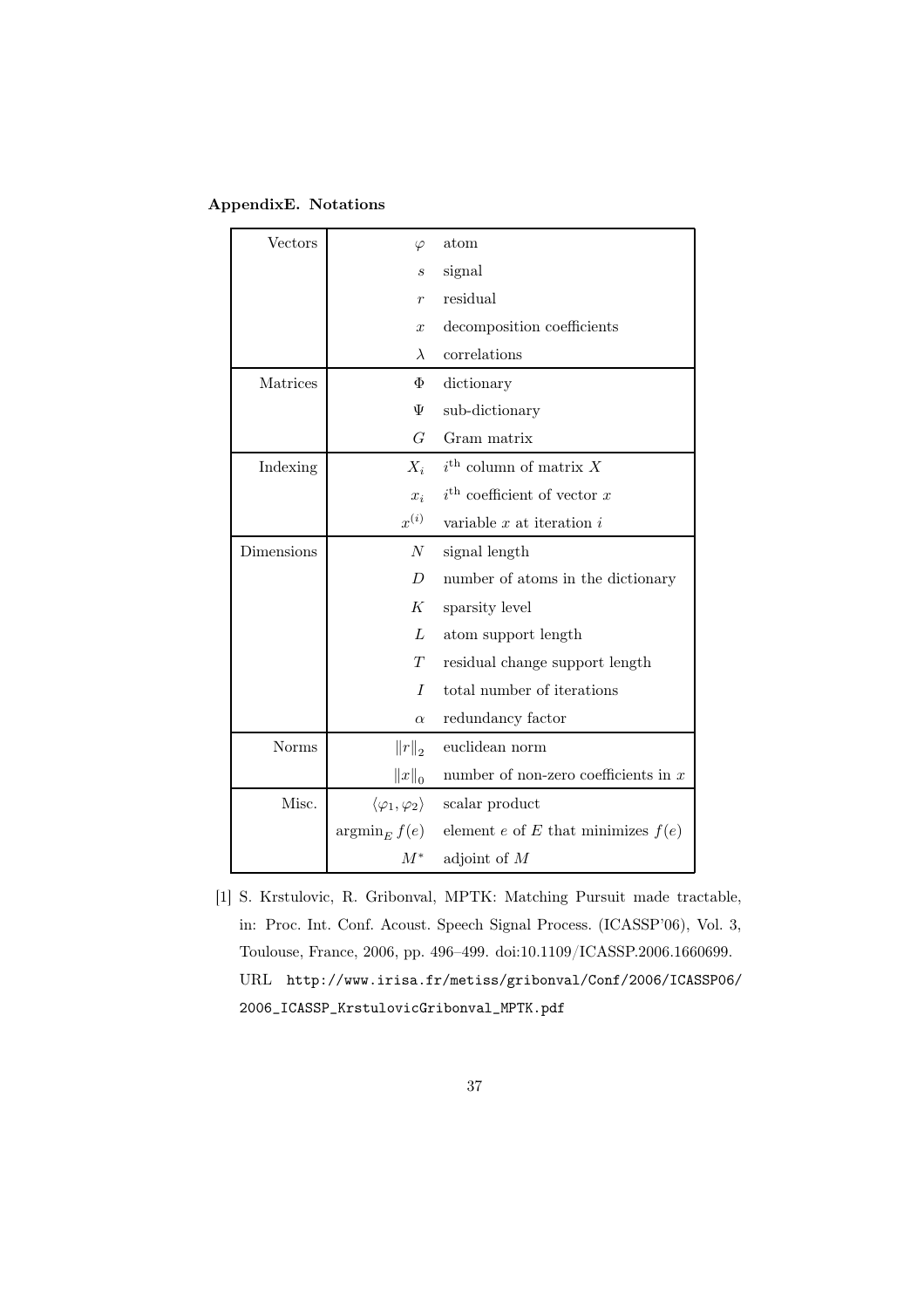| AppendixE. Notations |  |
|----------------------|--|
|----------------------|--|

| Vectors      | $\varphi$                              | atom                                    |
|--------------|----------------------------------------|-----------------------------------------|
|              | $\boldsymbol{s}$                       | signal                                  |
|              | $\boldsymbol{r}$                       | residual                                |
|              | $\boldsymbol{x}$                       | decomposition coefficients              |
|              | $\lambda$                              | correlations                            |
| Matrices     | Φ                                      | dictionary                              |
|              | Ψ                                      | sub-dictionary                          |
|              | G                                      | Gram matrix                             |
| Indexing     | $X_i$                                  | $i^{\text{th}}$ column of matrix X      |
|              | $x_i$                                  | $i^{\text{th}}$ coefficient of vector x |
|              | $x^{(i)}$                              | variable $x$ at iteration $i$           |
| Dimensions   | N                                      | signal length                           |
|              | D                                      | number of atoms in the dictionary       |
|              | K                                      | sparsity level                          |
|              | L                                      | atom support length                     |
|              | T                                      | residual change support length          |
|              | $\overline{I}$                         | total number of iterations              |
|              | $\alpha$                               | redundancy factor                       |
| <b>Norms</b> | $  r  _2$                              | euclidean norm                          |
|              | $  x  _0$                              | number of non-zero coefficients in $x$  |
| Misc.        | $\langle \varphi_1, \varphi_2 \rangle$ | scalar product                          |
|              | $\operatorname{argmin}_E f(e)$         | element e of E that minimizes $f(e)$    |
|              | $M^*$                                  | adjoint of $M$                          |

[1] S. Krstulovic, R. Gribonval, MPTK: Matching Pursuit made tractable, in: Proc. Int. Conf. Acoust. Speech Signal Process. (ICASSP'06), Vol. 3, Toulouse, France, 2006, pp. 496–499. doi:10.1109/ICASSP.2006.1660699. URL http://www.irisa.fr/metiss/gribonval/Conf/2006/ICASSP06/ 2006\_ICASSP\_KrstulovicGribonval\_MPTK.pdf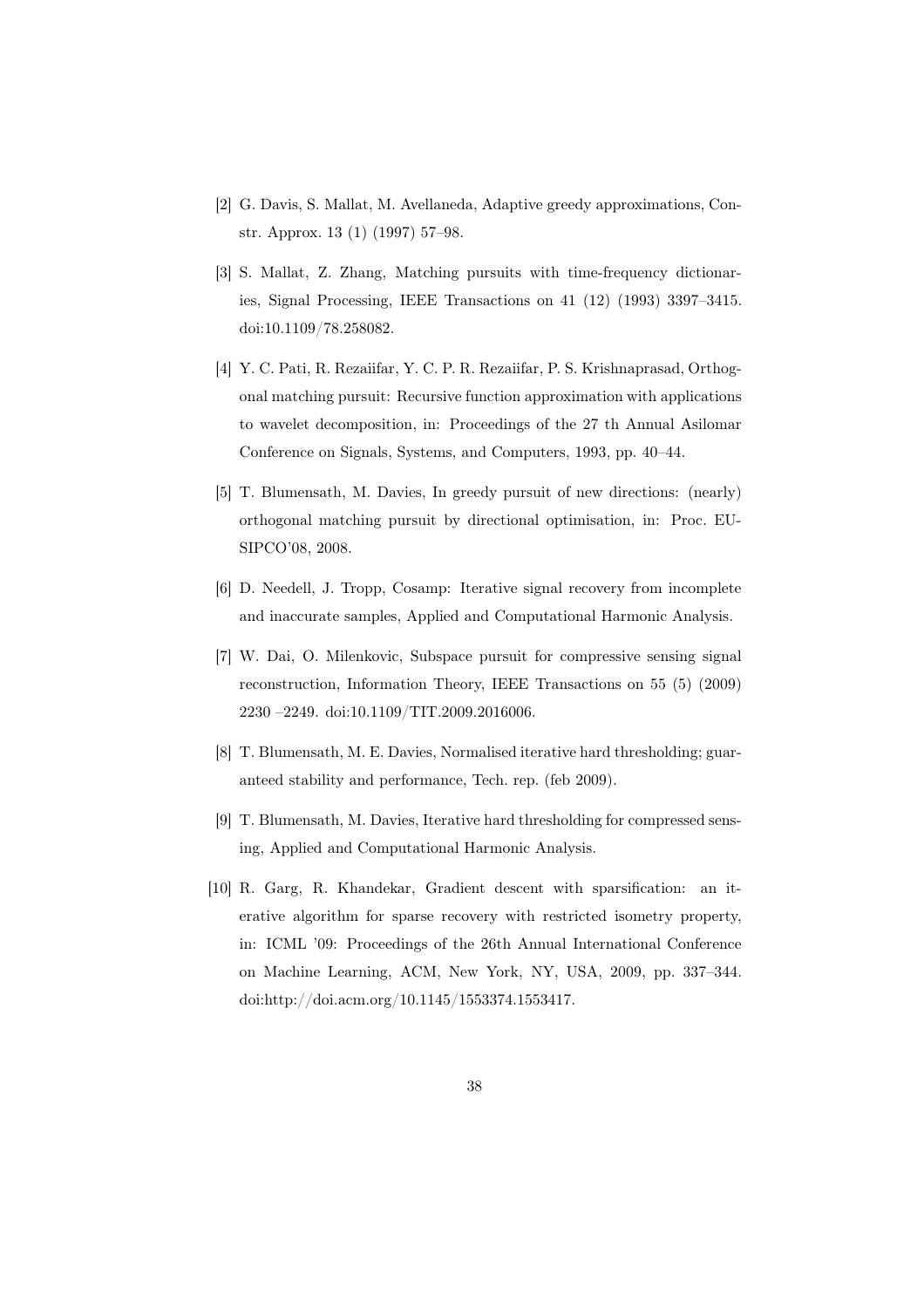- [2] G. Davis, S. Mallat, M. Avellaneda, Adaptive greedy approximations, Constr. Approx. 13 (1) (1997) 57–98.
- [3] S. Mallat, Z. Zhang, Matching pursuits with time-frequency dictionaries, Signal Processing, IEEE Transactions on 41 (12) (1993) 3397–3415. doi:10.1109/78.258082.
- [4] Y. C. Pati, R. Rezaiifar, Y. C. P. R. Rezaiifar, P. S. Krishnaprasad, Orthogonal matching pursuit: Recursive function approximation with applications to wavelet decomposition, in: Proceedings of the 27 th Annual Asilomar Conference on Signals, Systems, and Computers, 1993, pp. 40–44.
- [5] T. Blumensath, M. Davies, In greedy pursuit of new directions: (nearly) orthogonal matching pursuit by directional optimisation, in: Proc. EU-SIPCO'08, 2008.
- [6] D. Needell, J. Tropp, Cosamp: Iterative signal recovery from incomplete and inaccurate samples, Applied and Computational Harmonic Analysis.
- [7] W. Dai, O. Milenkovic, Subspace pursuit for compressive sensing signal reconstruction, Information Theory, IEEE Transactions on 55 (5) (2009) 2230 –2249. doi:10.1109/TIT.2009.2016006.
- [8] T. Blumensath, M. E. Davies, Normalised iterative hard thresholding; guaranteed stability and performance, Tech. rep. (feb 2009).
- [9] T. Blumensath, M. Davies, Iterative hard thresholding for compressed sensing, Applied and Computational Harmonic Analysis.
- [10] R. Garg, R. Khandekar, Gradient descent with sparsification: an iterative algorithm for sparse recovery with restricted isometry property, in: ICML '09: Proceedings of the 26th Annual International Conference on Machine Learning, ACM, New York, NY, USA, 2009, pp. 337–344. doi:http://doi.acm.org/10.1145/1553374.1553417.